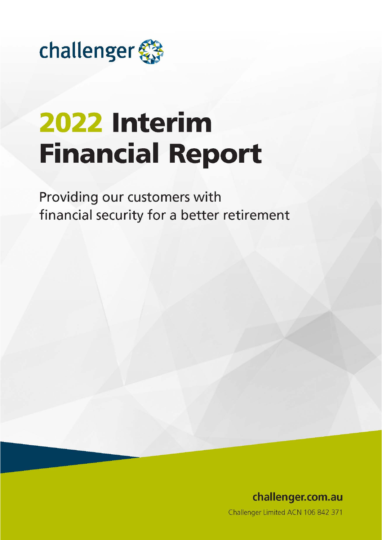

# 2022 Interim **Financial Report**

Providing our customers with financial security for a better retirement

> challenger.com.au Challenger Limited ACN 106 842 371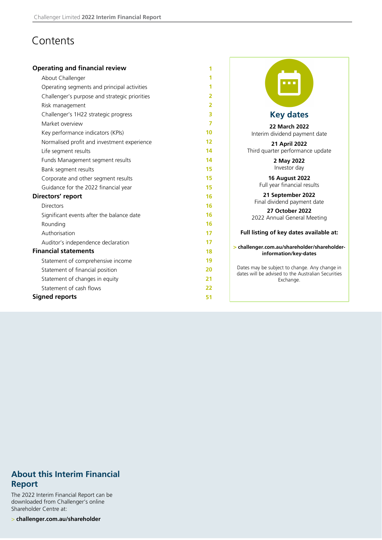# **Contents**

| <b>Operating and financial review</b>         | 1              |                                                                                                     |
|-----------------------------------------------|----------------|-----------------------------------------------------------------------------------------------------|
| About Challenger                              | 1              |                                                                                                     |
| Operating segments and principal activities   | 1              | <b>DO 3</b>                                                                                         |
| Challenger's purpose and strategic priorities | 2              |                                                                                                     |
| Risk management                               | $\overline{2}$ |                                                                                                     |
| Challenger's 1H22 strategic progress          | 3              | <b>Key dates</b>                                                                                    |
| Market overview                               | 7              | <b>22 March 2022</b>                                                                                |
| Key performance indicators (KPIs)             | 10             | Interim dividend payment date                                                                       |
| Normalised profit and investment experience   | 12             | 21 April 2022                                                                                       |
| Life segment results                          | 14             | Third quarter performance update                                                                    |
| Funds Management segment results              | 14             | 2 May 2022                                                                                          |
| Bank segment results                          | 15             | Investor day                                                                                        |
| Corporate and other segment results           | 15             | <b>16 August 2022</b>                                                                               |
| Guidance for the 2022 financial year          | 15             | Full year financial results                                                                         |
| Directors' report                             | 16             | 21 September 2022                                                                                   |
| <b>Directors</b>                              | 16             | Final dividend payment date<br>27 October 2022                                                      |
| Significant events after the balance date     | 16             | 2022 Annual General Meeting                                                                         |
| Rounding                                      | 16             |                                                                                                     |
| Authorisation                                 | 17             | Full listing of key dates available at:                                                             |
| Auditor's independence declaration            | 17             | > challenger.com.au/shareholder/shareholder-                                                        |
| <b>Financial statements</b>                   | 18             | information/key-dates                                                                               |
| Statement of comprehensive income             | 19             |                                                                                                     |
| Statement of financial position               | 20             | Dates may be subject to change. Any change in<br>dates will be advised to the Australian Securities |
| Statement of changes in equity                | 21             | Exchange.                                                                                           |
| Statement of cash flows                       | 22             |                                                                                                     |
| <b>Signed reports</b>                         | 51             |                                                                                                     |

### **About this Interim Financial Report**

The 2022 Interim Financial Report can be downloaded from Challenger's online Shareholder Centre at:

> **challenger.com.au/shareholder**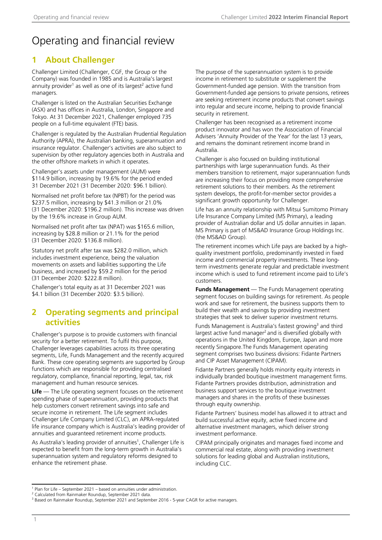# <span id="page-2-0"></span>Operating and financial review

### **1 About Challenger**

Challenger Limited (Challenger, CGF, the Group or the Company) was founded in 1985 and is Australia's largest annuity provider<sup>1</sup> as well as one of its largest<sup>2</sup> active fund managers.

Challenger is listed on the Australian Securities Exchange (ASX) and has offices in Australia, London, Singapore and Tokyo. At 31 December 2021, Challenger employed 735 people on a full-time equivalent (FTE) basis.

Challenger is regulated by the Australian Prudential Regulation Authority (APRA), the Australian banking, superannuation and insurance regulator. Challenger's activities are also subject to supervision by other regulatory agencies both in Australia and the other offshore markets in which it operates.

Challenger's assets under management (AUM) were \$114.9 billion, increasing by 19.6% for the period ended 31 December 2021 (31 December 2020: \$96.1 billion).

Normalised net profit before tax (NPBT) for the period was \$237.5 million, increasing by \$41.3 million or 21.0% (31 December 2020: \$196.2 million). This increase was driven by the 19.6% increase in Group AUM.

Normalised net profit after tax (NPAT) was \$165.6 million, increasing by \$28.8 million or 21.1% for the period (31 December 2020: \$136.8 million).

Statutory net profit after tax was \$282.0 million, which includes investment experience, being the valuation movements on assets and liabilities supporting the Life business, and increased by \$59.2 million for the period (31 December 2020: \$222.8 million).

Challenger's total equity as at 31 December 2021 was \$4.1 billion (31 December 2020: \$3.5 billion).

### **2 Operating segments and principal activities**

Challenger's purpose is to provide customers with financial security for a better retirement. To fulfil this purpose, Challenger leverages capabilities across its three operating segments, Life, Funds Management and the recently acquired Bank. These core operating segments are supported by Group functions which are responsible for providing centralised regulatory, compliance, financial reporting, legal, tax, risk management and human resource services.

**Life** — The Life operating segment focuses on the retirement spending phase of superannuation, providing products that help customers convert retirement savings into safe and secure income in retirement. The Life segment includes Challenger Life Company Limited (CLC), an APRA-regulated life insurance company which is Australia's leading provider of annuities and guaranteed retirement income products.

As Australia's leading provider of annuities<sup>1</sup>, Challenger Life is expected to benefit from the long-term growth in Australia's superannuation system and regulatory reforms designed to enhance the retirement phase.

The purpose of the superannuation system is to provide income in retirement to substitute or supplement the Government-funded age pension. With the transition from Government-funded age pensions to private pensions, retirees are seeking retirement income products that convert savings into regular and secure income, helping to provide financial security in retirement.

Challenger has been recognised as a retirement income product innovator and has won the Association of Financial Advisers 'Annuity Provider of the Year' for the last 13 years, and remains the dominant retirement income brand in Australia.

Challenger is also focused on building institutional partnerships with large superannuation funds. As their members transition to retirement, major superannuation funds are increasing their focus on providing more comprehensive retirement solutions to their members. As the retirement system develops, the profit-for-member sector provides a significant growth opportunity for Challenger.

Life has an annuity relationship with Mitsui Sumitomo Primary Life Insurance Company Limited (MS Primary), a leading provider of Australian dollar and US dollar annuities in Japan. MS Primary is part of MS&AD Insurance Group Holdings Inc. (the MS&AD Group).

The retirement incomes which Life pays are backed by a highquality investment portfolio, predominantly invested in fixed income and commercial property investments. These longterm investments generate regular and predictable investment income which is used to fund retirement income paid to Life's customers.

**Funds Management** — The Funds Management operating segment focuses on building savings for retirement. As people work and save for retirement, the business supports them to build their wealth and savings by providing investment strategies that seek to deliver superior investment returns.

Funds Management is Australia's fastest growing<sup>3</sup> and third largest active fund manager<sup>2</sup> and is diversified globally with operations in the United Kingdom, Europe, Japan and more recently Singapore.The Funds Management operating segment comprises two business divisions: Fidante Partners and CIP Asset Management (CIPAM).

Fidante Partners generally holds minority equity interests in individually branded boutique investment management firms. Fidante Partners provides distribution, administration and business support services to the boutique investment managers and shares in the profits of these businesses through equity ownership.

Fidante Partners' business model has allowed it to attract and build successful active equity, active fixed income and alternative investment managers, which deliver strong investment performance.

CIPAM principally originates and manages fixed income and commercial real estate, along with providing investment solutions for leading global and Australian institutions, including CLC.

<sup>&</sup>lt;sup>1</sup> Plan for Life – September 2021 – based on annuities under administration.

<sup>2</sup> Calculated from Rainmaker Roundup, September 2021 data.

<sup>&</sup>lt;sup>3</sup> Based on Rainmaker Roundup, September 2021 and September 2016 - 5-year CAGR for active managers.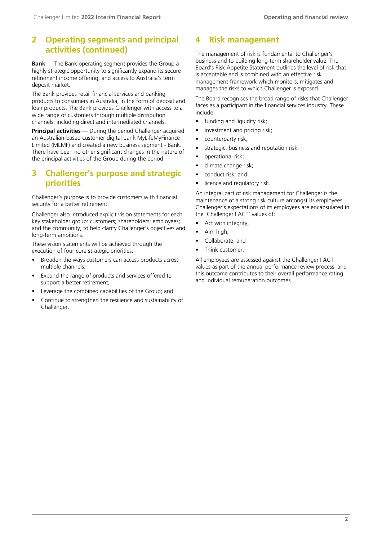### <span id="page-3-0"></span>**2 Operating segments and principal activities (continued)**

**Bank** — The Bank operating segment provides the Group a highly strategic opportunity to significantly expand its secure retirement income offering, and access to Australia's term deposit market.

The Bank provides retail financial services and banking products to consumers in Australia, in the form of deposit and loan products. The Bank provides Challenger with access to a wide range of customers through multiple distribution channels, including direct and intermediated channels.

**Principal activities** — During the period Challenger acquired an Australian-based customer digital bank MyLifeMyFinance Limited (MLMF) and created a new business segment - Bank. There have been no other significant changes in the nature of the principal activities of the Group during the period.

### **3 Challenger's purpose and strategic priorities**

Challenger's purpose is to provide customers with financial security for a better retirement.

Challenger also introduced explicit vision statements for each key stakeholder group: customers; shareholders; employees; and the community, to help clarify Challenger's objectives and long-term ambitions.

These vision statements will be achieved through the execution of four core strategic priorities.

- Broaden the ways customers can access products across multiple channels;
- Expand the range of products and services offered to support a better retirement;
- Leverage the combined capabilities of the Group; and
- Continue to strengthen the resilience and sustainability of Challenger.

### **4 Risk management**

The management of risk is fundamental to Challenger's business and to building long-term shareholder value. The Board's Risk Appetite Statement outlines the level of risk that is acceptable and is combined with an effective risk management framework which monitors, mitigates and manages the risks to which Challenger is exposed.

The Board recognises the broad range of risks that Challenger faces as a participant in the financial services industry. These include:

- funding and liquidity risk;
- investment and pricing risk;
- counterparty risk;
- strategic, business and reputation risk;
- operational risk;
- climate change risk;
- conduct risk; and
- licence and regulatory risk.

An integral part of risk management for Challenger is the maintenance of a strong risk culture amongst its employees. Challenger's expectations of its employees are encapsulated in the 'Challenger I ACT' values of:

- Act with integrity;
- Aim high;
- Collaborate; and
- Think customer.

All employees are assessed against the Challenger I ACT values as part of the annual performance review process, and this outcome contributes to their overall performance rating and individual remuneration outcomes.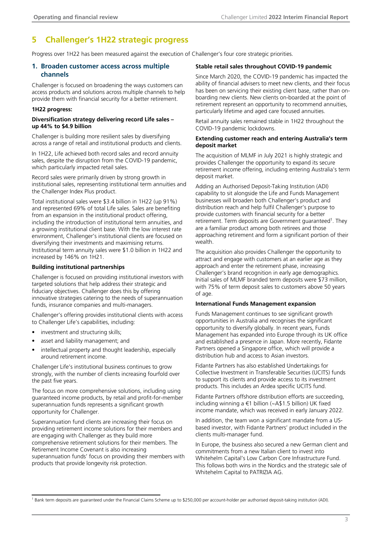### <span id="page-4-0"></span>**5 Challenger's 1H22 strategic progress**

Progress over 1H22 has been measured against the execution of Challenger's four core strategic priorities.

#### **1. Broaden customer access across multiple channels**

Challenger is focused on broadening the ways customers can access products and solutions across multiple channels to help provide them with financial security for a better retirement.

#### **1H22 progress:**

#### **Diversification strategy delivering record Life sales – up 44% to \$4.9 billion**

Challenger is building more resilient sales by diversifying across a range of retail and institutional products and clients.

In 1H22, Life achieved both record sales and record annuity sales, despite the disruption from the COVID-19 pandemic, which particularly impacted retail sales.

Record sales were primarily driven by strong growth in institutional sales, representing institutional term annuities and the Challenger Index Plus product.

Total institutional sales were \$3.4 billion in 1H22 (up 91%) and represented 69% of total Life sales. Sales are benefiting from an expansion in the institutional product offering, including the introduction of institutional term annuities, and a growing institutional client base. With the low interest rate environment, Challenger's institutional clients are focused on diversifying their investments and maximising returns. Institutional term annuity sales were \$1.0 billion in 1H22 and increased by 146% on 1H21.

#### **Building institutional partnerships**

Challenger is focused on providing institutional investors with targeted solutions that help address their strategic and fiduciary objectives. Challenger does this by offering innovative strategies catering to the needs of superannuation funds, insurance companies and multi-managers.

Challenger's offering provides institutional clients with access to Challenger Life's capabilities, including:

- investment and structuring skills;
- asset and liability management; and
- intellectual property and thought leadership, especially around retirement income.

Challenger Life's institutional business continues to grow strongly, with the number of clients increasing fourfold over the past five years.

The focus on more comprehensive solutions, including using guaranteed income products, by retail and profit-for-member superannuation funds represents a significant growth opportunity for Challenger.

Superannuation fund clients are increasing their focus on providing retirement income solutions for their members and are engaging with Challenger as they build more comprehensive retirement solutions for their members. The Retirement Income Covenant is also increasing superannuation funds' focus on providing their members with products that provide longevity risk protection.

#### **Stable retail sales throughout COVID-19 pandemic**

Since March 2020, the COVID-19 pandemic has impacted the ability of financial advisers to meet new clients, and their focus has been on servicing their existing client base, rather than onboarding new clients. New clients on-boarded at the point of retirement represent an opportunity to recommend annuities, particularly lifetime and aged care focused annuities.

Retail annuity sales remained stable in 1H22 throughout the COVID-19 pandemic lockdowns.

#### **Extending customer reach and entering Australia's term deposit market**

The acquisition of MLMF in July 2021 is highly strategic and provides Challenger the opportunity to expand its secure retirement income offering, including entering Australia's term deposit market.

Adding an Authorised Deposit-Taking Institution (ADI) capability to sit alongside the Life and Funds Management businesses will broaden both Challenger's product and distribution reach and help fulfil Challenger's purpose to provide customers with financial security for a better retirement. Term deposits are Government guaranteed<sup>1</sup>. They are a familiar product among both retirees and those approaching retirement and form a significant portion of their wealth.

The acquisition also provides Challenger the opportunity to attract and engage with customers at an earlier age as they approach and enter the retirement phase, increasing Challenger's brand recognition in early age demographics. Initial sales of MLMF branded term deposits were \$73 million, with 75% of term deposit sales to customers above 50 years of age.

#### **International Funds Management expansion**

Funds Management continues to see significant growth opportunities in Australia and recognises the significant opportunity to diversify globally. In recent years, Funds Management has expanded into Europe through its UK office and established a presence in Japan. More recently, Fidante Partners opened a Singapore office, which will provide a distribution hub and access to Asian investors.

Fidante Partners has also established Undertakings for Collective Investment in Transferable Securities (UCITS) funds to support its clients and provide access to its investment products. This includes an Ardea specific UCITS fund.

Fidante Partners offshore distribution efforts are succeeding, including winning a €1 billion (~A\$1.5 billion) UK fixed income mandate, which was received in early January 2022.

In addition, the team won a significant mandate from a USbased investor, with Fidante Partners' product included in the clients multi-manager fund.

In Europe, the business also secured a new German client and commitments from a new Italian client to invest into Whitehelm Capital's Low Carbon Core Infrastructure Fund. This follows both wins in the Nordics and the strategic sale of Whitehelm Capital to PATRIZIA AG.

<sup>&</sup>lt;sup>1</sup> Bank term deposits are guaranteed under the Financial Claims Scheme up to \$250,000 per account-holder per authorised deposit-taking institution (ADI).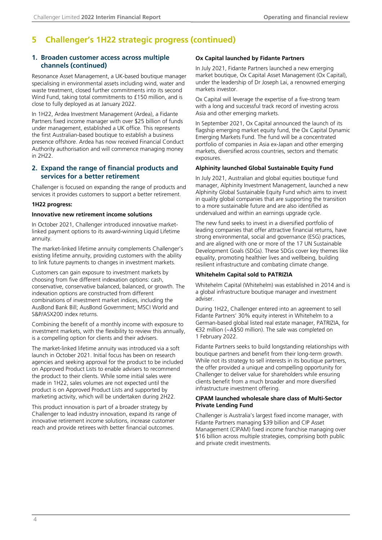### **5 Challenger's 1H22 strategic progress (continued)**

#### **1. Broaden customer access across multiple channels (continued)**

Resonance Asset Management, a UK-based boutique manager specialising in environmental assets including wind, water and waste treatment, closed further commitments into its second Wind Fund, taking total commitments to £150 million, and is close to fully deployed as at January 2022.

In 1H22, Ardea Investment Management (Ardea), a Fidante Partners fixed income manager with over \$25 billion of funds under management, established a UK office. This represents the first Australian-based boutique to establish a business presence offshore. Ardea has now received Financial Conduct Authority authorisation and will commence managing money in 2H22.

#### **2. Expand the range of financial products and services for a better retirement**

Challenger is focused on expanding the range of products and services it provides customers to support a better retirement.

#### **1H22 progress:**

#### **Innovative new retirement income solutions**

In October 2021, Challenger introduced innovative marketlinked payment options to its award-winning Liquid Lifetime annuity.

The market-linked lifetime annuity complements Challenger's existing lifetime annuity, providing customers with the ability to link future payments to changes in investment markets.

Customers can gain exposure to investment markets by choosing from five different indexation options: cash, conservative, conservative balanced, balanced, or growth. The indexation options are constructed from different combinations of investment market indices, including the AusBond Bank Bill; AusBond Government; MSCI World and S&P/ASX200 index returns.

Combining the benefit of a monthly income with exposure to investment markets, with the flexibility to review this annually, is a compelling option for clients and their advisers.

The market-linked lifetime annuity was introduced via a soft launch in October 2021. Initial focus has been on research agencies and seeking approval for the product to be included on Approved Product Lists to enable advisers to recommend the product to their clients. While some initial sales were made in 1H22, sales volumes are not expected until the product is on Approved Product Lists and supported by marketing activity, which will be undertaken during 2H22.

This product innovation is part of a broader strategy by Challenger to lead industry innovation, expand its range of innovative retirement income solutions, increase customer reach and provide retirees with better financial outcomes.

#### **Ox Capital launched by Fidante Partners**

In July 2021, Fidante Partners launched a new emerging market boutique, Ox Capital Asset Management (Ox Capital), under the leadership of Dr Joseph Lai, a renowned emerging markets investor.

Ox Capital will leverage the expertise of a five-strong team with a long and successful track record of investing across Asia and other emerging markets.

In September 2021, Ox Capital announced the launch of its flagship emerging market equity fund, the Ox Capital Dynamic Emerging Markets Fund. The fund will be a concentrated portfolio of companies in Asia ex-Japan and other emerging markets, diversified across countries, sectors and thematic exposures.

#### **Alphinity launched Global Sustainable Equity Fund**

In July 2021, Australian and global equities boutique fund manager, Alphinity Investment Management, launched a new Alphinity Global Sustainable Equity Fund which aims to invest in quality global companies that are supporting the transition to a more sustainable future and are also identified as undervalued and within an earnings upgrade cycle.

The new fund seeks to invest in a diversified portfolio of leading companies that offer attractive financial returns, have strong environmental, social and governance (ESG) practices, and are aligned with one or more of the 17 UN Sustainable Development Goals (SDGs). These SDGs cover key themes like equality, promoting healthier lives and wellbeing, building resilient infrastructure and combating climate change.

#### **Whitehelm Capital sold to PATRIZIA**

Whitehelm Capital (Whitehelm) was established in 2014 and is a global infrastructure boutique manager and investment adviser.

During 1H22, Challenger entered into an agreement to sell Fidante Partners' 30% equity interest in Whitehelm to a German-based global listed real estate manager, PATRIZIA, for €32 million (~A\$50 million). The sale was completed on 1 February 2022.

Fidante Partners seeks to build longstanding relationships with boutique partners and benefit from their long-term growth. While not its strategy to sell interests in its boutique partners, the offer provided a unique and compelling opportunity for Challenger to deliver value for shareholders while ensuring clients benefit from a much broader and more diversified infrastructure investment offering.

#### **CIPAM launched wholesale share class of Multi-Sector Private Lending Fund**

Challenger is Australia's largest fixed income manager, with Fidante Partners managing \$39 billion and CIP Asset Management (CIPAM) fixed income franchise managing over \$16 billion across multiple strategies, comprising both public and private credit investments.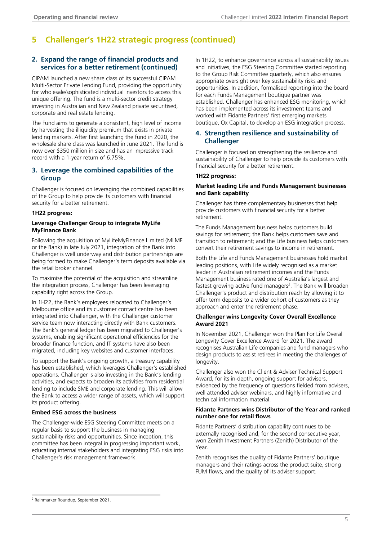### **5 Challenger's 1H22 strategic progress (continued)**

#### **2. Expand the range of financial products and services for a better retirement (continued)**

CIPAM launched a new share class of its successful CIPAM Multi-Sector Private Lending Fund, providing the opportunity for wholesale/sophisticated individual investors to access this unique offering. The fund is a multi-sector credit strategy investing in Australian and New Zealand private securitised, corporate and real estate lending.

The Fund aims to generate a consistent, high level of income by harvesting the illiquidity premium that exists in private lending markets. After first launching the fund in 2020, the wholesale share class was launched in June 2021. The fund is now over \$350 million in size and has an impressive track record with a 1-year return of 6.75%.

#### **3. Leverage the combined capabilities of the Group**

Challenger is focused on leveraging the combined capabilities of the Group to help provide its customers with financial security for a better retirement.

#### **1H22 progress:**

#### **Leverage Challenger Group to integrate MyLife MyFinance Bank**

Following the acquisition of MyLifeMyFinance Limited (MLMF or the Bank) in late July 2021, integration of the Bank into Challenger is well underway and distribution partnerships are being formed to make Challenger's term deposits available via the retail broker channel.

To maximise the potential of the acquisition and streamline the integration process, Challenger has been leveraging capability right across the Group.

In 1H22, the Bank's employees relocated to Challenger's Melbourne office and its customer contact centre has been integrated into Challenger, with the Challenger customer service team now interacting directly with Bank customers. The Bank's general ledger has been migrated to Challenger's systems, enabling significant operational efficiencies for the broader finance function, and IT systems have also been migrated, including key websites and customer interfaces.

To support the Bank's ongoing growth, a treasury capability has been established, which leverages Challenger's established operations. Challenger is also investing in the Bank's lending activities, and expects to broaden its activities from residential lending to include SME and corporate lending. This will allow the Bank to access a wider range of assets, which will support its product offering.

#### **Embed ESG across the business**

The Challenger-wide ESG Steering Committee meets on a regular basis to support the business in managing sustainability risks and opportunities. Since inception, this committee has been integral in progressing important work, educating internal stakeholders and integrating ESG risks into Challenger's risk management framework.

In 1H22, to enhance governance across all sustainability issues and initiatives, the ESG Steering Committee started reporting to the Group Risk Committee quarterly, which also ensures appropriate oversight over key sustainability risks and opportunities. In addition, formalised reporting into the board for each Funds Management boutique partner was established. Challenger has enhanced ESG monitoring, which has been implemented across its investment teams and worked with Fidante Partners' first emerging markets boutique, Ox Capital, to develop an ESG integration process.

#### **4. Strengthen resilience and sustainability of Challenger**

Challenger is focused on strengthening the resilience and sustainability of Challenger to help provide its customers with financial security for a better retirement.

#### **1H22 progress:**

#### **Market leading Life and Funds Management businesses and Bank capability**

Challenger has three complementary businesses that help provide customers with financial security for a better retirement.

The Funds Management business helps customers build savings for retirement; the Bank helps customers save and transition to retirement; and the Life business helps customers convert their retirement savings to income in retirement.

Both the Life and Funds Management businesses hold market leading positions, with Life widely recognised as a market leader in Australian retirement incomes and the Funds Management business rated one of Australia's largest and fastest growing active fund managers<sup>2</sup>. The Bank will broaden Challenger's product and distribution reach by allowing it to offer term deposits to a wider cohort of customers as they approach and enter the retirement phase.

#### **Challenger wins Longevity Cover Overall Excellence Award 2021**

In November 2021, Challenger won the Plan For Life Overall Longevity Cover Excellence Award for 2021. The award recognises Australian Life companies and fund managers who design products to assist retirees in meeting the challenges of longevity.

Challenger also won the Client & Adviser Technical Support Award, for its in-depth, ongoing support for advisers, evidenced by the frequency of questions fielded from advisers, well attended adviser webinars, and highly informative and technical information material.

#### **Fidante Partners wins Distributor of the Year and ranked number one for retail flows**

Fidante Partners' distribution capability continues to be externally recognised and, for the second consecutive year, won Zenith Investment Partners (Zenith) Distributor of the Year.

Zenith recognises the quality of Fidante Partners' boutique managers and their ratings across the product suite, strong FUM flows, and the quality of its adviser support.

2 Rainmarker Roundup, September 2021.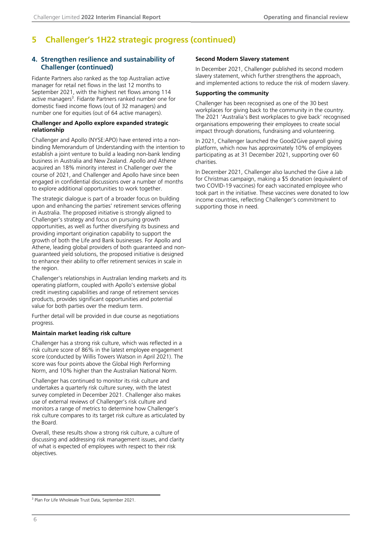### **5 Challenger's 1H22 strategic progress (continued)**

#### **4. Strengthen resilience and sustainability of Challenger (continued)**

Fidante Partners also ranked as the top Australian active manager for retail net flows in the last 12 months to September 2021, with the highest net flows among 114 active managers<sup>3</sup>. Fidante Partners ranked number one for domestic fixed income flows (out of 32 managers) and number one for equities (out of 64 active managers).

#### **Challenger and Apollo explore expanded strategic relationship**

Challenger and Apollo (NYSE:APO) have entered into a nonbinding Memorandum of Understanding with the intention to establish a joint venture to build a leading non-bank lending business in Australia and New Zealand. Apollo and Athene acquired an 18% minority interest in Challenger over the course of 2021, and Challenger and Apollo have since been engaged in confidential discussions over a number of months to explore additional opportunities to work together.

The strategic dialogue is part of a broader focus on building upon and enhancing the parties' retirement services offering in Australia. The proposed initiative is strongly aligned to Challenger's strategy and focus on pursuing growth opportunities, as well as further diversifying its business and providing important origination capability to support the growth of both the Life and Bank businesses. For Apollo and Athene, leading global providers of both guaranteed and nonguaranteed yield solutions, the proposed initiative is designed to enhance their ability to offer retirement services in scale in the region.

Challenger's relationships in Australian lending markets and its operating platform, coupled with Apollo's extensive global credit investing capabilities and range of retirement services products, provides significant opportunities and potential value for both parties over the medium term.

Further detail will be provided in due course as negotiations progress.

#### **Maintain market leading risk culture**

Challenger has a strong risk culture, which was reflected in a risk culture score of 86% in the latest employee engagement score (conducted by Willis Towers Watson in April 2021). The score was four points above the Global High Performing Norm, and 10% higher than the Australian National Norm.

Challenger has continued to monitor its risk culture and undertakes a quarterly risk culture survey, with the latest survey completed in December 2021. Challenger also makes use of external reviews of Challenger's risk culture and monitors a range of metrics to determine how Challenger's risk culture compares to its target risk culture as articulated by the Board.

Overall, these results show a strong risk culture, a culture of discussing and addressing risk management issues, and clarity of what is expected of employees with respect to their risk objectives.

#### **Second Modern Slavery statement**

In December 2021, Challenger published its second modern slavery statement, which further strengthens the approach, and implemented actions to reduce the risk of modern slavery.

#### **Supporting the community**

Challenger has been recognised as one of the 30 best workplaces for giving back to the community in the country. The 2021 'Australia's Best workplaces to give back' recognised organisations empowering their employees to create social impact through donations, fundraising and volunteering.

In 2021, Challenger launched the Good2Give payroll giving platform, which now has approximately 10% of employees participating as at 31 December 2021, supporting over 60 charities.

In December 2021, Challenger also launched the Give a Jab for Christmas campaign, making a \$5 donation (equivalent of two COVID-19 vaccines) for each vaccinated employee who took part in the initiative. These vaccines were donated to low income countries, reflecting Challenger's commitment to supporting those in need.

<sup>&</sup>lt;sup>3</sup> Plan For Life Wholesale Trust Data, September 2021.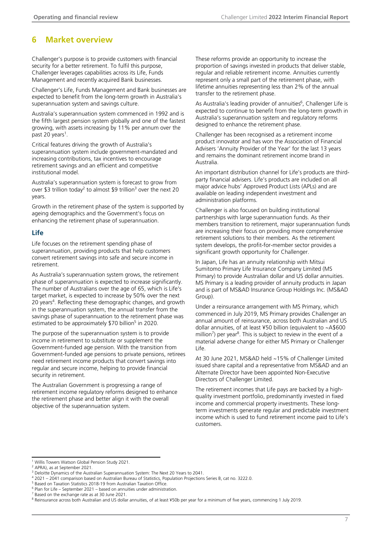### <span id="page-8-0"></span>**6 Market overview**

Challenger's purpose is to provide customers with financial security for a better retirement. To fulfil this purpose, Challenger leverages capabilities across its Life, Funds Management and recently acquired Bank businesses.

Challenger's Life, Funds Management and Bank businesses are expected to benefit from the long-term growth in Australia's superannuation system and savings culture.

Australia's superannuation system commenced in 1992 and is the fifth largest pension system globally and one of the fastest growing, with assets increasing by 11% per annum over the past 20 years<sup>1</sup>.

Critical features driving the growth of Australia's superannuation system include government-mandated and increasing contributions, tax incentives to encourage retirement savings and an efficient and competitive institutional model.

Australia's superannuation system is forecast to grow from over \$3 trillion today<sup>2</sup> to almost \$9 trillion<sup>3</sup> over the next 20 years.

Growth in the retirement phase of the system is supported by ageing demographics and the Government's focus on enhancing the retirement phase of superannuation.

#### **Life**

Life focuses on the retirement spending phase of superannuation, providing products that help customers convert retirement savings into safe and secure income in retirement.

As Australia's superannuation system grows, the retirement phase of superannuation is expected to increase significantly. The number of Australians over the age of 65, which is Life's target market, is expected to increase by 50% over the next 20 years<sup>4</sup>. Reflecting these demographic changes, and growth in the superannuation system, the annual transfer from the savings phase of superannuation to the retirement phase was estimated to be approximately \$70 billion<sup>5</sup> in 2020.

The purpose of the superannuation system is to provide income in retirement to substitute or supplement the Government-funded age pension. With the transition from Government-funded age pensions to private pensions, retirees need retirement income products that convert savings into regular and secure income, helping to provide financial security in retirement.

The Australian Government is progressing a range of retirement income regulatory reforms designed to enhance the retirement phase and better align it with the overall objective of the superannuation system.

These reforms provide an opportunity to increase the proportion of savings invested in products that deliver stable, regular and reliable retirement income. Annuities currently represent only a small part of the retirement phase, with lifetime annuities representing less than 2% of the annual transfer to the retirement phase.

As Australia's leading provider of annuities<sup>6</sup>, Challenger Life is expected to continue to benefit from the long-term growth in Australia's superannuation system and regulatory reforms designed to enhance the retirement phase.

Challenger has been recognised as a retirement income product innovator and has won the Association of Financial Advisers 'Annuity Provider of the Year' for the last 13 years and remains the dominant retirement income brand in Australia.

An important distribution channel for Life's products are thirdparty financial advisers. Life's products are included on all major advice hubs' Approved Product Lists (APLs) and are available on leading independent investment and administration platforms.

Challenger is also focused on building institutional partnerships with large superannuation funds. As their members transition to retirement, major superannuation funds are increasing their focus on providing more comprehensive retirement solutions to their members. As the retirement system develops, the profit-for-member sector provides a significant growth opportunity for Challenger.

In Japan, Life has an annuity relationship with Mitsui Sumitomo Primary Life Insurance Company Limited (MS Primary) to provide Australian dollar and US dollar annuities. MS Primary is a leading provider of annuity products in Japan and is part of MS&AD Insurance Group Holdings Inc. (MS&AD Group).

Under a reinsurance arrangement with MS Primary, which commenced in July 2019, MS Primary provides Challenger an annual amount of reinsurance, across both Australian and US dollar annuities, of at least ¥50 billion (equivalent to ~A\$600 million<sup>7</sup>) per year<sup>8</sup>. This is subject to review in the event of a material adverse change for either MS Primary or Challenger Life.

At 30 June 2021, MS&AD held ~15% of Challenger Limited issued share capital and a representative from MS&AD and an Alternate Director have been appointed Non-Executive Directors of Challenger Limited.

The retirement incomes that Life pays are backed by a highquality investment portfolio, predominantly invested in fixed income and commercial property investments. These longterm investments generate regular and predictable investment income which is used to fund retirement income paid to Life's customers.

<sup>&</sup>lt;sup>1</sup> Willis Towers Watson Global Pension Study 2021.

<sup>2</sup> APRA), as at September 2021.

<sup>3</sup> Deloitte Dynamics of the Australian Superannuation System: The Next 20 Years to 2041.

<sup>4</sup> 2021 – 2041 comparison based on Australian Bureau of Statistics, Population Projections Series B, cat no. 3222.0.

Based on Taxation Statistics 2018-19 from Australian Taxation Office.

<sup>6</sup> Plan for Life – September 2021 – based on annuities under administration.

Based on the exchange rate as at 30 June 2021

<sup>&</sup>lt;sup>8</sup> Reinsurance across both Australian and US dollar annuities, of at least ¥50b per year for a minimum of five years, commencing 1 July 2019.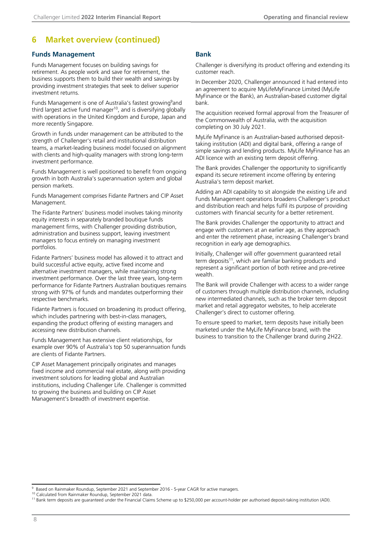### **6 Market overview (continued)**

#### **Funds Management**

Funds Management focuses on building savings for retirement. As people work and save for retirement, the business supports them to build their wealth and savings by providing investment strategies that seek to deliver superior investment returns.

Funds Management is one of Australia's fastest growing<sup>9</sup>and third largest active fund manager $10$ , and is diversifying globally with operations in the United Kingdom and Europe, Japan and more recently Singapore.

Growth in funds under management can be attributed to the strength of Challenger's retail and institutional distribution teams, a market-leading business model focused on alignment with clients and high-quality managers with strong long-term investment performance.

Funds Management is well positioned to benefit from ongoing growth in both Australia's superannuation system and global pension markets.

Funds Management comprises Fidante Partners and CIP Asset Management.

The Fidante Partners' business model involves taking minority equity interests in separately branded boutique funds management firms, with Challenger providing distribution, administration and business support, leaving investment managers to focus entirely on managing investment portfolios.

Fidante Partners' business model has allowed it to attract and build successful active equity, active fixed income and alternative investment managers, while maintaining strong investment performance. Over the last three years, long-term performance for Fidante Partners Australian boutiques remains strong with 97% of funds and mandates outperforming their respective benchmarks.

Fidante Partners is focused on broadening its product offering, which includes partnering with best-in-class managers, expanding the product offering of existing managers and accessing new distribution channels.

Funds Management has extensive client relationships, for example over 90% of Australia's top 50 superannuation funds are clients of Fidante Partners.

CIP Asset Management principally originates and manages fixed income and commercial real estate, along with providing investment solutions for leading global and Australian institutions, including Challenger Life. Challenger is committed to growing the business and building on CIP Asset Management's breadth of investment expertise.

#### **Bank**

Challenger is diversifying its product offering and extending its customer reach.

In December 2020, Challenger announced it had entered into an agreement to acquire MyLifeMyFinance Limited (MyLife MyFinance or the Bank), an Australian-based customer digital bank.

The acquisition received formal approval from the Treasurer of the Commonwealth of Australia, with the acquisition completing on 30 July 2021.

MyLife MyFinance is an Australian-based authorised deposittaking institution (ADI) and digital bank, offering a range of simple savings and lending products. MyLife MyFinance has an ADI licence with an existing term deposit offering.

The Bank provides Challenger the opportunity to significantly expand its secure retirement income offering by entering Australia's term deposit market.

Adding an ADI capability to sit alongside the existing Life and Funds Management operations broadens Challenger's product and distribution reach and helps fulfil its purpose of providing customers with financial security for a better retirement.

The Bank provides Challenger the opportunity to attract and engage with customers at an earlier age, as they approach and enter the retirement phase, increasing Challenger's brand recognition in early age demographics.

Initially, Challenger will offer government guaranteed retail term deposits<sup>11</sup>, which are familiar banking products and represent a significant portion of both retiree and pre-retiree wealth.

The Bank will provide Challenger with access to a wider range of customers through multiple distribution channels, including new intermediated channels, such as the broker term deposit market and retail aggregator websites, to help accelerate Challenger's direct to customer offering.

To ensure speed to market, term deposits have initially been marketed under the MyLife MyFinance brand, with the business to transition to the Challenger brand during 2H22.

<sup>9</sup> Based on Rainmaker Roundup, September 2021 and September 2016 - 5-year CAGR for active managers.

<sup>&</sup>lt;sup>10</sup> Calculated from Rainmaker Roundup, September 2021 data

<sup>11</sup> Bank term deposits are guaranteed under the Financial Claims Scheme up to \$250,000 per account-holder per authorised deposit-taking institution (ADI).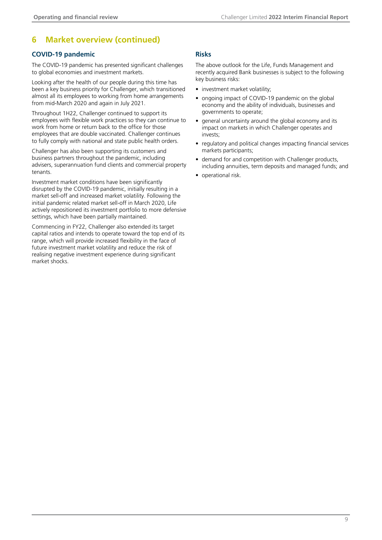### **6 Market overview (continued)**

#### **COVID-19 pandemic**

The COVID-19 pandemic has presented significant challenges to global economies and investment markets.

Looking after the health of our people during this time has been a key business priority for Challenger, which transitioned almost all its employees to working from home arrangements from mid-March 2020 and again in July 2021.

Throughout 1H22, Challenger continued to support its employees with flexible work practices so they can continue to work from home or return back to the office for those employees that are double vaccinated. Challenger continues to fully comply with national and state public health orders.

Challenger has also been supporting its customers and business partners throughout the pandemic, including advisers, superannuation fund clients and commercial property tenants.

Investment market conditions have been significantly disrupted by the COVID-19 pandemic, initially resulting in a market sell-off and increased market volatility. Following the initial pandemic related market sell-off in March 2020, Life actively repositioned its investment portfolio to more defensive settings, which have been partially maintained.

Commencing in FY22, Challenger also extended its target capital ratios and intends to operate toward the top end of its range, which will provide increased flexibility in the face of future investment market volatility and reduce the risk of realising negative investment experience during significant market shocks.

#### **Risks**

The above outlook for the Life, Funds Management and recently acquired Bank businesses is subject to the following key business risks:

- investment market volatility;
- ongoing impact of COVID-19 pandemic on the global economy and the ability of individuals, businesses and governments to operate;
- general uncertainty around the global economy and its impact on markets in which Challenger operates and invests;
- regulatory and political changes impacting financial services markets participants;
- demand for and competition with Challenger products, including annuities, term deposits and managed funds; and
- operational risk.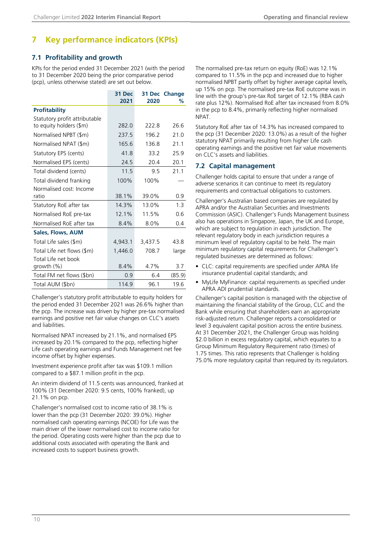### <span id="page-11-0"></span>**7 Key performance indicators (KPIs)**

#### **7.1 Profitability and growth**

KPIs for the period ended 31 December 2021 (with the period to 31 December 2020 being the prior comparative period (pcp), unless otherwise stated) are set out below.

|                                   | <b>31 Dec</b><br>2021 | 2020    | 31 Dec Change<br>℅ |
|-----------------------------------|-----------------------|---------|--------------------|
| <b>Profitability</b>              |                       |         |                    |
| Statutory profit attributable     |                       |         |                    |
| to equity holders (\$m)           | 282.0                 | 222.8   | 26.6               |
| Normalised NPBT (\$m)             | 237.5                 | 196.2   | 21.0               |
| Normalised NPAT (\$m)             | 165.6                 | 136.8   | 21.1               |
| Statutory EPS (cents)             | 41.8                  | 33.2    | 25.9               |
| Normalised EPS (cents)            | 24.5                  | 20.4    | 20.1               |
| Total dividend (cents)            | 11.5                  | 9.5     | 21.1               |
| Total dividend franking           | 100%                  | 100%    |                    |
| Normalised cost: Income           |                       |         |                    |
| ratio                             | 38.1%                 | 39.0%   | 0.9                |
| Statutory RoE after tax           | 14.3%                 | 13.0%   | 1.3                |
| Normalised RoE pre-tax            | 12.1%                 | 11.5%   | 0.6                |
| Normalised RoE after tax          | 8.4%                  | 8.0%    | 0.4                |
| Sales, Flows, AUM                 |                       |         |                    |
| Total Life sales (\$m)            | 4,943.1               | 3,437.5 | 43.8               |
| Total Life net flows (\$m)        | 1,446.0               | 708.7   | large              |
| Total Life net book<br>growth (%) | 8.4%                  | 4.7%    | 3.7                |
| Total FM net flows (\$bn)         | 0.9                   | 6.4     | (85.9)             |
| Total AUM (\$bn)                  | 114.9                 | 96.1    | 19.6               |

Challenger's statutory profit attributable to equity holders for the period ended 31 December 2021 was 26.6% higher than the pcp. The increase was driven by higher pre-tax normalised earnings and positive net fair value changes on CLC's assets and liabilities.

Normalised NPAT increased by 21.1%, and normalised EPS increased by 20.1% compared to the pcp, reflecting higher Life cash operating earnings and Funds Management net fee income offset by higher expenses.

Investment experience profit after tax was \$109.1 million compared to a \$87.1 million profit in the pcp.

An interim dividend of 11.5 cents was announced, franked at 100% (31 December 2020: 9.5 cents, 100% franked), up 21.1% on pcp.

Challenger's normalised cost to income ratio of 38.1% is lower than the pcp (31 December 2020: 39.0%). Higher normalised cash operating earnings (NCOE) for Life was the main driver of the lower normalised cost to income ratio for the period. Operating costs were higher than the pcp due to additional costs associated with operating the Bank and increased costs to support business growth.

The normalised pre-tax return on equity (RoE) was 12.1% compared to 11.5% in the pcp and increased due to higher normalised NPBT partly offset by higher average capital levels, up 15% on pcp. The normalised pre-tax RoE outcome was in line with the group's pre-tax RoE target of 12.1% (RBA cash rate plus 12%). Normalised RoE after tax increased from 8.0% in the pcp to 8.4%, primarily reflecting higher normalised NPAT.

Statutory RoE after tax of 14.3% has increased compared to the pcp (31 December 2020: 13.0%) as a result of the higher statutory NPAT primarily resulting from higher Life cash operating earnings and the positive net fair value movements on CLC's assets and liabilities.

#### **7.2 Capital management**

Challenger holds capital to ensure that under a range of adverse scenarios it can continue to meet its regulatory requirements and contractual obligations to customers.

Challenger's Australian based companies are regulated by APRA and/or the Australian Securities and Investments Commission (ASIC). Challenger's Funds Management business also has operations in Singapore, Japan, the UK and Europe, which are subject to regulation in each jurisdiction. The relevant regulatory body in each jurisdiction requires a minimum level of regulatory capital to be held. The main minimum regulatory capital requirements for Challenger's regulated businesses are determined as follows:

- CLC: capital requirements are specified under APRA life insurance prudential capital standards; and
- MyLife MyFinance: capital requirements as specified under APRA ADI prudential standards.

Challenger's capital position is managed with the objective of maintaining the financial stability of the Group, CLC and the Bank while ensuring that shareholders earn an appropriate risk-adjusted return. Challenger reports a consolidated or level 3 equivalent capital position across the entire business. At 31 December 2021, the Challenger Group was holding \$2.0 billion in excess regulatory capital, which equates to a Group Minimum Regulatory Requirement ratio (times) of 1.75 times. This ratio represents that Challenger is holding 75.0% more regulatory capital than required by its regulators.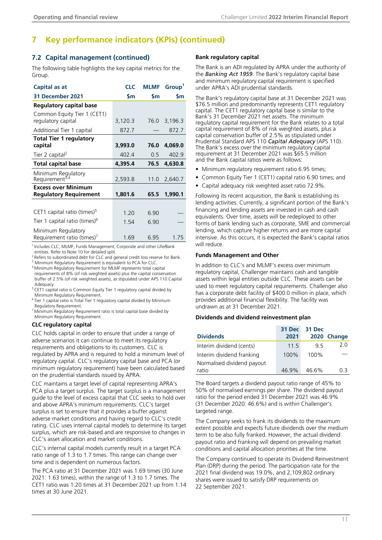### **7 Key performance indicators (KPIs) (continued)**

#### **7.2 Capital management (continued)**

The following table highlights the key capital metrics for the Group.

| Capital as at                                     | <b>CLC</b> | <b>MLMF</b> | Group <sup>1</sup> |
|---------------------------------------------------|------------|-------------|--------------------|
| 31 December 2021                                  | \$m        | \$m         | <b>Sm</b>          |
| Regulatory capital base                           |            |             |                    |
| Common Equity Tier 1 (CET1)<br>regulatory capital | 3,120.3    | 76.0        | 3,196.3            |
| Additional Tier 1 capital                         | 872.7      |             | 872.7              |
| <b>Total Tier 1 regulatory</b>                    |            |             |                    |
| capital                                           | 3,993.0    | 76.0        | 4,069.0            |
| Tier 2 capital <sup>2</sup>                       | 402.4      | 0.5         | 402.9              |
| <b>Total capital base</b>                         | 4,395.4    | 76.5        | 4,630.8            |
| Minimum Regulatory<br>Requirement <sup>3,4</sup>  | 2,593.8    | 11.0        | 2,640.7            |
| <b>Excess over Minimum</b>                        |            |             |                    |
| <b>Regulatory Requirement</b>                     | 1,801.6    | 65.5        | 1,990.1            |
|                                                   |            |             |                    |
| CET1 capital ratio (times) $5$                    | 1.20       | 6.90        |                    |
| Tier 1 capital ratio (times) <sup>6</sup>         | 1.54       | 6.90        |                    |
| Minimum Regulatory<br>Requirement ratio (times)'  | 1.69       | 6.95        | 1.75               |

<sup>1</sup> Includes CLC, MLMF, Funds Management, Corporate and other Life/Bank entities. Refer to Note 10 for detailed split.

<sup>2</sup> Refers to subordinated debt for CLC and general credit loss reserve for Bank. <sup>3</sup> Minimum Regulatory Requirement is equivalent to PCA for CLC.

<sup>4</sup>Minimum Regulatory Requirement for MLMF represents total capital requirements of 8% (of risk weighted assets) plus the capital conservation buffer of 2.5% (of risk weighted assets), as stipulated under APS 110 Capital Adequacy.

<sup>5</sup> CET1 capital ratio is Common Equity Tier 1 regulatory capital divided by Minimum Regulatory Requirement.

<sup>6</sup> Tier 1 capital ratio is Total Tier 1 regulatory capital divided by Minimum Regulatory Requirement.

<sup>7</sup>Minimum Regulatory Requirement ratio is total capital base divided by Minimum Regulatory Requirement.

#### **CLC regulatory capital**

CLC holds capital in order to ensure that under a range of adverse scenarios it can continue to meet its regulatory requirements and obligations to its customers. CLC is regulated by APRA and is required to hold a minimum level of regulatory capital. CLC's regulatory capital base and PCA (or minimum regulatory requirement) have been calculated based on the prudential standards issued by APRA.

CLC maintains a target level of capital representing APRA's PCA plus a target surplus. The target surplus is a management guide to the level of excess capital that CLC seeks to hold over and above APRA's minimum requirements. CLC's target surplus is set to ensure that it provides a buffer against adverse market conditions and having regard to CLC's credit rating. CLC uses internal capital models to determine its target surplus, which are risk-based and are responsive to changes in CLC's asset allocation and market conditions.

CLC's internal capital models currently result in a target PCA ratio range of 1.3 to 1.7 times. This range can change over time and is dependent on numerous factors.

The PCA ratio at 31 December 2021 was 1.69 times (30 June 2021: 1.63 times), within the range of 1.3 to 1.7 times. The CET1 ratio was 1.20 times at 31 December 2021 up from 1.14 times at 30 June 2021.

#### **Bank regulatory capital**

The Bank is an ADI regulated by APRA under the authority of the *Banking Act 1959*. The Bank's regulatory capital base and minimum regulatory capital requirement is specified under APRA's ADI prudential standards.

The Bank's regulatory capital base at 31 December 2021 was \$76.5 million and predominantly represents CET1 regulatory capital. The CET1 regulatory capital base is similar to the Bank's 31 December 2021 net assets. The minimum regulatory capital requirement for the Bank relates to a total capital requirement of 8% of risk weighted assets, plus a capital conservation buffer of 2.5% as stipulated under Prudential Standard APS 110 *Capital Adequacy* (APS 110). The Bank's excess over the minimum regulatory capital requirement at 31 December 2021 was \$65.5 million and the Bank capital ratios were as follows:

- Minimum regulatory requirement ratio 6.95 times;
- Common Equity Tier 1 (CET1) capital ratio 6.90 times; and
- Capital adequacy risk weighted asset ratio 72.9%.

Following its recent acquisition, the Bank is establishing its lending activities. Currently, a significant portion of the Bank's financing and lending assets are invested in cash and cash equivalents. Over time, assets will be redeployed to other forms of bank lending such as corporate, SME and commercial lending, which capture higher returns and are more capital intensive. As this occurs, it is expected the Bank's capital ratios will reduce.

#### **Funds Management and Other**

In addition to CLC's and MLMF's excess over minimum regulatory capital, Challenger maintains cash and tangible assets within legal entities outside CLC. These assets can be used to meet regulatory capital requirements. Challenger also has a corporate debt facility of \$400.0 million in place, which provides additional financial flexibility. The facility was undrawn as at 31 December 2021.

#### **Dividends and dividend reinvestment plan**

| <b>Dividends</b>           | 31 Dec<br>2021 | 31 Dec | 2020 Change |
|----------------------------|----------------|--------|-------------|
| Interim dividend (cents)   | 11.5           | 95     | 2.0         |
| Interim dividend franking  | 100%           | 100%   |             |
| Normalised dividend payout |                |        |             |
| ratio                      | 46.9%          | 46.6%  | 03          |

The Board targets a dividend payout ratio range of 45% to 50% of normalised earnings per share. The dividend payout ratio for the period ended 31 December 2021 was 46.9% (31 December 2020: 46.6%) and is within Challenger's targeted range.

The Company seeks to frank its dividends to the maximum extent possible and expects future dividends over the medium term to be also fully franked. However, the actual dividend payout ratio and franking will depend on prevailing market conditions and capital allocation priorities at the time.

The Company continued to operate its Dividend Reinvestment Plan (DRP) during the period. The participation rate for the 2021 final dividend was 19.0%, and 2,109,802 ordinary shares were issued to satisfy DRP requirements on 22 September 2021.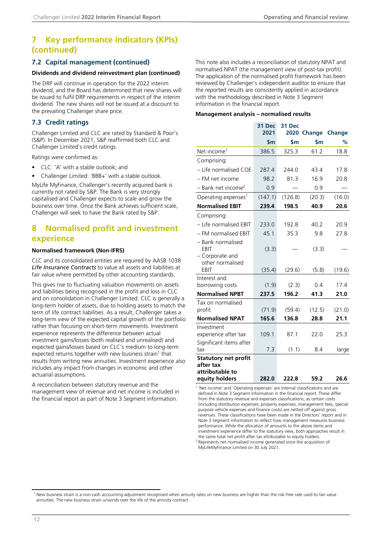### <span id="page-13-0"></span>**7 Key performance indicators (KPIs) (continued)**

#### **7.2 Capital management (continued)**

#### **Dividends and dividend reinvestment plan (continued)**

The DRP will continue in operation for the 2022 interim dividend, and the Board has determined that new shares will be issued to fulfil DRP requirements in respect of the interim dividend. The new shares will not be issued at a discount to the prevailing Challenger share price.

#### **7.3 Credit ratings**

Challenger Limited and CLC are rated by Standard & Poor's (S&P). In December 2021, S&P reaffirmed both CLC and Challenger Limited's credit ratings.

Ratings were confirmed as:

- CLC: 'A' with a stable outlook; and
- Challenger Limited: 'BBB+' with a stable outlook.

MyLife MyFinance, Challenger's recently acquired bank is currently not rated by S&P. The Bank is very strongly capitalised and Challenger expects to scale and grow the business over time. Once the Bank achieves sufficient scale, Challenger will seek to have the Bank rated by S&P.

### **8 Normalised profit and investment experience**

#### **Normalised framework (Non-IFRS)**

CLC and its consolidated entities are required by AASB 1038 *Life Insurance Contracts* to value all assets and liabilities at fair value where permitted by other accounting standards.

This gives rise to fluctuating valuation movements on assets and liabilities being recognised in the profit and loss in CLC and on consolidation in Challenger Limited. CLC is generally a long-term holder of assets, due to holding assets to match the term of life contract liabilities. As a result, Challenger takes a long-term view of the expected capital growth of the portfolio rather than focusing on short-term movements. Investment experience represents the difference between actual investment gains/losses (both realised and unrealised) and expected gains/losses based on CLC's medium to long-term expected returns together with new business strain<sup>1</sup> that results from writing new annuities. Investment experience also includes any impact from changes in economic and other actuarial assumptions.

A reconciliation between statutory revenue and the management view of revenue and net income is included in the financial report as part of Note 3 Segment information.

This note also includes a reconciliation of statutory NPAT and normalised NPAT (the management view of post-tax profit). The application of the normalised profit framework has been reviewed by Challenger's independent auditor to ensure that the reported results are consistently applied in accordance with the methodology described in Note 3 Segment information in the financial report.

#### **Management analysis – normalised results**

|                                                                               | 31 Dec<br>2021 | 31 Dec        | 2020 Change    | <b>Change</b> |
|-------------------------------------------------------------------------------|----------------|---------------|----------------|---------------|
|                                                                               | $\mathsf{S}$ m | $\mathsf{sm}$ | $\mathsf{S}$ m | %             |
| Net income <sup>1</sup>                                                       | 386.5          | 325.3         | 61.2           | 18.8          |
| Comprising:                                                                   |                |               |                |               |
| - Life normalised COE                                                         | 287.4          | 244.0         | 43.4           | 17.8          |
| - FM net income                                                               | 98.2           | 81.3          | 16.9           | 20.8          |
| $-$ Bank net income <sup>2</sup>                                              | 0.9            |               | 0.9            |               |
| Operating expenses <sup>1</sup>                                               | (147.1)        | (126.8)       | (20.3)         | (16.0)        |
| <b>Normalised EBIT</b>                                                        | 239.4          | 198.5         | 40.9           | 20.6          |
| Comprising:                                                                   |                |               |                |               |
| - Life normalised EBIT                                                        | 233.0          | 192.8         | 40.2           | 20.9          |
| - FM normalised EBIT                                                          | 45.1           | 35.3          | 9.8            | 27.8          |
| - Bank normalised<br>EBIT<br>- Corporate and<br>other normalised              | (3.3)          |               | (3.3)          |               |
| EBIT                                                                          | (35.4)         | (29.6)        | (5.8)          | (19.6)        |
| Interest and<br>borrowing costs                                               | (1.9)          | (2.3)         | 0.4            | 17.4          |
| <b>Normalised NPBT</b>                                                        | 237.5          | 196.2         | 41.3           | 21.0          |
| Tax on normalised<br>profit                                                   | (71.9)         | (59.4)        | (12.5)         | (21.0)        |
| <b>Normalised NPAT</b>                                                        | 165.6          | 136.8         | 28.8           | 21.1          |
| Investment<br>experience after tax<br>Significant items after                 | 109.1          | 87.1          | 22.0           | 25.3          |
| tax                                                                           | 7.3            | (1.1)         | 8.4            | large         |
| <b>Statutory net profit</b><br>after tax<br>attributable to<br>equity holders | 282.0          | 222.8         | 59.2           | 26.6          |

<sup>1</sup> 'Net income' and 'Operating expenses' are internal classifications and are defined in Note 3 Segment information in the financial report. These differ from the statutory revenue and expenses classifications, as certain costs (including distribution expenses, property expenses, management fees, special purpose vehicle expenses and finance costs) are netted off against gross revenues. These classifications have been made in the Directors' report and in Note 3 Segment information to reflect how management measures business performance. While the allocation of amounts to the above items and investment experience differ to the statutory view, both approaches result in the same total net profit after tax attributable to equity holders.

<sup>2</sup> Represents net normalised income generated since the acquisition of MyLifeMyFinance Limited on 30 July 2021.

<sup>&</sup>lt;sup>1</sup> New business strain is a non-cash accounting adjustment recognised when annuity rates on new business are higher than the risk-free rate used to fair value annuities. The new business strain unwinds over the life of the annuity contract.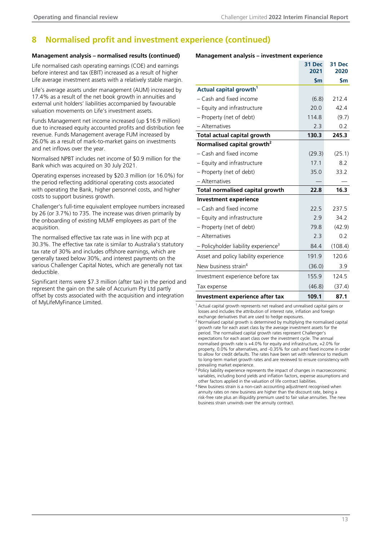### **8 Normalised profit and investment experience (continued)**

#### **Management analysis – normalised results (continued)**

Life normalised cash operating earnings (COE) and earnings before interest and tax (EBIT) increased as a result of higher Life average investment assets with a relatively stable margin.

Life's average assets under management (AUM) increased by 17.4% as a result of the net book growth in annuities and external unit holders' liabilities accompanied by favourable valuation movements on Life's investment assets.

Funds Management net income increased (up \$16.9 million) due to increased equity accounted profits and distribution fee revenue. Funds Management average FUM increased by 26.0% as a result of mark-to-market gains on investments and net inflows over the year.

Normalised NPBT includes net income of \$0.9 million for the Bank which was acquired on 30 July 2021.

Operating expenses increased by \$20.3 million (or 16.0%) for the period reflecting additional operating costs associated with operating the Bank, higher personnel costs, and higher costs to support business growth.

Challenger's full-time equivalent employee numbers increased by 26 (or 3.7%) to 735. The increase was driven primarily by the onboarding of existing MLMF employees as part of the acquisition.

The normalised effective tax rate was in line with pcp at 30.3%. The effective tax rate is similar to Australia's statutory tax rate of 30% and includes offshore earnings, which are generally taxed below 30%, and interest payments on the various Challenger Capital Notes, which are generally not tax deductible.

Significant items were \$7.3 million (after tax) in the period and represent the gain on the sale of Accurium Pty Ltd partly offset by costs associated with the acquisition and integration of MyLifeMyFinance Limited.

#### **Management analysis – investment experience**

|                                                  | 31 Dec<br>2021 | 31 Dec<br>2020 |
|--------------------------------------------------|----------------|----------------|
|                                                  | \$m\$          | \$m            |
| Actual capital growth <sup>1</sup>               |                |                |
| - Cash and fixed income                          | (6.8)          | 212.4          |
| - Equity and infrastructure                      | 20.0           | 42.4           |
| - Property (net of debt)                         | 114.8          | (9.7)          |
| - Alternatives                                   | 2.3            | 0.2            |
| <b>Total actual capital growth</b>               | 130.3          | 245.3          |
| Normalised capital growth <sup>2</sup>           |                |                |
| - Cash and fixed income                          | (29.3)         | (25.1)         |
| - Equity and infrastructure                      | 17.1           | 8.2            |
| - Property (net of debt)                         | 35.0           | 33.2           |
| - Alternatives                                   |                |                |
| <b>Total normalised capital growth</b>           | 22.8           | 16.3           |
| <b>Investment experience</b>                     |                |                |
| - Cash and fixed income                          | 22.5           | 237.5          |
| - Equity and infrastructure                      | 2.9            | 34.2           |
| - Property (net of debt)                         | 79.8           | (42.9)         |
| - Alternatives                                   | 2.3            | 0.2            |
| - Policyholder liability experience <sup>3</sup> | 84.4           | (108.4)        |
| Asset and policy liability experience            | 191.9          | 120.6          |
| New business strain <sup>4</sup>                 | (36.0)         | 3.9            |
| Investment experience before tax                 | 155.9          | 124.5          |
| Tax expense                                      | (46.8)         | (37.4)         |
|                                                  |                |                |

**Investment experience after tax 109.1 87.1** 

<sup>1</sup> Actual capital growth represents net realised and unrealised capital gains or losses and includes the attribution of interest rate, inflation and foreign exchange derivatives that are used to hedge exposures.

<sup>2</sup> Normalised capital growth is determined by multiplying the normalised capital growth rate for each asset class by the average investment assets for the period. The normalised capital growth rates represent Challenger's expectations for each asset class over the investment cycle. The annual normalised growth rate is +4.0% for equity and infrastructure, +2.0% for property, 0.0% for alternatives, and -0.35% for cash and fixed income in order to allow for credit defaults. The rates have been set with reference to medium to long-term market growth rates and are reviewed to ensure consistency with prevailing market experience.

<sup>3</sup> Policy liability experience represents the impact of changes in macroeconomic variables, including bond yields and inflation factors, expense assumptions and other factors applied in the valuation of life contract liabilities.

<sup>4</sup> New business strain is a non-cash accounting adjustment recognised when annuity rates on new business are higher than the discount rate, being a risk-free rate plus an illiquidity premium used to fair value annuities. The new business strain unwinds over the annuity contract.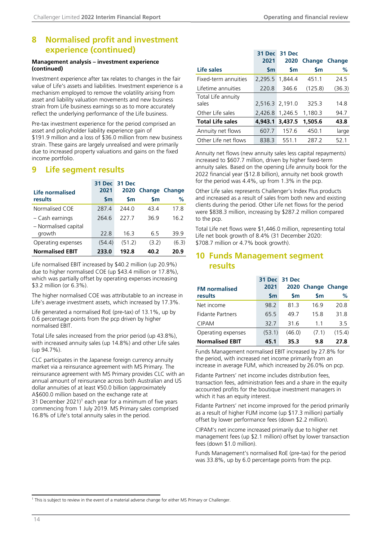### <span id="page-15-0"></span>**8 Normalised profit and investment experience (continued)**

#### **Management analysis – investment experience (continued)**

Investment experience after tax relates to changes in the fair value of Life's assets and liabilities. Investment experience is a mechanism employed to remove the volatility arising from asset and liability valuation movements and new business strain from Life business earnings so as to more accurately reflect the underlying performance of the Life business.

Pre-tax investment experience for the period comprised an asset and policyholder liability experience gain of \$191.9 million and a loss of \$36.0 million from new business strain. These gains are largely unrealised and were primarily due to increased property valuations and gains on the fixed income portfolio.

### **9 Life segment results**

| Life normalised        | 31 Dec<br>2021 | 31 Dec<br>2020 | <b>Change Change</b> |       |
|------------------------|----------------|----------------|----------------------|-------|
| results                | $\mathsf{S}$ m | <b>Sm</b>      | <b>Sm</b>            | %     |
| Normalised COE         | 2874           | 244 O          | 434                  | 178   |
| - Cash earnings        | 264.6          | <b>2277</b>    | 36.9                 | 16.2  |
| - Normalised capital   |                |                |                      |       |
| growth                 | 22 S           | 16.3           | 65                   | 399   |
| Operating expenses     | (54.4)         | (51.2)         | (3.2)                | (6.3) |
| <b>Normalised EBIT</b> | 233.0          | 192.8          | 40.2                 | 20.9  |

Life normalised EBIT increased by \$40.2 million (up 20.9%) due to higher normalised COE (up \$43.4 million or 17.8%), which was partially offset by operating expenses increasing \$3.2 million (or 6.3%).

The higher normalised COE was attributable to an increase in Life's average investment assets, which increased by 17.3%.

Life generated a normalised RoE (pre-tax) of 13.1%, up by 0.6 percentage points from the pcp driven by higher normalised EBIT.

Total Life sales increased from the prior period (up 43.8%), with increased annuity sales (up 14.8%) and other Life sales (up 94.7%).

CLC participates in the Japanese foreign currency annuity market via a reinsurance agreement with MS Primary. The reinsurance agreement with MS Primary provides CLC with an annual amount of reinsurance across both Australian and US dollar annuities of at least ¥50.0 billion (approximately A\$600.0 million based on the exchange rate at 31 December 2021)<sup>1</sup> each year for a minimum of five years commencing from 1 July 2019. MS Primary sales comprised 16.8% of Life's total annuity sales in the period.

|                             | 31 Dec<br>2021 | 31 Dec<br>2020  | <b>Change Change</b> |        |
|-----------------------------|----------------|-----------------|----------------------|--------|
| Life sales                  | <b>Sm</b>      | $\mathsf{sm}$   | <b>Sm</b>            | %      |
| Fixed-term annuities        | 2,295.5        | 1.844.4         | 451.1                | 24.5   |
| Lifetime annuities          | 220.8          | 346.6           | (125.8)              | (36.3) |
| Total Life annuity<br>sales |                | 2,516.3 2,191.0 | 325.3                | 14.8   |
| Other Life sales            | 2,426.8        | 1,246.5         | 1,180.3              | 94.7   |
| <b>Total Life sales</b>     | 4,943.1        | 3,437.5         | 1,505.6              | 43.8   |
| Annuity net flows           | 607.7          | 157.6           | 450.1                | large  |
| Other Life net flows        | 838.3          | 5511            | 287.2                | 52.1   |

Annuity net flows (new annuity sales less capital repayments) increased to \$607.7 million, driven by higher fixed-term annuity sales. Based on the opening Life annuity book for the 2022 financial year (\$12.8 billion), annuity net book growth for the period was 4.4%, up from 1.3% in the pcp.

Other Life sales represents Challenger's Index Plus products and increased as a result of sales from both new and existing clients during the period. Other Life net flows for the period were \$838.3 million, increasing by \$287.2 million compared to the pcp.

Total Life net flows were \$1,446.0 million, representing total Life net book growth of 8.4% (31 December 2020: \$708.7 million or 4.7% book growth).

### **10 Funds Management segment results**

| <b>FM</b> normalised    | 2021          | 31 Dec 31 Dec | 2020 Change Change |        |
|-------------------------|---------------|---------------|--------------------|--------|
| results                 | $\mathsf{sm}$ | <b>Sm</b>     | <b>Sm</b>          | ℅      |
| Net income              | 98.2          | 813           | 169                | 20.8   |
| <b>Fidante Partners</b> | 65.5          | 497           | 158                | 31.8   |
| <b>CIPAM</b>            | 32.7          | 316           | 11                 | 3.5    |
| Operating expenses      | (53.1)        | (46.0)        | (7.1)              | (15.4) |
| <b>Normalised EBIT</b>  | 45.1          | 35.3          | 9.8                | 27.8   |

Funds Management normalised EBIT increased by 27.8% for the period, with increased net income primarily from an increase in average FUM, which increased by 26.0% on pcp.

Fidante Partners' net income includes distribution fees, transaction fees, administration fees and a share in the equity accounted profits for the boutique investment managers in which it has an equity interest.

Fidante Partners' net income improved for the period primarily as a result of higher FUM income (up \$17.3 million) partially offset by lower performance fees (down \$2.2 million).

CIPAM's net income increased primarily due to higher net management fees (up \$2.1 million) offset by lower transaction fees (down \$1.0 million).

Funds Management's normalised RoE (pre-tax) for the period was 33.8%, up by 6.0 percentage points from the pcp.

<sup>1</sup> This is subject to review in the event of a material adverse change for either MS Primary or Challenger.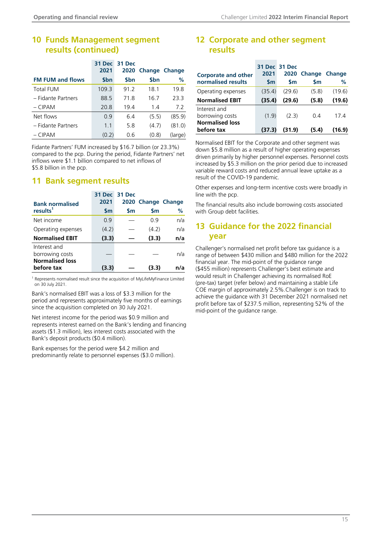### <span id="page-16-0"></span>**10 Funds Management segment results (continued)**

|                         | 31 Dec         | 31 Dec     |                      |         |
|-------------------------|----------------|------------|----------------------|---------|
|                         | 2021           | 2020       | <b>Change Change</b> |         |
| <b>FM FUM and flows</b> | \$bn           | <b>Sbn</b> | <b>Sbn</b>           | %       |
| <b>Total FUM</b>        | 109.3          | 91.2       | 18.1                 | 19.8    |
| - Fidante Partners      | 88.5           | 71.8       | 16.7                 | 23.3    |
| $-$ CIPAM               | 20.8           | 19.4       | 1.4                  | 7.2     |
| Net flows               | 0.9            | 6.4        | (5.5)                | (85.9)  |
| - Fidante Partners      | 1 <sub>1</sub> | 5.8        | (4.7)                | (81.0)  |
| $-$ CIPAM               | (0.2)          | 0.6        | (0.8)                | (large) |

Fidante Partners' FUM increased by \$16.7 billion (or 23.3%) compared to the pcp. During the period, Fidante Partners' net inflows were \$1.1 billion compared to net inflows of \$5.8 billion in the pcp.

### **11 Bank segment results**

| <b>Bank normalised</b>                                    | 31 Dec<br>2021 | 31 Dec | 2020 Change Change |     |
|-----------------------------------------------------------|----------------|--------|--------------------|-----|
| results <sup>1</sup>                                      | $\mathsf{Sm}$  | Sm     | <b>Sm</b>          | ℅   |
| Net income                                                | 09             |        | 0.9                | n/a |
| Operating expenses                                        | (4.2)          |        | (4.2)              | n/a |
| <b>Normalised EBIT</b>                                    | (3.3)          |        | (3.3)              | n/a |
| Interest and<br>borrowing costs<br><b>Normalised loss</b> |                |        |                    | n/a |
| before tax                                                | (3.3)          |        | (3.3)              | n/a |

<sup>1</sup> Represents normalised result since the acquisition of MyLifeMyFinance Limited on 30 July 2021.

Bank's normalised EBIT was a loss of \$3.3 million for the period and represents approximately five months of earnings since the acquisition completed on 30 July 2021.

Net interest income for the period was \$0.9 million and represents interest earned on the Bank's lending and financing assets (\$1.3 million), less interest costs associated with the Bank's deposit products (\$0.4 million).

Bank expenses for the period were \$4.2 million and predominantly relate to personnel expenses (\$3.0 million).

### **12 Corporate and other segment results**

|                            |               | 31 Dec 31 Dec |                    |        |
|----------------------------|---------------|---------------|--------------------|--------|
| <b>Corporate and other</b> | 2021          |               | 2020 Change Change |        |
| normalised results         | $\mathsf{Sm}$ | <b>Sm</b>     | <b>Sm</b>          | ℅      |
| Operating expenses         | (35.4)        | (29.6)        | (5.8)              | (19.6) |
| <b>Normalised EBIT</b>     | (35.4)        | (29.6)        | (5.8)              | (19.6) |
| Interest and               |               |               |                    |        |
| borrowing costs            | (1.9)         | (2.3)         | 0.4                | 174    |
| <b>Normalised loss</b>     |               |               |                    |        |
| before tax                 | (37.3)        | (31.9)        | (5.4)              | (16.9) |

Normalised EBIT for the Corporate and other segment was down \$5.8 million as a result of higher operating expenses driven primarily by higher personnel expenses. Personnel costs increased by \$5.3 million on the prior period due to increased variable reward costs and reduced annual leave uptake as a result of the COVID-19 pandemic.

Other expenses and long-term incentive costs were broadly in line with the pcp.

The financial results also include borrowing costs associated with Group debt facilities.

### **13 Guidance for the 2022 financial year**

Challenger's normalised net profit before tax guidance is a range of between \$430 million and \$480 million for the 2022 financial year. The mid-point of the guidance range (\$455 million) represents Challenger's best estimate and would result in Challenger achieving its normalised RoE (pre-tax) target (refer below) and maintaining a stable Life COE margin of approximately 2.5%.Challenger is on track to achieve the guidance with 31 December 2021 normalised net profit before tax of \$237.5 million, representing 52% of the mid-point of the guidance range.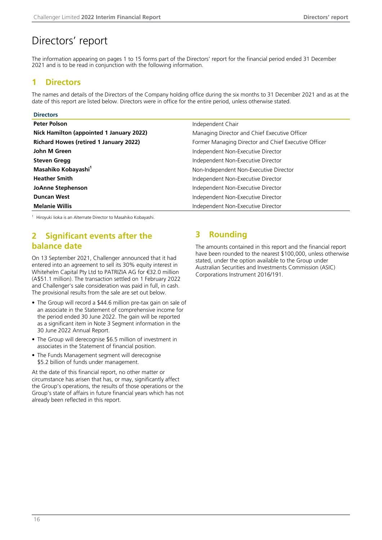# <span id="page-17-0"></span>Directors' report

The information appearing on pages 1 to 15 forms part of the Directors' report for the financial period ended 31 December 2021 and is to be read in conjunction with the following information.

### **1 Directors**

The names and details of the Directors of the Company holding office during the six months to 31 December 2021 and as at the date of this report are listed below. Directors were in office for the entire period, unless otherwise stated.

| <b>Directors</b>                              |                                                      |
|-----------------------------------------------|------------------------------------------------------|
| <b>Peter Polson</b>                           | Independent Chair                                    |
| Nick Hamilton (appointed 1 January 2022)      | Managing Director and Chief Executive Officer        |
| <b>Richard Howes (retired 1 January 2022)</b> | Former Managing Director and Chief Executive Officer |
| John M Green                                  | Independent Non-Executive Director                   |
| <b>Steven Gregg</b>                           | Independent Non-Executive Director                   |
| Masahiko Kobayashi <sup>1</sup>               | Non-Independent Non-Executive Director               |
| <b>Heather Smith</b>                          | Independent Non-Executive Director                   |
| <b>JoAnne Stephenson</b>                      | Independent Non-Executive Director                   |
| <b>Duncan West</b>                            | Independent Non-Executive Director                   |
| <b>Melanie Willis</b>                         | Independent Non-Executive Director                   |

<sup>1</sup> Hiroyuki lioka is an Alternate Director to Masahiko Kobayashi.

### **2 Significant events after the balance date**

On 13 September 2021, Challenger announced that it had entered into an agreement to sell its 30% equity interest in Whitehelm Capital Pty Ltd to PATRIZIA AG for €32.0 million (A\$51.1 million). The transaction settled on 1 February 2022 and Challenger's sale consideration was paid in full, in cash. The provisional results from the sale are set out below.

- The Group will record a \$44.6 million pre-tax gain on sale of an associate in the Statement of comprehensive income for the period ended 30 June 2022. The gain will be reported as a significant item in Note 3 Segment information in the 30 June 2022 Annual Report.
- The Group will derecognise \$6.5 million of investment in associates in the Statement of financial position.
- The Funds Management segment will derecognise \$5.2 billion of funds under management.

At the date of this financial report, no other matter or circumstance has arisen that has, or may, significantly affect the Group's operations, the results of those operations or the Group's state of affairs in future financial years which has not already been reflected in this report.

### **3 Rounding**

The amounts contained in this report and the financial report have been rounded to the nearest \$100,000, unless otherwise stated, under the option available to the Group under Australian Securities and Investments Commission (ASIC) Corporations Instrument 2016/191.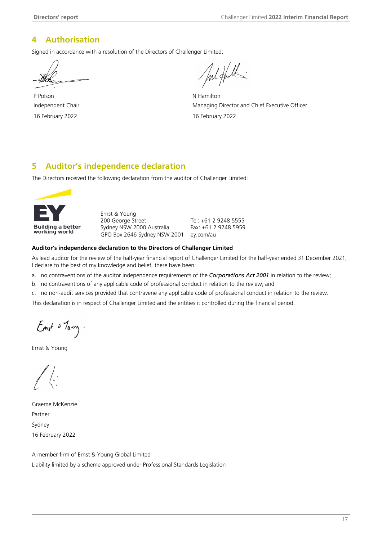### <span id="page-18-0"></span>**4 Authorisation**

Signed in accordance with a resolution of the Directors of Challenger Limited:

P Polson N Hamilton

Jul Hulk

Independent Chair **Managing Director and Chief Executive Officer** Managing Director and Chief Executive Officer 16 February 2022 16 February 2022

### **5 Auditor's independence declaration**

The Directors received the following declaration from the auditor of Challenger Limited:



Ernst & Young 200 George Street Sydney NSW 2000 Australia GPO Box 2646 Sydney NSW 2001 Tel: +61 2 9248 5555 Fax: +61 2 9248 5959 ey.com/au

#### **Auditor's independence declaration to the Directors of Challenger Limited**

As lead auditor for the review of the half-year financial report of Challenger Limited for the half-year ended 31 December 2021, I declare to the best of my knowledge and belief, there have been:

a. no contraventions of the auditor independence requirements of the *Corporations Act 2001* in relation to the review;

b. no contraventions of any applicable code of professional conduct in relation to the review; and

c. no non-audit services provided that contravene any applicable code of professional conduct in relation to the review.

This declaration is in respect of Challenger Limited and the entities it controlled during the financial period.

 $E_{mst}$  o  $7_{o\rightarrow v}$ .

Ernst & Young

Graeme McKenzie Partner Sydney 16 February 2022

A member firm of Ernst & Young Global Limited Liability limited by a scheme approved under Professional Standards Legislation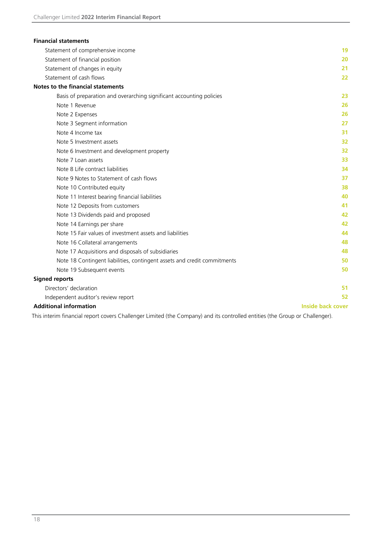<span id="page-19-0"></span>

| <b>Financial statements</b>                                              |                          |
|--------------------------------------------------------------------------|--------------------------|
| Statement of comprehensive income                                        | 19                       |
| Statement of financial position                                          | 20                       |
| Statement of changes in equity                                           | 21                       |
| Statement of cash flows                                                  | 22                       |
| Notes to the financial statements                                        |                          |
| Basis of preparation and overarching significant accounting policies     | 23                       |
| Note 1 Revenue                                                           | 26                       |
| Note 2 Expenses                                                          | 26                       |
| Note 3 Segment information                                               | 27                       |
| Note 4 Income tax                                                        | 31                       |
| Note 5 Investment assets                                                 | 32                       |
| Note 6 Investment and development property                               | 32                       |
| Note 7 Loan assets                                                       | 33                       |
| Note 8 Life contract liabilities                                         | 34                       |
| Note 9 Notes to Statement of cash flows                                  | 37                       |
| Note 10 Contributed equity                                               | 38                       |
| Note 11 Interest bearing financial liabilities                           | 40                       |
| Note 12 Deposits from customers                                          | 41                       |
| Note 13 Dividends paid and proposed                                      | 42                       |
| Note 14 Earnings per share                                               | 42                       |
| Note 15 Fair values of investment assets and liabilities                 | 44                       |
| Note 16 Collateral arrangements                                          | 48                       |
| Note 17 Acquisitions and disposals of subsidiaries                       | 48                       |
| Note 18 Contingent liabilities, contingent assets and credit commitments | 50                       |
| Note 19 Subsequent events                                                | 50                       |
| <b>Signed reports</b>                                                    |                          |
| Directors' declaration                                                   | 51                       |
| Independent auditor's review report                                      | 52                       |
| <b>Additional information</b>                                            | <b>Inside back cover</b> |

This interim financial report covers Challenger Limited (the Company) and its controlled entities (the Group or Challenger).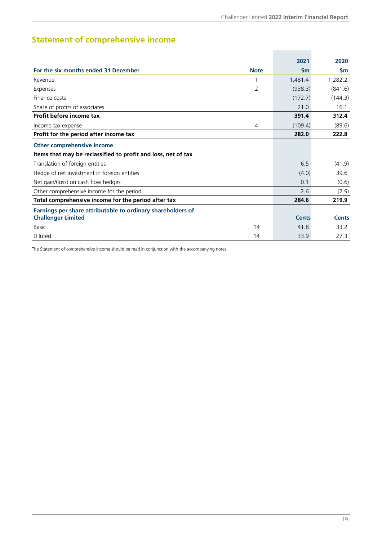**Contract Contract** 

# <span id="page-20-0"></span>**Statement of comprehensive income**

|                                                               |             | 2021         | 2020         |
|---------------------------------------------------------------|-------------|--------------|--------------|
| For the six months ended 31 December                          | <b>Note</b> | <b>Sm</b>    | <b>Sm</b>    |
| Revenue                                                       |             | 1,481.4      | 1,282.2      |
| Expenses                                                      | 2           | (938.3)      | (841.6)      |
| Finance costs                                                 |             | (172.7)      | (144.3)      |
| Share of profits of associates                                |             | 21.0         | 16.1         |
| Profit before income tax                                      |             | 391.4        | 312.4        |
| Income tax expense                                            | 4           | (109.4)      | (89.6)       |
| Profit for the period after income tax                        |             | 282.0        | 222.8        |
| Other comprehensive income                                    |             |              |              |
| Items that may be reclassified to profit and loss, net of tax |             |              |              |
| Translation of foreign entities                               |             | 6.5          | (41.9)       |
| Hedge of net investment in foreign entities                   |             | (4.0)        | 39.6         |
| Net gain/(loss) on cash flow hedges                           |             | 0.1          | (0.6)        |
| Other comprehensive income for the period                     |             | 2.6          | (2.9)        |
| Total comprehensive income for the period after tax           |             | 284.6        | 219.9        |
| Earnings per share attributable to ordinary shareholders of   |             |              |              |
| <b>Challenger Limited</b>                                     |             | <b>Cents</b> | <b>Cents</b> |
| <b>Basic</b>                                                  | 14          | 41.8         | 33.2         |
| <b>Diluted</b>                                                | 14          | 33.9         | 27.3         |

The Statement of comprehensive income should be read in conjunction with the accompanying notes.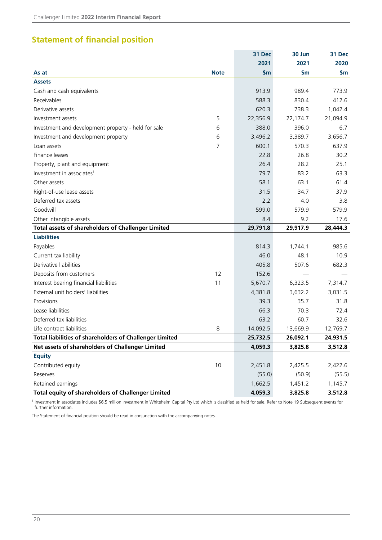### <span id="page-21-0"></span>**Statement of financial position**

|                                                         |             | 31 Dec         | 30 Jun   | 31 Dec   |
|---------------------------------------------------------|-------------|----------------|----------|----------|
|                                                         |             | 2021           | 2021     | 2020     |
| As at                                                   | <b>Note</b> | $\mathsf{S}$ m | \$m      | \$m      |
| <b>Assets</b>                                           |             |                |          |          |
| Cash and cash equivalents                               |             | 913.9          | 989.4    | 773.9    |
| Receivables                                             |             | 588.3          | 830.4    | 412.6    |
| Derivative assets                                       |             | 620.3          | 738.3    | 1,042.4  |
| Investment assets                                       | 5           | 22,356.9       | 22,174.7 | 21,094.9 |
| Investment and development property - held for sale     | 6           | 388.0          | 396.0    | 6.7      |
| Investment and development property                     | 6           | 3,496.2        | 3,389.7  | 3,656.7  |
| Loan assets                                             | 7           | 600.1          | 570.3    | 637.9    |
| Finance leases                                          |             | 22.8           | 26.8     | 30.2     |
| Property, plant and equipment                           |             | 26.4           | 28.2     | 25.1     |
| Investment in associates <sup>1</sup>                   |             | 79.7           | 83.2     | 63.3     |
| Other assets                                            |             | 58.1           | 63.1     | 61.4     |
| Right-of-use lease assets                               |             | 31.5           | 34.7     | 37.9     |
| Deferred tax assets                                     |             | 2.2            | 4.0      | 3.8      |
| Goodwill                                                |             | 599.0          | 579.9    | 579.9    |
| Other intangible assets                                 |             | 8.4            | 9.2      | 17.6     |
| Total assets of shareholders of Challenger Limited      |             | 29,791.8       | 29,917.9 | 28,444.3 |
| <b>Liabilities</b>                                      |             |                |          |          |
| Payables                                                |             | 814.3          | 1,744.1  | 985.6    |
| Current tax liability                                   |             | 46.0           | 48.1     | 10.9     |
| Derivative liabilities                                  |             | 405.8          | 507.6    | 682.3    |
| Deposits from customers                                 | 12          | 152.6          |          |          |
| Interest bearing financial liabilities                  | 11          | 5,670.7        | 6,323.5  | 7,314.7  |
| External unit holders' liabilities                      |             | 4,381.8        | 3,632.2  | 3,031.5  |
| Provisions                                              |             | 39.3           | 35.7     | 31.8     |
| Lease liabilities                                       |             | 66.3           | 70.3     | 72.4     |
| Deferred tax liabilities                                |             | 63.2           | 60.7     | 32.6     |
| Life contract liabilities                               | 8           | 14,092.5       | 13,669.9 | 12,769.7 |
| Total liabilities of shareholders of Challenger Limited |             | 25,732.5       | 26,092.1 | 24,931.5 |
| Net assets of shareholders of Challenger Limited        |             | 4,059.3        | 3,825.8  | 3,512.8  |
| <b>Equity</b>                                           |             |                |          |          |
| Contributed equity                                      | 10          | 2,451.8        | 2,425.5  | 2,422.6  |
| Reserves                                                |             | (55.0)         | (50.9)   | (55.5)   |
| Retained earnings                                       |             | 1,662.5        | 1,451.2  | 1,145.7  |
| Total equity of shareholders of Challenger Limited      |             | 4,059.3        | 3,825.8  | 3,512.8  |

<sup>1</sup> Investment in associates includes \$6.5 million investment in Whitehelm Capital Pty Ltd which is classified as held for sale. Refer to Note 19 Subsequent events for further information.

The Statement of financial position should be read in conjunction with the accompanying notes.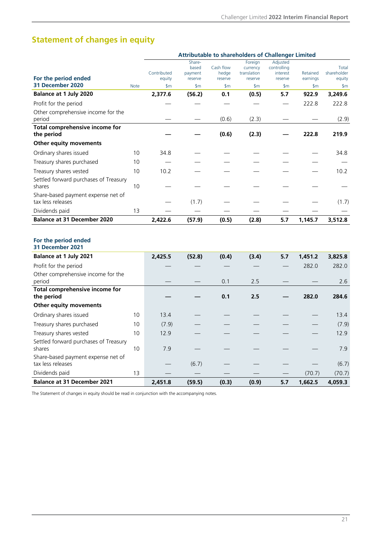# <span id="page-22-0"></span>**Statement of changes in equity**

|                                                                           |             | <b>Attributable to shareholders of Challenger Limited</b> |                                       |                               |                                               |                                                |                      |                                |
|---------------------------------------------------------------------------|-------------|-----------------------------------------------------------|---------------------------------------|-------------------------------|-----------------------------------------------|------------------------------------------------|----------------------|--------------------------------|
| For the period ended                                                      |             | Contributed<br>equity                                     | Share-<br>based<br>payment<br>reserve | Cash flow<br>hedge<br>reserve | Foreign<br>currency<br>translation<br>reserve | Adjusted<br>controlling<br>interest<br>reserve | Retained<br>earnings | Total<br>shareholder<br>equity |
| 31 December 2020                                                          | <b>Note</b> | \$m\$                                                     | $\mathsf{S}$ m                        | $\mathsf{S}$ m                | \$m\$                                         | \$m\$                                          | \$m\$                | \$m\$                          |
| <b>Balance at 1 July 2020</b>                                             |             | 2,377.6                                                   | (56.2)                                | 0.1                           | (0.5)                                         | 5.7                                            | 922.9                | 3,249.6                        |
| Profit for the period                                                     |             |                                                           |                                       |                               |                                               |                                                | 222.8                | 222.8                          |
| Other comprehensive income for the<br>period                              |             |                                                           |                                       | (0.6)                         | (2.3)                                         |                                                |                      | (2.9)                          |
| Total comprehensive income for<br>the period                              |             |                                                           |                                       | (0.6)                         | (2.3)                                         |                                                | 222.8                | 219.9                          |
| Other equity movements                                                    |             |                                                           |                                       |                               |                                               |                                                |                      |                                |
| Ordinary shares issued                                                    | 10          | 34.8                                                      |                                       |                               |                                               |                                                |                      | 34.8                           |
| Treasury shares purchased                                                 | 10          |                                                           |                                       |                               |                                               |                                                |                      |                                |
| Treasury shares vested                                                    | 10          | 10.2                                                      |                                       |                               |                                               |                                                |                      | 10.2                           |
| Settled forward purchases of Treasury<br>shares                           | 10          |                                                           |                                       |                               |                                               |                                                |                      |                                |
| Share-based payment expense net of<br>tax less releases                   |             |                                                           | (1.7)                                 |                               |                                               |                                                |                      | (1.7)                          |
| Dividends paid                                                            | 13          |                                                           |                                       |                               |                                               |                                                |                      |                                |
| <b>Balance at 31 December 2020</b>                                        |             | 2,422.6                                                   | (57.9)                                | (0.5)                         | (2.8)                                         | 5.7                                            | 1,145.7              | 3,512.8                        |
| For the period ended<br>31 December 2021<br><b>Balance at 1 July 2021</b> |             | 2,425.5                                                   | (52.8)                                | (0.4)                         | (3.4)                                         | 5.7                                            | 1,451.2              | 3,825.8                        |
| Profit for the period                                                     |             |                                                           |                                       |                               |                                               |                                                | 282.0                | 282.0                          |
| Other comprehensive income for the<br>period                              |             |                                                           |                                       | 0.1                           | 2.5                                           |                                                |                      | 2.6                            |
| Total comprehensive income for<br>the period                              |             |                                                           |                                       | 0.1                           | 2.5                                           |                                                | 282.0                | 284.6                          |
| <b>Other equity movements</b>                                             |             |                                                           |                                       |                               |                                               |                                                |                      |                                |
| Ordinary shares issued                                                    | 10          | 13.4                                                      |                                       |                               |                                               |                                                |                      | 13.4                           |
| Treasury shares purchased                                                 | 10          | (7.9)                                                     |                                       |                               |                                               |                                                |                      | (7.9)                          |
| Treasury shares vested                                                    | 10          | 12.9                                                      |                                       |                               |                                               |                                                |                      | 12.9                           |
| Settled forward purchases of Treasury<br>shares                           | 10          | 7.9                                                       |                                       |                               |                                               |                                                |                      | 7.9                            |
| Share-based payment expense net of<br>tax less releases                   |             |                                                           | (6.7)                                 |                               |                                               |                                                |                      | (6.7)                          |
| Dividends paid                                                            | 13          |                                                           |                                       |                               |                                               |                                                | (70.7)               | (70.7)                         |
| <b>Balance at 31 December 2021</b>                                        |             | 2,451.8                                                   | (59.5)                                | (0.3)                         | (0.9)                                         | 5.7                                            | 1,662.5              | 4,059.3                        |

The Statement of changes in equity should be read in conjunction with the accompanying notes.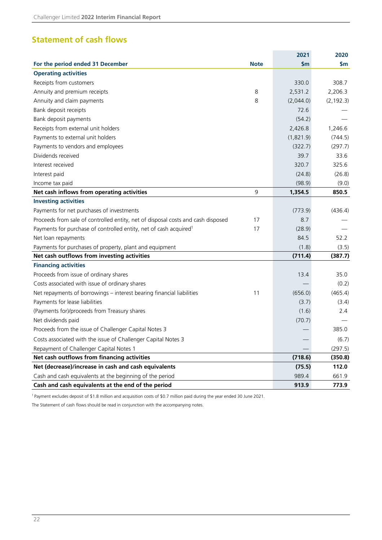### <span id="page-23-0"></span>**Statement of cash flows**

|                                                                                  |             | 2021      | 2020          |
|----------------------------------------------------------------------------------|-------------|-----------|---------------|
| For the period ended 31 December                                                 | <b>Note</b> | \$m       | $\mathsf{sm}$ |
| <b>Operating activities</b>                                                      |             |           |               |
| Receipts from customers                                                          |             | 330.0     | 308.7         |
| Annuity and premium receipts                                                     | 8           | 2,531.2   | 2,206.3       |
| Annuity and claim payments                                                       | 8           | (2,044.0) | (2, 192.3)    |
| Bank deposit receipts                                                            |             | 72.6      |               |
| Bank deposit payments                                                            |             | (54.2)    |               |
| Receipts from external unit holders                                              |             | 2,426.8   | 1,246.6       |
| Payments to external unit holders                                                |             | (1,821.9) | (744.5)       |
| Payments to vendors and employees                                                |             | (322.7)   | (297.7)       |
| Dividends received                                                               |             | 39.7      | 33.6          |
| Interest received                                                                |             | 320.7     | 325.6         |
| Interest paid                                                                    |             | (24.8)    | (26.8)        |
| Income tax paid                                                                  |             | (98.9)    | (9.0)         |
| Net cash inflows from operating activities                                       | 9           | 1,354.5   | 850.5         |
| <b>Investing activities</b>                                                      |             |           |               |
| Payments for net purchases of investments                                        |             | (773.9)   | (436.4)       |
| Proceeds from sale of controlled entity, net of disposal costs and cash disposed | 17          | 8.7       |               |
| Payments for purchase of controlled entity, net of cash acquired <sup>1</sup>    | 17          | (28.9)    |               |
| Net loan repayments                                                              |             | 84.5      | 52.2          |
| Payments for purchases of property, plant and equipment                          |             | (1.8)     | (3.5)         |
| Net cash outflows from investing activities                                      |             | (711.4)   | (387.7)       |
| <b>Financing activities</b>                                                      |             |           |               |
| Proceeds from issue of ordinary shares                                           |             | 13.4      | 35.0          |
| Costs associated with issue of ordinary shares                                   |             |           | (0.2)         |
| Net repayments of borrowings - interest bearing financial liabilities            | 11          | (656.0)   | (465.4)       |
| Payments for lease liabilities                                                   |             | (3.7)     | (3.4)         |
| (Payments for)/proceeds from Treasury shares                                     |             | (1.6)     | 2.4           |
| Net dividends paid                                                               |             | (70.7)    |               |
| Proceeds from the issue of Challenger Capital Notes 3                            |             |           | 385.0         |
| Costs associated with the issue of Challenger Capital Notes 3                    |             |           | (6.7)         |
| Repayment of Challenger Capital Notes 1                                          |             |           | (297.5)       |
| Net cash outflows from financing activities                                      |             | (718.6)   | (350.8)       |
| Net (decrease)/increase in cash and cash equivalents                             |             | (75.5)    | 112.0         |
| Cash and cash equivalents at the beginning of the period                         |             | 989.4     | 661.9         |
| Cash and cash equivalents at the end of the period                               |             | 913.9     | 773.9         |

<sup>1</sup>Payment excludes deposit of \$1.8 million and acquisition costs of \$0.7 million paid during the year ended 30 June 2021.

The Statement of cash flows should be read in conjunction with the accompanying notes.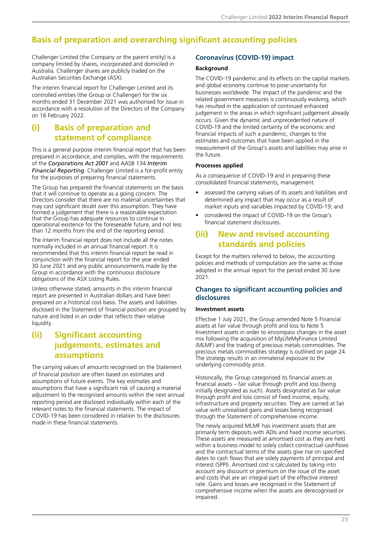### <span id="page-24-0"></span>**Basis of preparation and overarching significant accounting policies**

Challenger Limited (the Company or the parent entity) is a company limited by shares, incorporated and domiciled in Australia. Challenger shares are publicly traded on the Australian Securities Exchange (ASX).

The interim financial report for Challenger Limited and its controlled entities (the Group or Challenger) for the six months ended 31 December 2021 was authorised for issue in accordance with a resolution of the Directors of the Company on 16 February 2022.

### **(i) Basis of preparation and statement of compliance**

This is a general purpose interim financial report that has been prepared in accordance, and complies, with the requirements of the *Corporations Act 2001* and AASB 134 *Interim Financial Reporting*. Challenger Limited is a for-profit entity for the purposes of preparing financial statements.

The Group has prepared the financial statements on the basis that it will continue to operate as a going concern. The Directors consider that there are no material uncertainties that may cast significant doubt over this assumption. They have formed a judgement that there is a reasonable expectation that the Group has adequate resources to continue in operational existence for the foreseeable future, and not less than 12 months from the end of the reporting period.

The interim financial report does not include all the notes normally included in an annual financial report. It is recommended that this interim financial report be read in conjunction with the financial report for the year ended 30 June 2021 and any public announcements made by the Group in accordance with the continuous disclosure obligations of the ASX Listing Rules.

Unless otherwise stated, amounts in this interim financial report are presented in Australian dollars and have been prepared on a historical cost basis. The assets and liabilities disclosed in the Statement of financial position are grouped by nature and listed in an order that reflects their relative liquidity.

### **(ii) Significant accounting judgements, estimates and assumptions**

The carrying values of amounts recognised on the Statement of financial position are often based on estimates and assumptions of future events. The key estimates and assumptions that have a significant risk of causing a material adjustment to the recognised amounts within the next annual reporting period are disclosed individually within each of the relevant notes to the financial statements. The impact of COVID-19 has been considered in relation to the disclosures made in these financial statements.

#### **Coronavirus (COVID-19) impact**

#### **Background**

The COVID-19 pandemic and its effects on the capital markets and global economy continue to pose uncertainty for businesses worldwide. The impact of the pandemic and the related government measures is continuously evolving, which has resulted in the application of continued enhanced judgement in the areas in which significant judgement already occurs. Given the dynamic and unprecedented nature of COVID-19 and the limited certainty of the economic and financial impacts of such a pandemic, changes to the estimates and outcomes that have been applied in the measurement of the Group's assets and liabilities may arise in the future.

#### **Processes applied**

As a consequence of COVID-19 and in preparing these consolidated financial statements, management:

- assessed the carrying values of its assets and liabilities and determined any impact that may occur as a result of market inputs and variables impacted by COVID-19; and
- considered the impact of COVID-19 on the Group's financial statement disclosures.

### **(iii) New and revised accounting standards and policies**

Except for the matters referred to below, the accounting policies and methods of computation are the same as those adopted in the annual report for the period ended 30 June 2021.

#### **Changes to significant accounting policies and disclosures**

#### **Investment assets**

Effective 1 July 2021, the Group amended Note 5 Financial assets at fair value through profit and loss to Note 5 Investment assets in order to encompass changes in the asset mix following the acquisition of MyLifeMyFinance Limited (MLMF) and the trading of precious metals commodities. The precious metals commodities strategy is outlined on page 24. The strategy results in an immaterial exposure to the underlying commodity price.

Historically, the Group categorised its financial assets as financial assets – fair value through profit and loss (being initially designated as such). Assets designated as fair value through profit and loss consist of fixed income, equity, infrastructure and property securities. They are carried at fair value with unrealised gains and losses being recognised through the Statement of comprehensive income.

The newly acquired MLMF has investment assets that are primarily term deposits with ADIs and fixed income securities. These assets are measured at amortised cost as they are held within a business model to solely collect contractual cashflows and the contractual terms of the assets give rise on specified dates to cash flows that are solely payments of principal and interest (SPPI). Amortised cost is calculated by taking into account any discount or premium on the issue of the asset and costs that are an integral part of the effective interest rate. Gains and losses are recognised in the Statement of comprehensive income when the assets are derecognised or impaired.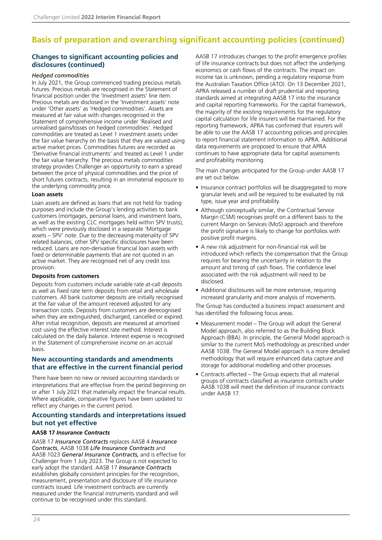### **Basis of preparation and overarching significant accounting policies (continued)**

#### **Changes to significant accounting policies and disclosures (continued)**

#### *Hedged commodities*

In July 2021, the Group commenced trading precious metals futures. Precious metals are recognised in the Statement of financial position under the 'Investment assets' line item. Precious metals are disclosed in the 'Investment assets' note under 'Other assets' as 'Hedged commodities'. Assets are measured at fair value with changes recognised in the Statement of comprehensive income under 'Realised and unrealised gains/losses on hedged commodities'. Hedged commodities are treated as Level 1 investment assets under the fair value hierarchy on the basis that they are valued using active market prices. Commodities futures are recorded as 'Derivative financial instruments' and treated as Level 1 under the fair value hierarchy. The precious metals commodities strategy provides Challenger an opportunity to earn a spread between the price of physical commodities and the price of short futures contracts, resulting in an immaterial exposure to the underlying commodity price.

#### **Loan assets**

Loan assets are defined as loans that are not held for trading purposes and include the Group's lending activities to bank customers (mortgages, personal loans, and investment loans, as well as the existing CLC mortgages held within SPV trusts), which were previously disclosed in a separate 'Mortgage assets – SPV' note. Due to the decreasing materiality of SPV related balances, other SPV specific disclosures have been reduced. Loans are non-derivative financial loan assets with fixed or determinable payments that are not quoted in an active market. They are recognised net of any credit loss provision.

#### **Deposits from customers**

Deposits from customers include variable rate at-call deposits as well as fixed rate term deposits from retail and wholesale customers. All bank customer deposits are initially recognised at the fair value of the amount received adjusted for any transaction costs. Deposits from customers are derecognised when they are extinguished, discharged, cancelled or expired. After initial recognition, deposits are measured at amortised cost using the effective interest rate method. Interest is calculated on the daily balance. Interest expense is recognised in the Statement of comprehensive income on an accrual basis.

#### **New accounting standards and amendments that are effective in the current financial period**

There have been no new or revised accounting standards or interpretations that are effective from the period beginning on or after 1 July 2021 that materially impact the financial results. Where applicable, comparative figures have been updated to reflect any changes in the current period.

#### **Accounting standards and interpretations issued but not yet effective**

#### **AASB 17** *Insurance Contracts*

AASB 17 *Insurance Contracts* replaces AASB 4 *Insurance Contracts*, AASB 1038 *Life Insurance Contracts* and AASB 1023 *General Insurance Contracts,* and is effective for Challenger from 1 July 2023. The Group is not expected to early adopt the standard. AASB 17 *Insurance Contracts* establishes globally consistent principles for the recognition, measurement, presentation and disclosure of life insurance contracts issued. Life investment contracts are currently measured under the financial instruments standard and will continue to be recognised under this standard.

AASB 17 introduces changes to the profit emergence profiles of life insurance contracts but does not affect the underlying economics or cash flows of the contracts. The impact on income tax is unknown, pending a regulatory response from the Australian Taxation Office (ATO). On 13 December 2021, APRA released a number of draft prudential and reporting standards aimed at integrating AASB 17 into the insurance and capital reporting frameworks. For the capital framework, the majority of the existing requirements for the regulatory capital calculation for life insurers will be maintained. For the reporting framework, APRA has confirmed that insurers will be able to use the AASB 17 accounting policies and principles to report financial statement information to APRA. Additional data requirements are proposed to ensure that APRA continues to have appropriate data for capital assessments and profitability monitoring.

The main changes anticipated for the Group under AASB 17 are set out below.

- Insurance contract portfolios will be disaggregated to more granular levels and will be required to be evaluated by risk type, issue year and profitability.
- Although conceptually similar, the Contractual Service Margin (CSM) recognises profit on a different basis to the current Margin on Services (MoS) approach and therefore the profit signature is likely to change for portfolios with positive profit margins.
- A new risk adjustment for non-financial risk will be introduced which reflects the compensation that the Group requires for bearing the uncertainty in relation to the amount and timing of cash flows. The confidence level associated with the risk adjustment will need to be disclosed.
- Additional disclosures will be more extensive, requiring increased granularity and more analysis of movements.

The Group has conducted a business impact assessment and has identified the following focus areas.

- Measurement model The Group will adopt the General Model approach, also referred to as the Building Block Approach (BBA). In principle, the General Model approach is similar to the current MoS methodology as prescribed under AASB 1038. The General Model approach is a more detailed methodology that will require enhanced data capture and storage for additional modelling and other processes.
- Contracts affected The Group expects that all material groups of contracts classified as insurance contracts under AASB 1038 will meet the definition of insurance contracts under AASB 17.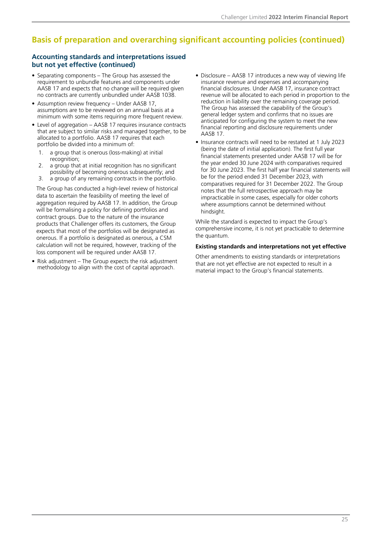### **Basis of preparation and overarching significant accounting policies (continued)**

#### **Accounting standards and interpretations issued but not yet effective (continued)**

- Separating components The Group has assessed the requirement to unbundle features and components under AASB 17 and expects that no change will be required given no contracts are currently unbundled under AASB 1038.
- Assumption review frequency Under AASB 17, assumptions are to be reviewed on an annual basis at a minimum with some items requiring more frequent review.
- Level of aggregation AASB 17 requires insurance contracts that are subject to similar risks and managed together, to be allocated to a portfolio. AASB 17 requires that each portfolio be divided into a minimum of:
	- 1. a group that is onerous (loss-making) at initial recognition;
	- 2. a group that at initial recognition has no significant possibility of becoming onerous subsequently; and
	- 3. a group of any remaining contracts in the portfolio.

The Group has conducted a high-level review of historical data to ascertain the feasibility of meeting the level of aggregation required by AASB 17. In addition, the Group will be formalising a policy for defining portfolios and contract groups. Due to the nature of the insurance products that Challenger offers its customers, the Group expects that most of the portfolios will be designated as onerous. If a portfolio is designated as onerous, a CSM calculation will not be required, however, tracking of the loss component will be required under AASB 17.

• Risk adjustment – The Group expects the risk adjustment methodology to align with the cost of capital approach.

- Disclosure AASB 17 introduces a new way of viewing life insurance revenue and expenses and accompanying financial disclosures. Under AASB 17, insurance contract revenue will be allocated to each period in proportion to the reduction in liability over the remaining coverage period. The Group has assessed the capability of the Group's general ledger system and confirms that no issues are anticipated for configuring the system to meet the new financial reporting and disclosure requirements under AASB 17.
- Insurance contracts will need to be restated at 1 July 2023 (being the date of initial application). The first full year financial statements presented under AASB 17 will be for the year ended 30 June 2024 with comparatives required for 30 June 2023. The first half year financial statements will be for the period ended 31 December 2023, with comparatives required for 31 December 2022. The Group notes that the full retrospective approach may be impracticable in some cases, especially for older cohorts where assumptions cannot be determined without hindsight.

While the standard is expected to impact the Group's comprehensive income, it is not yet practicable to determine the quantum.

#### **Existing standards and interpretations not yet effective**

Other amendments to existing standards or interpretations that are not yet effective are not expected to result in a material impact to the Group's financial statements.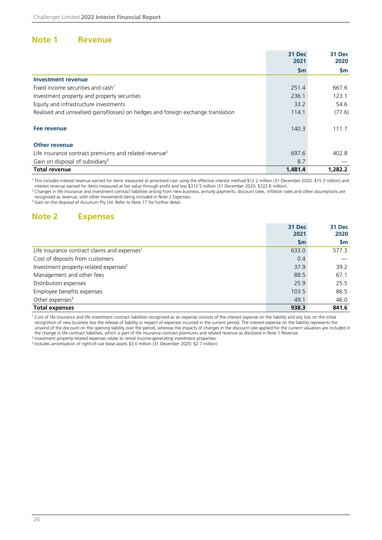#### <span id="page-27-0"></span>**Note 1 Revenue**

|                                                                                   | 31 Dec<br>2021 | 31 Dec<br>2020 |
|-----------------------------------------------------------------------------------|----------------|----------------|
|                                                                                   | <b>Sm</b>      | \$m            |
| <b>Investment revenue</b>                                                         |                |                |
| Fixed income securities and cash <sup>1</sup>                                     | 251.4          | 667.6          |
| Investment property and property securities                                       | 236.1          | 123.1          |
| Equity and infrastructure investments                                             | 33.2           | 54.6           |
| Realised and unrealised gains/(losses) on hedges and foreign exchange translation | 114.1          | (77.6)         |
| Fee revenue                                                                       | 140.3          | 111.7          |
| <b>Other revenue</b>                                                              |                |                |
| Life insurance contract premiums and related revenue <sup>2</sup>                 | 697.6          | 402.8          |
| Gain on disposal of subsidiary <sup>3</sup>                                       | 8.7            |                |
| <b>Total revenue</b>                                                              | 1,481.4        | 1,282.2        |

<sup>1</sup> This includes interest revenue earned for items measured at amortised cost using the effective interest method \$12.2 million (31 December 2020: \$15.3 million) and

interest revenue earned for items measured at fair value through profit and loss \$312.5 million (31 December 2020: \$322.6 million). <sup>2</sup> Changes in life insurance and investment contract liabilities arising from new business, annuity payments, discount rates, inflation rates and other assumptions are

recognised as revenue, with other movements being included in Note 2 Expenses. <sup>3</sup> Gain on the disposal of Accurium Pty Ltd. Refer to Note 17 for further detail.

### **Note 2 Expenses**

|                                                          | 31 Dec<br>2021 | 31 Dec<br>2020 |
|----------------------------------------------------------|----------------|----------------|
|                                                          | $\mathsf{Sm}$  | <b>Sm</b>      |
| Life insurance contract claims and expenses <sup>1</sup> | 633.0          | 577.3          |
| Cost of deposits from customers                          | 0.4            |                |
| Investment property-related expenses <sup>2</sup>        | 37.9           | 39.2           |
| Management and other fees                                | 88.5           | 67.1           |
| Distribution expenses                                    | 25.9           | 25.5           |
| Employee benefits expenses                               | 103.5          | 86.5           |
| Other expenses <sup>3</sup>                              | 49.1           | 46.0           |
| <b>Total expenses</b>                                    | 938.3          | 841.6          |

<sup>1</sup> Cost of life insurance and life investment contract liabilities recognised as an expense consists of the interest expense on the liability and any loss on the initial recognition of new business less the release of liability in respect of expenses incurred in the current period. The interest expense on the liability represents the unwind of the discount on the opening liability over the period, whereas the impacts of changes in the discount rate applied for the current valuation are included in the change in life contract liabilities, which is part of life insurance contract premiums and related revenue as disclosed in Note 1 Revenue.

2 Investment property-related expenses relate to rental income-generating investment properties.

<sup>3</sup> Includes amortisation of right-of-use lease assets \$3.0 million (31 December 2020: \$2.7 million).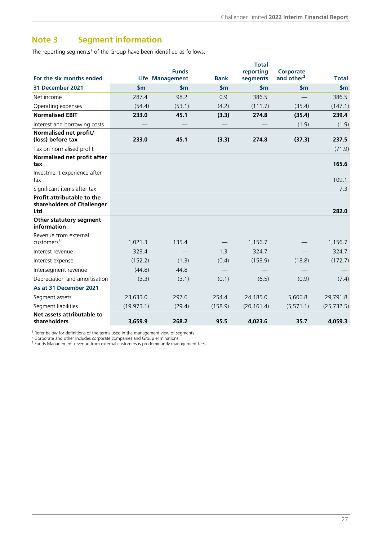### <span id="page-28-0"></span>**Note 3 Segment information**

The reporting segments<sup>1</sup> of the Group have been identified as follows.

| For the six months ended                                        |               | <b>Funds</b><br><b>Life Management</b> | <b>Bank</b>   | <b>Total</b><br>reporting<br>segments | <b>Corporate</b><br>and other <sup>2</sup> | <b>Total</b>  |
|-----------------------------------------------------------------|---------------|----------------------------------------|---------------|---------------------------------------|--------------------------------------------|---------------|
| 31 December 2021                                                | $\mathsf{sm}$ | $\mathsf{S}$ m                         | $\mathsf{Sm}$ | $\mathsf{S}$ m                        | $\mathsf{S}$ m                             | $\mathsf{Sm}$ |
| Net income                                                      | 287.4         | 98.2                                   | 0.9           | 386.5                                 |                                            | 386.5         |
| Operating expenses                                              | (54.4)        | (53.1)                                 | (4.2)         | (111.7)                               | (35.4)                                     | (147.1)       |
| <b>Normalised EBIT</b>                                          | 233.0         | 45.1                                   | (3.3)         | 274.8                                 | (35.4)                                     | 239.4         |
| Interest and borrowing costs                                    |               |                                        |               |                                       | (1.9)                                      | (1.9)         |
| Normalised net profit/<br>(loss) before tax                     | 233.0         | 45.1                                   | (3.3)         | 274.8                                 | (37.3)                                     | 237.5         |
| Tax on normalised profit                                        |               |                                        |               |                                       |                                            | (71.9)        |
| Normalised net profit after<br>tax                              |               |                                        |               |                                       |                                            | 165.6         |
| Investment experience after<br>tax                              |               |                                        |               |                                       |                                            | 109.1         |
| Significant items after tax                                     |               |                                        |               |                                       |                                            | 7.3           |
| Profit attributable to the<br>shareholders of Challenger<br>Ltd |               |                                        |               |                                       |                                            | 282.0         |
| Other statutory segment<br>information                          |               |                                        |               |                                       |                                            |               |
| Revenue from external<br>$cuts$ tomers <sup>3</sup>             | 1,021.3       | 135.4                                  |               | 1,156.7                               |                                            | 1,156.7       |
| Interest revenue                                                | 323.4         |                                        | 1.3           | 324.7                                 |                                            | 324.7         |
| Interest expense                                                | (152.2)       | (1.3)                                  | (0.4)         | (153.9)                               | (18.8)                                     | (172.7)       |
| Intersegment revenue                                            | (44.8)        | 44.8                                   |               |                                       |                                            |               |
| Depreciation and amortisation                                   | (3.3)         | (3.1)                                  | (0.1)         | (6.5)                                 | (0.9)                                      | (7.4)         |
| As at 31 December 2021                                          |               |                                        |               |                                       |                                            |               |
| Segment assets                                                  | 23,633.0      | 297.6                                  | 254.4         | 24,185.0                              | 5,606.8                                    | 29,791.8      |
| Segment liabilities                                             | (19, 973.1)   | (29.4)                                 | (158.9)       | (20, 161.4)                           | (5, 571.1)                                 | (25, 732.5)   |
| Net assets attributable to<br>shareholders                      | 3,659.9       | 268.2                                  | 95.5          | 4,023.6                               | 35.7                                       | 4,059.3       |

<sup>1</sup> Refer below for definitions of the terms used in the management view of segments.

<sup>2</sup> Corporate and other includes corporate companies and Group eliminations.<br><sup>3</sup> Funds Management revenue from external customers is predominantly management fees.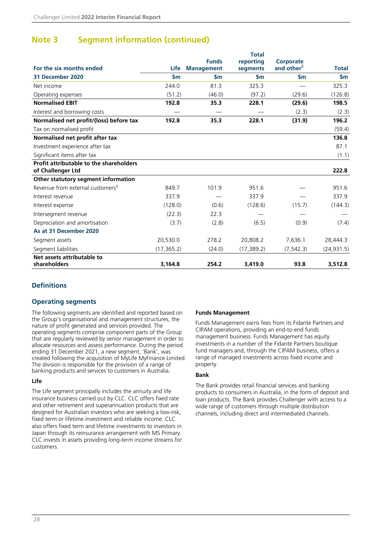### **Note 3 Segment information (continued)**

|                                                              |                |                   | <b>Total</b>  |                        |              |
|--------------------------------------------------------------|----------------|-------------------|---------------|------------------------|--------------|
|                                                              |                | <b>Funds</b>      | reporting     | Corporate              |              |
| For the six months ended                                     | Life           | <b>Management</b> | segments      | and other <sup>2</sup> | <b>Total</b> |
| 31 December 2020                                             | $\mathsf{S}$ m | $\mathsf{Sm}$     | $\mathsf{sm}$ | $\mathsf{S}$ m         | \$m          |
| Net income                                                   | 244.0          | 81.3              | 325.3         |                        | 325.3        |
| Operating expenses                                           | (51.2)         | (46.0)            | (97.2)        | (29.6)                 | (126.8)      |
| <b>Normalised EBIT</b>                                       | 192.8          | 35.3              | 228.1         | (29.6)                 | 198.5        |
| Interest and borrowing costs                                 |                |                   |               | (2.3)                  | (2.3)        |
| Normalised net profit/(loss) before tax                      | 192.8          | 35.3              | 228.1         | (31.9)                 | 196.2        |
| Tax on normalised profit                                     |                |                   |               |                        | (59.4)       |
| Normalised net profit after tax                              |                |                   |               |                        | 136.8        |
| Investment experience after tax                              |                |                   |               |                        | 87.1         |
| Significant items after tax                                  |                |                   |               |                        | (1.1)        |
| Profit attributable to the shareholders<br>of Challenger Ltd |                |                   |               |                        | 222.8        |
| Other statutory segment information                          |                |                   |               |                        |              |
| Revenue from external customers <sup>3</sup>                 | 849.7          | 101.9             | 951.6         |                        | 951.6        |
| Interest revenue                                             | 337.9          |                   | 337.9         |                        | 337.9        |
| Interest expense                                             | (128.0)        | (0.6)             | (128.6)       | (15.7)                 | (144.3)      |
| Intersegment revenue                                         | (22.3)         | 22.3              |               |                        |              |
| Depreciation and amortisation                                | (3.7)          | (2.8)             | (6.5)         | (0.9)                  | (7.4)        |
| As at 31 December 2020                                       |                |                   |               |                        |              |
| Segment assets                                               | 20,530.0       | 278.2             | 20,808.2      | 7,636.1                | 28,444.3     |
| Segment liabilities                                          | (17, 365.2)    | (24.0)            | (17, 389.2)   | (7, 542.3)             | (24, 931.5)  |
| Net assets attributable to                                   |                |                   |               |                        |              |
| shareholders                                                 | 3,164.8        | 254.2             | 3,419.0       | 93.8                   | 3,512.8      |

#### **Definitions**

#### **Operating segments**

The following segments are identified and reported based on the Group's organisational and management structures, the nature of profit generated and services provided. The operating segments comprise component parts of the Group that are regularly reviewed by senior management in order to allocate resources and assess performance. During the period ending 31 December 2021, a new segment, 'Bank', was created following the acquisition of MyLife MyFinance Limited. The division is responsible for the provision of a range of banking products and services to customers in Australia.

#### **Life**

The Life segment principally includes the annuity and life insurance business carried out by CLC. CLC offers fixed rate and other retirement and superannuation products that are designed for Australian investors who are seeking a low-risk, fixed term or lifetime investment and reliable income. CLC also offers fixed term and lifetime investments to investors in Japan through its reinsurance arrangement with MS Primary. CLC invests in assets providing long-term income streams for customers.

#### **Funds Management**

Funds Management earns fees from its Fidante Partners and CIPAM operations, providing an end-to-end funds management business. Funds Management has equity investments in a number of the Fidante Partners boutique fund managers and, through the CIPAM business, offers a range of managed investments across fixed income and property.

#### **Bank**

The Bank provides retail financial services and banking products to consumers in Australia, in the form of deposit and loan products. The Bank provides Challenger with access to a wide range of customers through multiple distribution channels, including direct and intermediated channels.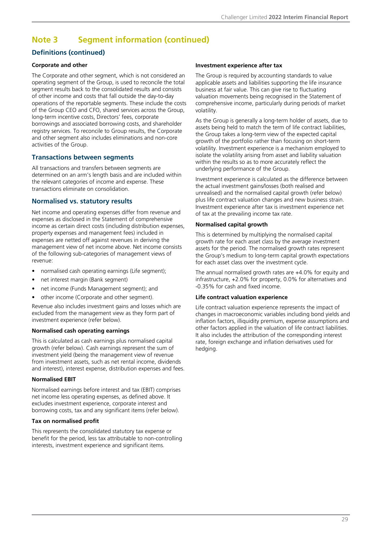### **Note 3 Segment information (continued)**

#### **Definitions (continued)**

#### **Corporate and other**

The Corporate and other segment, which is not considered an operating segment of the Group, is used to reconcile the total segment results back to the consolidated results and consists of other income and costs that fall outside the day-to-day operations of the reportable segments. These include the costs of the Group CEO and CFO, shared services across the Group, long-term incentive costs, Directors' fees, corporate borrowings and associated borrowing costs, and shareholder registry services. To reconcile to Group results, the Corporate and other segment also includes eliminations and non-core activities of the Group.

#### **Transactions between segments**

All transactions and transfers between segments are determined on an arm's length basis and are included within the relevant categories of income and expense. These transactions eliminate on consolidation.

#### **Normalised vs. statutory results**

Net income and operating expenses differ from revenue and expenses as disclosed in the Statement of comprehensive income as certain direct costs (including distribution expenses, property expenses and management fees) included in expenses are netted off against revenues in deriving the management view of net income above. Net income consists of the following sub-categories of management views of revenue:

- normalised cash operating earnings (Life segment);
- net interest margin (Bank segment)
- net income (Funds Management segment); and
- other income (Corporate and other segment).

Revenue also includes investment gains and losses which are excluded from the management view as they form part of investment experience (refer below).

#### **Normalised cash operating earnings**

This is calculated as cash earnings plus normalised capital growth (refer below). Cash earnings represent the sum of investment yield (being the management view of revenue from investment assets, such as net rental income, dividends and interest), interest expense, distribution expenses and fees.

#### **Normalised EBIT**

Normalised earnings before interest and tax (EBIT) comprises net income less operating expenses, as defined above. It excludes investment experience, corporate interest and borrowing costs, tax and any significant items (refer below).

#### **Tax on normalised profit**

This represents the consolidated statutory tax expense or benefit for the period, less tax attributable to non-controlling interests, investment experience and significant items.

#### **Investment experience after tax**

The Group is required by accounting standards to value applicable assets and liabilities supporting the life insurance business at fair value. This can give rise to fluctuating valuation movements being recognised in the Statement of comprehensive income, particularly during periods of market volatility.

As the Group is generally a long-term holder of assets, due to assets being held to match the term of life contract liabilities, the Group takes a long-term view of the expected capital growth of the portfolio rather than focusing on short-term volatility. Investment experience is a mechanism employed to isolate the volatility arising from asset and liability valuation within the results so as to more accurately reflect the underlying performance of the Group.

Investment experience is calculated as the difference between the actual investment gains/losses (both realised and unrealised) and the normalised capital growth (refer below) plus life contract valuation changes and new business strain. Investment experience after tax is investment experience net of tax at the prevailing income tax rate.

#### **Normalised capital growth**

This is determined by multiplying the normalised capital growth rate for each asset class by the average investment assets for the period. The normalised growth rates represent the Group's medium to long-term capital growth expectations for each asset class over the investment cycle.

The annual normalised growth rates are +4.0% for equity and infrastructure, +2.0% for property, 0.0% for alternatives and -0.35% for cash and fixed income.

#### **Life contract valuation experience**

Life contract valuation experience represents the impact of changes in macroeconomic variables including bond yields and inflation factors, illiquidity premium, expense assumptions and other factors applied in the valuation of life contract liabilities. It also includes the attribution of the corresponding interest rate, foreign exchange and inflation derivatives used for hedging.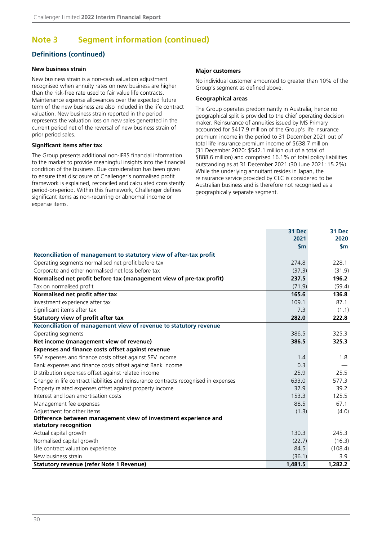### **Note 3 Segment information (continued)**

### **Definitions (continued)**

#### **New business strain**

New business strain is a non-cash valuation adjustment recognised when annuity rates on new business are higher than the risk-free rate used to fair value life contracts. Maintenance expense allowances over the expected future term of the new business are also included in the life contract valuation. New business strain reported in the period represents the valuation loss on new sales generated in the current period net of the reversal of new business strain of prior period sales.

#### **Significant items after tax**

The Group presents additional non-IFRS financial information to the market to provide meaningful insights into the financial condition of the business. Due consideration has been given to ensure that disclosure of Challenger's normalised profit framework is explained, reconciled and calculated consistently period-on-period. Within this framework, Challenger defines significant items as non-recurring or abnormal income or expense items.

#### **Major customers**

No individual customer amounted to greater than 10% of the Group's segment as defined above.

#### **Geographical areas**

The Group operates predominantly in Australia, hence no geographical split is provided to the chief operating decision maker. Reinsurance of annuities issued by MS Primary accounted for \$417.9 million of the Group's life insurance premium income in the period to 31 December 2021 out of total life insurance premium income of \$638.7 million (31 December 2020: \$542.1 million out of a total of \$888.6 million) and comprised 16.1% of total policy liabilities outstanding as at 31 December 2021 (30 June 2021: 15.2%). While the underlying annuitant resides in Japan, the reinsurance service provided by CLC is considered to be Australian business and is therefore not recognised as a geographically separate segment.

|                                                                                      | 31 Dec        | 31 Dec  |
|--------------------------------------------------------------------------------------|---------------|---------|
|                                                                                      | 2021          | 2020    |
|                                                                                      | $\mathsf{Sm}$ | \$m     |
| Reconciliation of management to statutory view of after-tax profit                   |               |         |
| Operating segments normalised net profit before tax                                  | 274.8         | 228.1   |
| Corporate and other normalised net loss before tax                                   | (37.3)        | (31.9)  |
| Normalised net profit before tax (management view of pre-tax profit)                 | 237.5         | 196.2   |
| Tax on normalised profit                                                             | (71.9)        | (59.4)  |
| Normalised net profit after tax                                                      | 165.6         | 136.8   |
| Investment experience after tax                                                      | 109.1         | 87.1    |
| Significant items after tax                                                          | 7.3           | (1.1)   |
| Statutory view of profit after tax                                                   | 282.0         | 222.8   |
| Reconciliation of management view of revenue to statutory revenue                    |               |         |
| Operating segments                                                                   | 386.5         | 325.3   |
| Net income (management view of revenue)                                              | 386.5         | 325.3   |
| <b>Expenses and finance costs offset against revenue</b>                             |               |         |
| SPV expenses and finance costs offset against SPV income                             | 1.4           | 1.8     |
| Bank expenses and finance costs offset against Bank income                           | 0.3           |         |
| Distribution expenses offset against related income                                  | 25.9          | 25.5    |
| Change in life contract liabilities and reinsurance contracts recognised in expenses | 633.0         | 577.3   |
| Property related expenses offset against property income                             | 37.9          | 39.2    |
| Interest and loan amortisation costs                                                 | 153.3         | 125.5   |
| Management fee expenses                                                              | 88.5          | 67.1    |
| Adjustment for other items                                                           | (1.3)         | (4.0)   |
| Difference between management view of investment experience and                      |               |         |
| statutory recognition                                                                |               |         |
| Actual capital growth                                                                | 130.3         | 245.3   |
| Normalised capital growth                                                            | (22.7)        | (16.3)  |
| Life contract valuation experience                                                   | 84.5          | (108.4) |
| New business strain                                                                  | (36.1)        | 3.9     |
| <b>Statutory revenue (refer Note 1 Revenue)</b>                                      | 1,481.5       | 1,282.2 |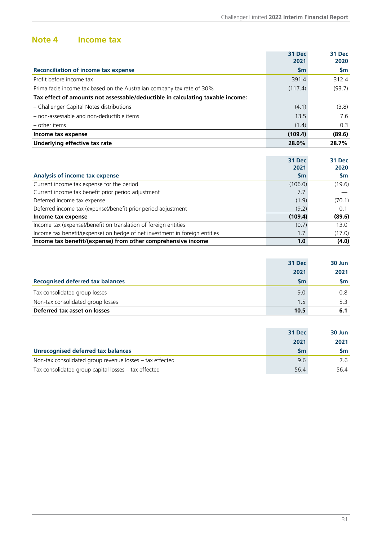### <span id="page-32-0"></span>**Note 4 Income tax**

|                                                                                | 31 Dec<br>2021 | <b>31 Dec</b><br>2020 |
|--------------------------------------------------------------------------------|----------------|-----------------------|
| <b>Reconciliation of income tax expense</b>                                    | $\mathsf{Sm}$  | \$m                   |
| Profit before income tax                                                       | 391.4          | 312.4                 |
| Prima facie income tax based on the Australian company tax rate of 30%         | (117.4)        | (93.7)                |
| Tax effect of amounts not assessable/deductible in calculating taxable income: |                |                       |
| - Challenger Capital Notes distributions                                       | (4.1)          | (3.8)                 |
| - non-assessable and non-deductible items                                      | 13.5           | 7.6                   |
| - other items                                                                  | (1.4)          | 0.3                   |
| Income tax expense                                                             | (109.4)        | (89.6)                |
| Underlying effective tax rate                                                  | 28.0%          | 28.7%                 |
|                                                                                |                |                       |
|                                                                                | 31 Dec         | 31 Dec                |
|                                                                                | 2021           | 2020                  |
| Analysis of income tax expense                                                 | <b>Sm</b>      | <b>Sm</b>             |
| Current income tax expense for the period                                      | (106.0)        | (19.6)                |
| Current income tax benefit prior period adjustment                             | 7.7            |                       |
| Deferred income tax expense                                                    | (1.9)          | (70.1)                |
| Deferred income tax (expense)/benefit prior period adjustment                  | (9.2)          | 0.1                   |
| Income tax expense                                                             | (109.4)        | (89.6)                |
| Income tax (expense)/benefit on translation of foreign entities                | (0.7)          | 13.0                  |
| Income tax benefit/(expense) on hedge of net investment in foreign entities    | 1.7            | (17.0)                |

|                                         | 31 Dec        | 30 Jun |
|-----------------------------------------|---------------|--------|
|                                         | 2021          | 2021   |
| <b>Recognised deferred tax balances</b> | $\mathsf{Sm}$ | Sm     |
| Tax consolidated group losses           | 9.0           | 0.8    |
| Non-tax consolidated group losses       | 1.5           | 5.3    |
| Deferred tax asset on losses            | 10.5          | 6.1    |

**Income tax benefit/(expense) from other comprehensive income 1.0** (4.0)

|                                                          | 31 Dec        | 30 Jun |
|----------------------------------------------------------|---------------|--------|
|                                                          | 2021          | 2021   |
| <b>Unrecognised deferred tax balances</b>                | $\mathsf{Sm}$ | Sm.    |
| Non-tax consolidated group revenue losses - tax effected | 9.6           | 7.6    |
| Tax consolidated group capital losses - tax effected     | 56.4          | 56.4   |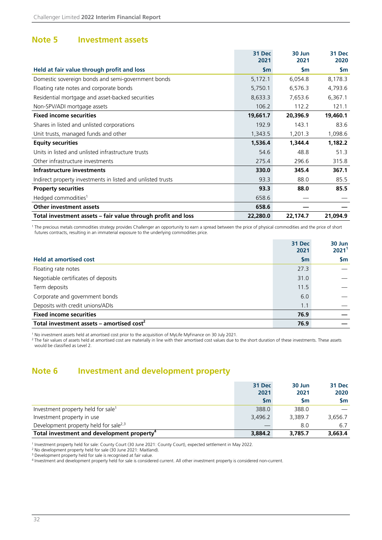### <span id="page-33-0"></span>**Note 5 Investment assets**

|                                                              | <b>31 Dec</b><br>2021 | 30 Jun<br>2021 | 31 Dec<br>2020 |
|--------------------------------------------------------------|-----------------------|----------------|----------------|
| Held at fair value through profit and loss                   | \$m                   | $\mathsf{Sm}$  | <b>Sm</b>      |
| Domestic sovereign bonds and semi-government bonds           | 5,172.1               | 6,054.8        | 8,178.3        |
| Floating rate notes and corporate bonds                      | 5,750.1               | 6,576.3        | 4,793.6        |
| Residential mortgage and asset-backed securities             | 8,633.3               | 7,653.6        | 6,367.1        |
| Non-SPV/ADI mortgage assets                                  | 106.2                 | 112.2          | 121.1          |
| <b>Fixed income securities</b>                               | 19,661.7              | 20,396.9       | 19,460.1       |
| Shares in listed and unlisted corporations                   | 192.9                 | 143.1          | 83.6           |
| Unit trusts, managed funds and other                         | 1,343.5               | 1,201.3        | 1,098.6        |
| <b>Equity securities</b>                                     | 1,536.4               | 1,344.4        | 1,182.2        |
| Units in listed and unlisted infrastructure trusts           | 54.6                  | 48.8           | 51.3           |
| Other infrastructure investments                             | 275.4                 | 296.6          | 315.8          |
| Infrastructure investments                                   | 330.0                 | 345.4          | 367.1          |
| Indirect property investments in listed and unlisted trusts  | 93.3                  | 88.0           | 85.5           |
| <b>Property securities</b>                                   | 93.3                  | 88.0           | 85.5           |
| Hedged commodities <sup>1</sup>                              | 658.6                 |                |                |
| <b>Other investment assets</b>                               | 658.6                 |                |                |
| Total investment assets – fair value through profit and loss | 22,280.0              | 22,174.7       | 21,094.9       |

<sup>1</sup> The precious metals commodities strategy provides Challenger an opportunity to earn a spread between the price of physical commodities and the price of short futures contracts, resulting in an immaterial exposure to the underlying commodities price.

|                                             | 31 Dec<br>2021 | 30 Jun<br>2021 <sup>1</sup> |
|---------------------------------------------|----------------|-----------------------------|
| <b>Held at amortised cost</b>               | $\mathsf{Sm}$  | <b>Sm</b>                   |
| Floating rate notes                         | 27.3           |                             |
| Negotiable certificates of deposits         | 31.0           |                             |
| Term deposits                               | 11.5           |                             |
| Corporate and government bonds              | 6.0            |                             |
| Deposits with credit unions/ADIs            | 1.1            |                             |
| <b>Fixed income securities</b>              | 76.9           |                             |
| Total investment assets - amortised $cost2$ | 76.9           |                             |

<sup>1</sup> No investment assets held at amortised cost prior to the acquisition of MyLife MyFinance on 30 July 2021.

<sup>2</sup> The fair values of assets held at amortised cost are materially in line with their amortised cost values due to the short duration of these investments. These assets would be classified as Level 2.

### **Note 6 Investment and development property**

|                                                        | 31 Dec<br>2021<br><b>Sm</b> | 30 Jun<br>2021<br><b>Sm</b> | 31 Dec<br>2020<br>Sm. |
|--------------------------------------------------------|-----------------------------|-----------------------------|-----------------------|
| Investment property held for sale <sup>1</sup>         | 388.0                       | 388.0                       |                       |
| Investment property in use                             | 3.496.2                     | 3.389.7                     | 3.656.7               |
| Development property held for sale <sup>2,3</sup>      |                             | 8.0                         | 6.7                   |
| Total investment and development property <sup>4</sup> | 3,884.2                     | 3,785.7                     | 3,663.4               |

<sup>1</sup> Investment property held for sale: County Court (30 June 2021: County Court), expected settlement in May 2022.

<sup>2</sup> No development property held for sale (30 June 2021: Maitland).

<sup>3</sup> Development property held for sale is recognised at fair value.

4 Investment and development property held for sale is considered current. All other investment property is considered non-current.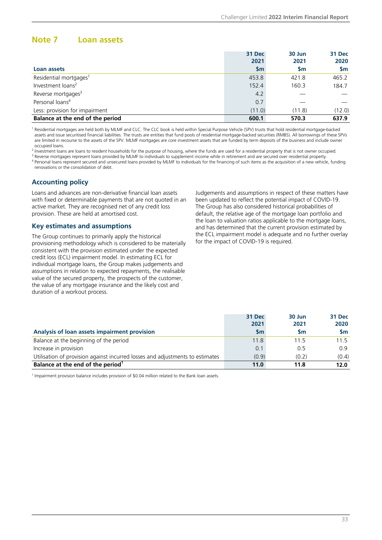### <span id="page-34-0"></span>**Note 7 Loan assets**

|                                    | 31 Dec    | 30 Jun | 31 Dec    |
|------------------------------------|-----------|--------|-----------|
|                                    | 2021      | 2021   | 2020      |
| Loan assets                        | <b>Sm</b> | Sm     | <b>Sm</b> |
| Residential mortgages <sup>1</sup> | 453.8     | 421.8  | 465.2     |
| Investment loans <sup>2</sup>      | 152.4     | 160.3  | 184.7     |
| Reverse mortgages <sup>3</sup>     | 4.2       |        |           |
| Personal loans <sup>4</sup>        | 0.7       |        |           |
| Less: provision for impairment     | (11.0)    | (11.8) | (12.0)    |
| Balance at the end of the period   | 600.1     | 570.3  | 637.9     |

<sup>1</sup> Residential mortgages are held both by MLMF and CLC. The CLC book is held within Special Purpose Vehicle (SPV) trusts that hold residential mortgage-backed assets and issue securitised financial liabilities. The trusts are entities that fund pools of residential mortgage-backed securities (RMBS). All borrowings of these SPVs are limited in recourse to the assets of the SPV. MLMF mortgages are core investment assets that are funded by term deposits of the business and include owner occupied loans.

<sup>2</sup> Investment loans are loans to resident households for the purpose of housing, where the funds are used for a residential property that is not owner occupied.

<sup>3</sup> Reverse mortgages represent loans provided by MLMF to individuals to supplement income while in retirement and are secured over residential property.

<sup>4</sup> Personal loans represent secured and unsecured loans provided by MLMF to individuals for the financing of such items as the acquisition of a new vehicle, funding renovations or the consolidation of debt.

#### **Accounting policy**

Loans and advances are non-derivative financial loan assets with fixed or determinable payments that are not quoted in an active market. They are recognised net of any credit loss provision. These are held at amortised cost.

#### **Key estimates and assumptions**

The Group continues to primarily apply the historical provisioning methodology which is considered to be materially consistent with the provision estimated under the expected credit loss (ECL) impairment model. In estimating ECL for individual mortgage loans, the Group makes judgements and assumptions in relation to expected repayments, the realisable value of the secured property, the prospects of the customer, the value of any mortgage insurance and the likely cost and duration of a workout process.

Judgements and assumptions in respect of these matters have been updated to reflect the potential impact of COVID-19. The Group has also considered historical probabilities of default, the relative age of the mortgage loan portfolio and the loan to valuation ratios applicable to the mortgage loans, and has determined that the current provision estimated by the ECL impairment model is adequate and no further overlay for the impact of COVID-19 is required.

|                                                                               | 31 Dec<br>2021 | 30 Jun<br>2021 | 31 Dec<br>2020 |
|-------------------------------------------------------------------------------|----------------|----------------|----------------|
| Analysis of loan assets impairment provision                                  | <b>Sm</b>      | <b>Sm</b>      | <b>Sm</b>      |
| Balance at the beginning of the period                                        | 11.8           | 11.5           | 11.5           |
| Increase in provision                                                         | 0.1            | 0.5            | 0.9            |
| Utilisation of provision against incurred losses and adjustments to estimates | (0.9)          | (0.2)          | (0.4)          |
| Balance at the end of the period <sup>1</sup>                                 | 11.0           | 11.8           | 12.0           |

<sup>1</sup> Impairment provision balance includes provision of \$0.04 million related to the Bank loan assets.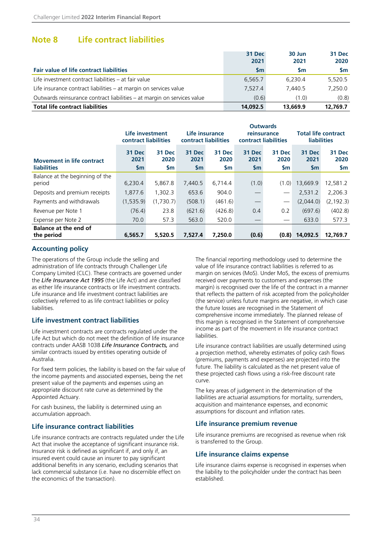### <span id="page-35-0"></span>**Note 8 Life contract liabilities**

|                                                                         | 31 Dec    | 30 Jun    | 31 Dec    |
|-------------------------------------------------------------------------|-----------|-----------|-----------|
|                                                                         | 2021      | 2021      | 2020      |
| Fair value of life contract liabilities                                 | <b>Sm</b> | <b>Sm</b> | <b>Sm</b> |
| Life investment contract liabilities – at fair value                    | 6.565.7   | 6.230.4   | 5.520.5   |
| Life insurance contract liabilities – at margin on services value       | 7.527.4   | 7.440.5   | 7.250.0   |
| Outwards reinsurance contract liabilities – at margin on services value | (0.6)     | (1.0)     | (0.8)     |
| <b>Total life contract liabilities</b>                                  | 14,092.5  | 13,669.9  | 12,769.7  |

|                                                        | Life investment<br>contract liabilities |                             |                                 | <b>Outwards</b><br>Life insurance<br>reinsurance<br>contract liabilities<br>contract liabilities |                                        |                       | <b>Total life contract</b><br><b>liabilities</b> |                       |
|--------------------------------------------------------|-----------------------------------------|-----------------------------|---------------------------------|--------------------------------------------------------------------------------------------------|----------------------------------------|-----------------------|--------------------------------------------------|-----------------------|
| <b>Movement in life contract</b><br><b>liabilities</b> | 31 Dec<br>2021<br>$\mathsf{Sm}$         | 31 Dec<br>2020<br><b>Sm</b> | 31 Dec<br>2021<br>$\mathsf{Sm}$ | <b>31 Dec</b><br>2020<br>\$m                                                                     | <b>31 Dec</b><br>2021<br>$\mathsf{Sm}$ | 31 Dec<br>2020<br>\$m | 31 Dec<br>2021<br><b>Sm</b>                      | 31 Dec<br>2020<br>\$m |
| Balance at the beginning of the<br>period              | 6,230.4                                 | 5,867.8                     | 7,440.5                         | 6,714.4                                                                                          | (1.0)                                  | (1.0)                 | 13,669.9                                         | 12,581.2              |
| Deposits and premium receipts                          | 1.877.6                                 | 1.302.3                     | 653.6                           | 904.0                                                                                            |                                        | $\hspace{0.05cm}$     | 2,531.2                                          | 2,206.3               |
| Payments and withdrawals                               | (1, 535.9)                              | (1,730.7)                   | (508.1)                         | (461.6)                                                                                          |                                        | $\hspace{0.05cm}$     | (2,044.0)                                        | (2, 192.3)            |
| Revenue per Note 1                                     | (76.4)                                  | 23.8                        | (621.6)                         | (426.8)                                                                                          | 0.4                                    | 0.2                   | (697.6)                                          | (402.8)               |
| Expense per Note 2                                     | 70.0                                    | 57.3                        | 563.0                           | 520.0                                                                                            |                                        | $\hspace{0.05cm}$     | 633.0                                            | 577.3                 |
| <b>Balance at the end of</b><br>the period             | 6,565.7                                 | 5,520.5                     | 7,527.4                         | 7,250.0                                                                                          | (0.6)                                  | (0.8)                 | 14,092.5                                         | 12,769.7              |

#### **Accounting policy**

The operations of the Group include the selling and administration of life contracts through Challenger Life Company Limited (CLC). These contracts are governed under the *Life Insurance Act 1995* (the Life Act) and are classified as either life insurance contracts or life investment contracts. Life insurance and life investment contract liabilities are collectively referred to as life contract liabilities or policy liabilities.

#### **Life investment contract liabilities**

Life investment contracts are contracts regulated under the Life Act but which do not meet the definition of life insurance contracts under AASB 1038 *Life Insurance Contracts,* and similar contracts issued by entities operating outside of Australia.

For fixed term policies, the liability is based on the fair value of the income payments and associated expenses, being the net present value of the payments and expenses using an appropriate discount rate curve as determined by the Appointed Actuary.

For cash business, the liability is determined using an accumulation approach.

#### **Life insurance contract liabilities**

Life insurance contracts are contracts regulated under the Life Act that involve the acceptance of significant insurance risk. Insurance risk is defined as significant if, and only if, an insured event could cause an insurer to pay significant additional benefits in any scenario, excluding scenarios that lack commercial substance (i.e. have no discernible effect on the economics of the transaction).

The financial reporting methodology used to determine the value of life insurance contract liabilities is referred to as margin on services (MoS). Under MoS, the excess of premiums received over payments to customers and expenses (the margin) is recognised over the life of the contract in a manner that reflects the pattern of risk accepted from the policyholder (the service) unless future margins are negative, in which case the future losses are recognised in the Statement of comprehensive income immediately. The planned release of this margin is recognised in the Statement of comprehensive income as part of the movement in life insurance contract liabilities.

Life insurance contract liabilities are usually determined using a projection method, whereby estimates of policy cash flows (premiums, payments and expenses) are projected into the future. The liability is calculated as the net present value of these projected cash flows using a risk-free discount rate curve.

The key areas of judgement in the determination of the liabilities are actuarial assumptions for mortality, surrenders, acquisition and maintenance expenses, and economic assumptions for discount and inflation rates.

#### **Life insurance premium revenue**

Life insurance premiums are recognised as revenue when risk is transferred to the Group.

#### **Life insurance claims expense**

Life insurance claims expense is recognised in expenses when the liability to the policyholder under the contract has been established.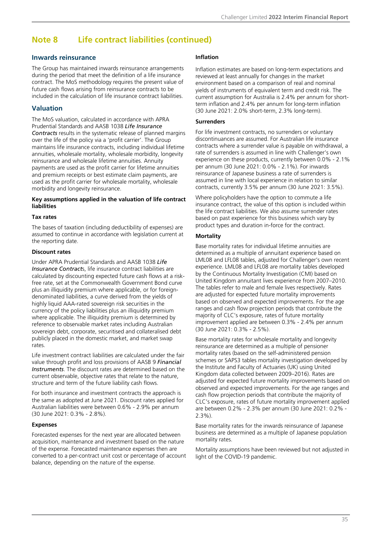### **Note 8 Life contract liabilities (continued)**

#### **Inwards reinsurance**

The Group has maintained inwards reinsurance arrangements during the period that meet the definition of a life insurance contract. The MoS methodology requires the present value of future cash flows arising from reinsurance contracts to be included in the calculation of life insurance contract liabilities.

#### **Valuation**

The MoS valuation, calculated in accordance with APRA Prudential Standards and AASB 1038 *Life Insurance Contracts* results in the systematic release of planned margins over the life of the policy via a 'profit carrier'. The Group maintains life insurance contracts, including individual lifetime annuities, wholesale mortality, wholesale morbidity, longevity reinsurance and wholesale lifetime annuities. Annuity payments are used as the profit carrier for lifetime annuities and premium receipts or best estimate claim payments, are used as the profit carrier for wholesale mortality, wholesale morbidity and longevity reinsurance.

#### **Key assumptions applied in the valuation of life contract liabilities**

#### **Tax rates**

The bases of taxation (including deductibility of expenses) are assumed to continue in accordance with legislation current at the reporting date.

#### **Discount rates**

Under APRA Prudential Standards and AASB 1038 *Life Insurance Contract*s, life insurance contract liabilities are calculated by discounting expected future cash flows at a riskfree rate, set at the Commonwealth Government Bond curve plus an illiquidity premium where applicable, or for foreigndenominated liabilities, a curve derived from the yields of highly liquid AAA-rated sovereign risk securities in the currency of the policy liabilities plus an illiquidity premium where applicable. The illiquidity premium is determined by reference to observable market rates including Australian sovereign debt, corporate, securitised and collateralised debt publicly placed in the domestic market, and market swap rates.

Life investment contract liabilities are calculated under the fair value through profit and loss provisions of AASB 9 *Financial Instruments*. The discount rates are determined based on the current observable, objective rates that relate to the nature, structure and term of the future liability cash flows.

For both insurance and investment contracts the approach is the same as adopted at June 2021. Discount rates applied for Australian liabilities were between 0.6% - 2.9% per annum (30 June 2021: 0.3% - 2.8%).

#### **Expenses**

Forecasted expenses for the next year are allocated between acquisition, maintenance and investment based on the nature of the expense. Forecasted maintenance expenses then are converted to a per-contract unit cost or percentage of account balance, depending on the nature of the expense.

#### **Inflation**

Inflation estimates are based on long-term expectations and reviewed at least annually for changes in the market environment based on a comparison of real and nominal yields of instruments of equivalent term and credit risk. The current assumption for Australia is 2.4% per annum for shortterm inflation and 2.4% per annum for long-term inflation (30 June 2021: 2.0% short-term, 2.3% long-term).

#### **Surrenders**

For life investment contracts, no surrenders or voluntary discontinuances are assumed. For Australian life insurance contracts where a surrender value is payable on withdrawal, a rate of surrenders is assumed in line with Challenger's own experience on these products, currently between 0.0% - 2.1% per annum (30 June 2021: 0.0% - 2.1%). For inwards reinsurance of Japanese business a rate of surrenders is assumed in line with local experience in relation to similar contracts, currently 3.5% per annum (30 June 2021: 3.5%).

Where policyholders have the option to commute a life insurance contract, the value of this option is included within the life contract liabilities. We also assume surrender rates based on past experience for this business which vary by product types and duration in-force for the contract.

#### **Mortality**

Base mortality rates for individual lifetime annuities are determined as a multiple of annuitant experience based on LML08 and LFL08 tables, adjusted for Challenger's own recent experience. LML08 and LFL08 are mortality tables developed by the Continuous Mortality Investigation (CMI) based on United Kingdom annuitant lives experience from 2007–2010. The tables refer to male and female lives respectively. Rates are adjusted for expected future mortality improvements based on observed and expected improvements. For the age ranges and cash flow projection periods that contribute the majority of CLC's exposure, rates of future mortality improvement applied are between 0.3% - 2.4% per annum (30 June 2021: 0.3% - 2.5%).

Base mortality rates for wholesale mortality and longevity reinsurance are determined as a multiple of pensioner mortality rates (based on the self-administered pension schemes or SAPS3 tables mortality investigation developed by the Institute and Faculty of Actuaries (UK) using United Kingdom data collected between 2009–2016). Rates are adjusted for expected future mortality improvements based on observed and expected improvements. For the age ranges and cash flow projection periods that contribute the majority of CLC's exposure, rates of future mortality improvement applied are between 0.2% - 2.3% per annum (30 June 2021: 0.2% -  $2.3\%$ ).

Base mortality rates for the inwards reinsurance of Japanese business are determined as a multiple of Japanese population mortality rates.

Mortality assumptions have been reviewed but not adjusted in light of the COVID-19 pandemic.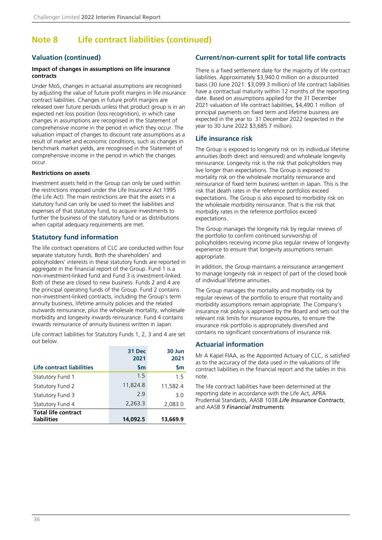### **Note 8 Life contract liabilities (continued)**

#### **Valuation (continued)**

#### **Impact of changes in assumptions on life insurance contracts**

Under MoS, changes in actuarial assumptions are recognised by adjusting the value of future profit margins in life insurance contract liabilities. Changes in future profit margins are released over future periods unless that product group is in an expected net loss position (loss recognition), in which case changes in assumptions are recognised in the Statement of comprehensive income in the period in which they occur. The valuation impact of changes to discount rate assumptions as a result of market and economic conditions, such as changes in benchmark market yields, are recognised in the Statement of comprehensive income in the period in which the changes occur.

#### **Restrictions on assets**

Investment assets held in the Group can only be used within the restrictions imposed under the Life Insurance Act 1995 (the Life Act). The main restrictions are that the assets in a statutory fund can only be used to meet the liabilities and expenses of that statutory fund, to acquire investments to further the business of the statutory fund or as distributions when capital adequacy requirements are met.

#### **Statutory fund information**

The life contract operations of CLC are conducted within four separate statutory funds. Both the shareholders' and policyholders' interests in these statutory funds are reported in aggregate in the financial report of the Group. Fund 1 is a non-investment-linked fund and Fund 3 is investment-linked. Both of these are closed to new business. Funds 2 and 4 are the principal operating funds of the Group. Fund 2 contains non-investment-linked contracts, including the Group's term annuity business, lifetime annuity policies and the related outwards reinsurance, plus the wholesale mortality, wholesale morbidity and longevity inwards reinsurance. Fund 4 contains inwards reinsurance of annuity business written in Japan.

Life contract liabilities for Statutory Funds 1, 2, 3 and 4 are set out below.

|                            | 31 Dec<br>2021 | 30 Jun<br>2021 |
|----------------------------|----------------|----------------|
| Life contract liabilities  | $\mathsf{S}$ m | $\mathsf{S}$ m |
| <b>Statutory Fund 1</b>    | 1.5            | 1.5            |
| Statutory Fund 2           | 11,824.8       | 11,582.4       |
| Statutory Fund 3           | 29             | 3.0            |
| Statutory Fund 4           | 2,263.3        | 2,083.0        |
| <b>Total life contract</b> |                |                |
| liabilities                | 14,092.5       | 13,669.9       |

#### **Current/non-current split for total life contracts**

There is a fixed settlement date for the majority of life contract liabilities. Approximately \$3,940.0 million on a discounted basis (30 June 2021: \$3,099.3 million) of life contract liabilities have a contractual maturity within 12 months of the reporting date. Based on assumptions applied for the 31 December 2021 valuation of life contract liabilities, \$4,490.1 million of principal payments on fixed term and lifetime business are expected in the year to 31 December 2022 (expected in the year to 30 June 2022 \$3,685.7 million).

#### **Life insurance risk**

The Group is exposed to longevity risk on its individual lifetime annuities (both direct and reinsured) and wholesale longevity reinsurance. Longevity risk is the risk that policyholders may live longer than expectations. The Group is exposed to mortality risk on the wholesale mortality reinsurance and reinsurance of fixed term business written in Japan. This is the risk that death rates in the reference portfolios exceed expectations. The Group is also exposed to morbidity risk on the wholesale morbidity reinsurance. That is the risk that morbidity rates in the reference portfolios exceed expectations.

The Group manages the longevity risk by regular reviews of the portfolio to confirm continued survivorship of policyholders receiving income plus regular review of longevity experience to ensure that longevity assumptions remain appropriate.

In addition, the Group maintains a reinsurance arrangement to manage longevity risk in respect of part of the closed book of individual lifetime annuities.

The Group manages the mortality and morbidity risk by regular reviews of the portfolio to ensure that mortality and morbidity assumptions remain appropriate. The Company's insurance risk policy is approved by the Board and sets out the relevant risk limits for insurance exposures, to ensure the insurance risk portfolio is appropriately diversified and contains no significant concentrations of insurance risk.

#### **Actuarial information**

Mr A Kapel FIAA, as the Appointed Actuary of CLC, is satisfied as to the accuracy of the data used in the valuations of life contract liabilities in the financial report and the tables in this note.

The life contract liabilities have been determined at the reporting date in accordance with the Life Act, APRA Prudential Standards, AASB 1038 *Life Insurance Contracts*, and AASB 9 *Financial Instruments*.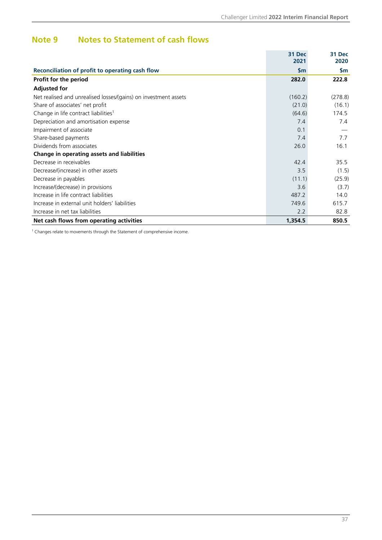### <span id="page-38-0"></span>**Note 9 Notes to Statement of cash flows**

|                                                                 | 31 Dec<br>2021 | 31 Dec<br>2020 |
|-----------------------------------------------------------------|----------------|----------------|
| Reconciliation of profit to operating cash flow                 | $\mathsf{Sm}$  | \$m            |
| Profit for the period                                           | 282.0          | 222.8          |
| <b>Adjusted for</b>                                             |                |                |
| Net realised and unrealised losses/(gains) on investment assets | (160.2)        | (278.8)        |
| Share of associates' net profit                                 | (21.0)         | (16.1)         |
| Change in life contract liabilities <sup>1</sup>                | (64.6)         | 174.5          |
| Depreciation and amortisation expense                           | 7.4            | 7.4            |
| Impairment of associate                                         | 0.1            |                |
| Share-based payments                                            | 7.4            | 7.7            |
| Dividends from associates                                       | 26.0           | 16.1           |
| Change in operating assets and liabilities                      |                |                |
| Decrease in receivables                                         | 42.4           | 35.5           |
| Decrease/(increase) in other assets                             | 3.5            | (1.5)          |
| Decrease in payables                                            | (11.1)         | (25.9)         |
| Increase/(decrease) in provisions                               | 3.6            | (3.7)          |
| Increase in life contract liabilities                           | 487.2          | 14.0           |
| Increase in external unit holders' liabilities                  | 749.6          | 615.7          |
| Increase in net tax liabilities                                 | 2.2            | 82.8           |
| Net cash flows from operating activities                        | 1,354.5        | 850.5          |

<sup>1</sup> Changes relate to movements through the Statement of comprehensive income.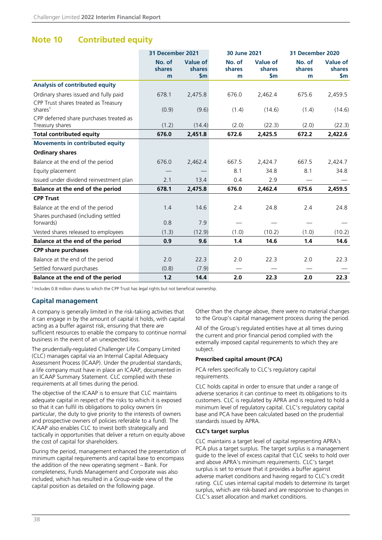### <span id="page-39-0"></span>**Note 10 Contributed equity**

|                                                             | 31 December 2021      |                                             | 30 June 2021                 |                                  |                       | 31 December 2020                 |  |
|-------------------------------------------------------------|-----------------------|---------------------------------------------|------------------------------|----------------------------------|-----------------------|----------------------------------|--|
|                                                             | No. of<br>shares<br>m | <b>Value of</b><br>shares<br>$\mathsf{S}$ m | No. of<br><b>shares</b><br>m | <b>Value of</b><br>shares<br>\$m | No. of<br>shares<br>m | Value of<br><b>shares</b><br>\$m |  |
| Analysis of contributed equity                              |                       |                                             |                              |                                  |                       |                                  |  |
| Ordinary shares issued and fully paid                       | 678.1                 | 2,475.8                                     | 676.0                        | 2,462.4                          | 675.6                 | 2,459.5                          |  |
| CPP Trust shares treated as Treasury<br>shares <sup>1</sup> | (0.9)                 | (9.6)                                       | (1.4)                        | (14.6)                           | (1.4)                 | (14.6)                           |  |
| CPP deferred share purchases treated as<br>Treasury shares  | (1.2)                 | (14.4)                                      | (2.0)                        | (22.3)                           | (2.0)                 | (22.3)                           |  |
| <b>Total contributed equity</b>                             | 676.0                 | 2,451.8                                     | 672.6                        | 2,425.5                          | 672.2                 | 2,422.6                          |  |
| <b>Movements in contributed equity</b>                      |                       |                                             |                              |                                  |                       |                                  |  |
| <b>Ordinary shares</b>                                      |                       |                                             |                              |                                  |                       |                                  |  |
| Balance at the end of the period                            | 676.0                 | 2,462.4                                     | 667.5                        | 2,424.7                          | 667.5                 | 2,424.7                          |  |
| Equity placement                                            |                       |                                             | 8.1                          | 34.8                             | 8.1                   | 34.8                             |  |
| Issued under dividend reinvestment plan                     | 2.1                   | 13.4                                        | 0.4                          | 2.9                              |                       |                                  |  |
| Balance at the end of the period                            | 678.1                 | 2,475.8                                     | 676.0                        | 2,462.4                          | 675.6                 | 2,459.5                          |  |
| <b>CPP Trust</b>                                            |                       |                                             |                              |                                  |                       |                                  |  |
| Balance at the end of the period                            | 1.4                   | 14.6                                        | 2.4                          | 24.8                             | 2.4                   | 24.8                             |  |
| Shares purchased (including settled                         |                       |                                             |                              |                                  |                       |                                  |  |
| forwards)                                                   | 0.8                   | 7.9                                         |                              |                                  |                       |                                  |  |
| Vested shares released to employees                         | (1.3)                 | (12.9)                                      | (1.0)                        | (10.2)                           | (1.0)                 | (10.2)                           |  |
| Balance at the end of the period                            | 0.9                   | 9.6                                         | 1.4                          | 14.6                             | 1.4                   | 14.6                             |  |
| <b>CPP share purchases</b>                                  |                       |                                             |                              |                                  |                       |                                  |  |
| Balance at the end of the period                            | 2.0                   | 22.3                                        | 2.0                          | 22.3                             | 2.0                   | 22.3                             |  |
| Settled forward purchases                                   | (0.8)                 | (7.9)                                       |                              |                                  |                       |                                  |  |
| Balance at the end of the period                            | 1.2                   | 14.4                                        | 2.0                          | 22.3                             | 2.0                   | 22.3                             |  |

<sup>1</sup> Includes 0.8 million shares to which the CPP Trust has legal rights but not beneficial ownership.

#### **Capital management**

A company is generally limited in the risk-taking activities that it can engage in by the amount of capital it holds, with capital acting as a buffer against risk, ensuring that there are sufficient resources to enable the company to continue normal business in the event of an unexpected loss.

The prudentially-regulated Challenger Life Company Limited (CLC) manages capital via an Internal Capital Adequacy Assessment Process (ICAAP). Under the prudential standards, a life company must have in place an ICAAP, documented in an ICAAP Summary Statement. CLC complied with these requirements at all times during the period.

The objective of the ICAAP is to ensure that CLC maintains adequate capital in respect of the risks to which it is exposed so that it can fulfil its obligations to policy owners (in particular, the duty to give priority to the interests of owners and prospective owners of policies referable to a fund). The ICAAP also enables CLC to invest both strategically and tactically in opportunities that deliver a return on equity above the cost of capital for shareholders.

During the period, management enhanced the presentation of minimum capital requirements and capital base to encompass the addition of the new operating segment – Bank. For completeness, Funds Management and Corporate was also included, which has resulted in a Group-wide view of the capital position as detailed on the following page.

Other than the change above, there were no material changes to the Group's capital management process during the period.

All of the Group's regulated entities have at all times during the current and prior financial period complied with the externally imposed capital requirements to which they are subject.

#### **Prescribed capital amount (PCA)**

PCA refers specifically to CLC's regulatory capital requirements.

CLC holds capital in order to ensure that under a range of adverse scenarios it can continue to meet its obligations to its customers. CLC is regulated by APRA and is required to hold a minimum level of regulatory capital. CLC's regulatory capital base and PCA have been calculated based on the prudential standards issued by APRA.

#### **CLC's target surplus**

CLC maintains a target level of capital representing APRA's PCA plus a target surplus. The target surplus is a management guide to the level of excess capital that CLC seeks to hold over and above APRA's minimum requirements. CLC's target surplus is set to ensure that it provides a buffer against adverse market conditions and having regard to CLC's credit rating. CLC uses internal capital models to determine its target surplus, which are risk-based and are responsive to changes in CLC's asset allocation and market conditions.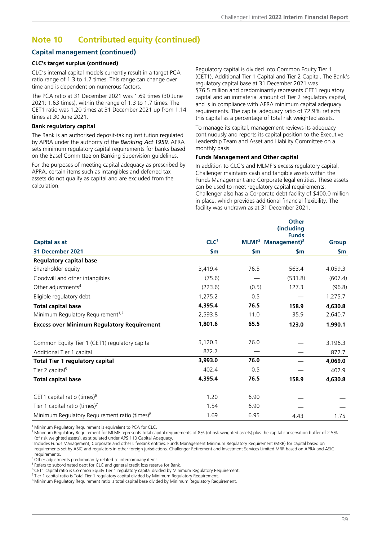### **Note 10 Contributed equity (continued)**

#### **Capital management (continued)**

#### **CLC's target surplus (continued)**

CLC's internal capital models currently result in a target PCA ratio range of 1.3 to 1.7 times. This range can change over time and is dependent on numerous factors.

The PCA ratio at 31 December 2021 was 1.69 times (30 June 2021: 1.63 times), within the range of 1.3 to 1.7 times. The CET1 ratio was 1.20 times at 31 December 2021 up from 1.14 times at 30 June 2021.

#### **Bank regulatory capital**

The Bank is an authorised deposit-taking institution regulated by APRA under the authority of the *Banking Act 1959*. APRA sets minimum regulatory capital requirements for banks based on the Basel Committee on Banking Supervision guidelines.

For the purposes of meeting capital adequacy as prescribed by APRA, certain items such as intangibles and deferred tax assets do not qualify as capital and are excluded from the calculation.

Regulatory capital is divided into Common Equity Tier 1 (CET1), Additional Tier 1 Capital and Tier 2 Capital. The Bank's regulatory capital base at 31 December 2021 was \$76.5 million and predominantly represents CET1 regulatory capital and an immaterial amount of Tier 2 regulatory capital, and is in compliance with APRA minimum capital adequacy requirements. The capital adequacy ratio of 72.9% reflects this capital as a percentage of total risk weighted assets.

To manage its capital, management reviews its adequacy continuously and reports its capital position to the Executive Leadership Team and Asset and Liability Committee on a monthly basis.

#### **Funds Management and Other capital**

In addition to CLC's and MLMF's excess regulatory capital, Challenger maintains cash and tangible assets within the Funds Management and Corporate legal entities. These assets can be used to meet regulatory capital requirements. Challenger also has a Corporate debt facility of \$400.0 million in place, which provides additional financial flexibility. The facility was undrawn as at 31 December 2021.

| Capital as at                                             | CLC <sup>1</sup> | $MLMF2$ Management) <sup>3</sup> | <b>Other</b><br>(including<br><b>Funds</b> | <b>Group</b>  |
|-----------------------------------------------------------|------------------|----------------------------------|--------------------------------------------|---------------|
| 31 December 2021                                          | $\mathsf{Sm}$    | $\mathsf{S}$ m                   | $\mathsf{Sm}$                              | $\mathsf{Sm}$ |
| <b>Regulatory capital base</b>                            |                  |                                  |                                            |               |
| Shareholder equity                                        | 3,419.4          | 76.5                             | 563.4                                      | 4,059.3       |
| Goodwill and other intangibles                            | (75.6)           |                                  | (531.8)                                    | (607.4)       |
| Other adjustments <sup>4</sup>                            | (223.6)          | (0.5)                            | 127.3                                      | (96.8)        |
| Eligible regulatory debt                                  | 1,275.2          | 0.5                              |                                            | 1,275.7       |
| <b>Total capital base</b>                                 | 4,395.4          | 76.5                             | 158.9                                      | 4,630.8       |
| Minimum Regulatory Requirement <sup>1,2</sup>             | 2,593.8          | 11.0                             | 35.9                                       | 2,640.7       |
| <b>Excess over Minimum Regulatory Requirement</b>         | 1,801.6          | 65.5                             | 123.0                                      | 1,990.1       |
| Common Equity Tier 1 (CET1) regulatory capital            | 3,120.3          | 76.0                             |                                            | 3,196.3       |
| Additional Tier 1 capital                                 | 872.7            |                                  |                                            | 872.7         |
| <b>Total Tier 1 regulatory capital</b>                    | 3,993.0          | 76.0                             |                                            | 4,069.0       |
| Tier 2 capital <sup>5</sup>                               | 402.4            | 0.5                              |                                            | 402.9         |
| <b>Total capital base</b>                                 | 4,395.4          | 76.5                             | 158.9                                      | 4,630.8       |
| CET1 capital ratio (times) <sup>6</sup>                   | 1.20             | 6.90                             |                                            |               |
| Tier 1 capital ratio (times) $7$                          | 1.54             | 6.90                             |                                            |               |
| Minimum Regulatory Requirement ratio (times) <sup>8</sup> | 1.69             | 6.95                             | 4.43                                       | 1.75          |

<sup>1</sup> Minimum Regulatory Requirement is equivalent to PCA for CLC.

<sup>2</sup> Minimum Regulatory Requirement for MLMF represents total capital requirements of 8% (of risk weighted assets) plus the capital conservation buffer of 2.5% (of risk weighted assets), as stipulated under APS 110 Capital Adequacy.

<sup>3</sup> Includes Funds Management, Corporate and other Life/Bank entities. Funds Management Minimum Regulatory Requirement (MRR) for capital based on

requirements set by ASIC and regulators in other foreign jurisdictions. Challenger Retirement and Investment Services Limited MRR based on APRA and ASIC requirements.

<sup>4</sup>Other adjustments predominantly related to intercompany items.

 $5$  Refers to subordinated debt for CLC and general credit loss reserve for Bank.

 $6$  CET1 capital ratio is Common Equity Tier  $\overline{1}$  regulatory capital divided by Minimum Regulatory Requirement.

 $7$ Tier 1 capital ratio is Total Tier 1 regulatory capital divided by Minimum Regulatory Requirement.

<sup>8</sup> Minimum Regulatory Requirement ratio is total capital base divided by Minimum Regulatory Requirement.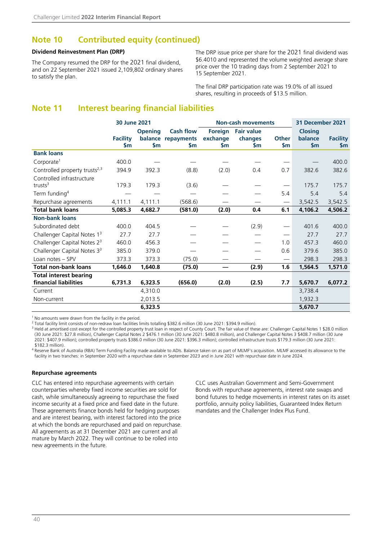### <span id="page-41-0"></span>**Note 10 Contributed equity (continued)**

#### **Dividend Reinvestment Plan (DRP)**

The Company resumed the DRP for the 2021 final dividend, and on 22 September 2021 issued 2,109,802 ordinary shares to satisfy the plan.

The DRP issue price per share for the 2021 final dividend was \$6.4010 and represented the volume weighted average share price over the 10 trading days from 2 September 2021 to 15 September 2021.

The final DRP participation rate was 19.0% of all issued shares, resulting in proceeds of \$13.5 million.

### **Note 11 Interest bearing financial liabilities**

|                                           | 30 June 2021                      |                             |                                               | <b>Non-cash movements</b>        |                                           |                         | 31 December 2021                   |                                  |
|-------------------------------------------|-----------------------------------|-----------------------------|-----------------------------------------------|----------------------------------|-------------------------------------------|-------------------------|------------------------------------|----------------------------------|
|                                           | <b>Facility</b><br>$\mathsf{S}$ m | <b>Opening</b><br><b>Sm</b> | <b>Cash flow</b><br>balance repayments<br>\$m | Foreign<br>exchange<br><b>Sm</b> | <b>Fair value</b><br>changes<br><b>Sm</b> | Other<br>$\mathsf{S}$ m | <b>Closing</b><br>balance<br>\$m\$ | <b>Facility</b><br>$\mathsf{Sm}$ |
| <b>Bank loans</b>                         |                                   |                             |                                               |                                  |                                           |                         |                                    |                                  |
| Corporate <sup>1</sup>                    | 400.0                             |                             |                                               |                                  |                                           |                         |                                    | 400.0                            |
| Controlled property trusts <sup>2,3</sup> | 394.9                             | 392.3                       | (8.8)                                         | (2.0)                            | 0.4                                       | 0.7                     | 382.6                              | 382.6                            |
| Controlled infrastructure<br>trusts $3$   | 179.3                             | 179.3                       | (3.6)                                         |                                  |                                           |                         | 175.7                              | 175.7                            |
| Term funding <sup>4</sup>                 |                                   |                             |                                               |                                  |                                           | 5.4                     | 5.4                                | 5.4                              |
| Repurchase agreements                     | 4,111.1                           | 4,111.1                     | (568.6)                                       |                                  |                                           | $\hspace{0.05cm}$       | 3,542.5                            | 3,542.5                          |
| <b>Total bank loans</b>                   | 5,085.3                           | 4,682.7                     | (581.0)                                       | (2.0)                            | 0.4                                       | 6.1                     | 4,106.2                            | 4,506.2                          |
| <b>Non-bank loans</b>                     |                                   |                             |                                               |                                  |                                           |                         |                                    |                                  |
| Subordinated debt                         | 400.0                             | 404.5                       |                                               |                                  | (2.9)                                     |                         | 401.6                              | 400.0                            |
| Challenger Capital Notes 1 <sup>3</sup>   | 27.7                              | 27.7                        |                                               |                                  |                                           | $\hspace{0.05cm}$       | 27.7                               | 27.7                             |
| Challenger Capital Notes 2 <sup>3</sup>   | 460.0                             | 456.3                       |                                               |                                  |                                           | 1.0                     | 457.3                              | 460.0                            |
| Challenger Capital Notes 3 <sup>3</sup>   | 385.0                             | 379.0                       |                                               |                                  |                                           | 0.6                     | 379.6                              | 385.0                            |
| Loan notes - SPV                          | 373.3                             | 373.3                       | (75.0)                                        |                                  |                                           | $\qquad \qquad$         | 298.3                              | 298.3                            |
| <b>Total non-bank loans</b>               | 1,646.0                           | 1,640.8                     | (75.0)                                        |                                  | (2.9)                                     | 1.6                     | 1,564.5                            | 1,571.0                          |
| <b>Total interest bearing</b>             |                                   |                             |                                               |                                  |                                           |                         |                                    |                                  |
| financial liabilities                     | 6,731.3                           | 6,323.5                     | (656.0)                                       | (2.0)                            | (2.5)                                     | 7.7                     | 5,670.7                            | 6,077.2                          |
| Current                                   |                                   | 4,310.0                     |                                               |                                  |                                           |                         | 3,738.4                            |                                  |
| Non-current                               |                                   | 2,013.5                     |                                               |                                  |                                           |                         | 1,932.3                            |                                  |
|                                           |                                   | 6,323.5                     |                                               |                                  |                                           |                         | 5,670.7                            |                                  |

<sup>1</sup> No amounts were drawn from the facility in the period.

<sup>2</sup> Total facility limit consists of non-redraw loan facilities limits totalling \$382.6 million (30 June 2021: \$394.9 million).

<sup>3</sup> Held at amortised cost except for the controlled property trust loan in respect of County Court. The fair value of these are: Challenger Capital Notes 1 \$28.0 million (30 June 2021: \$27.8 million), Challenger Capital Notes 2 \$476.1 million (30 June 2021: \$480.8 million), and Challenger Capital Notes 3 \$408.7 million (30 June 2021: \$407.9 million); controlled property trusts \$386.0 million (30 June 2021: \$396.3 million); controlled infrastructure trusts \$179.3 million (30 June 2021: \$182.3 million).

4 Reserve Bank of Australia (RBA) Term Funding Facility made available to ADIs. Balance taken on as part of MLMF's acquisition. MLMF accessed its allowance to the facility in two tranches: in September 2020 with a repurchase date in September 2023 and in June 2021 with repurchase date in June 2024.

#### **Repurchase agreements**

CLC has entered into repurchase agreements with certain counterparties whereby fixed income securities are sold for cash, while simultaneously agreeing to repurchase the fixed income security at a fixed price and fixed date in the future. These agreements finance bonds held for hedging purposes and are interest bearing, with interest factored into the price at which the bonds are repurchased and paid on repurchase. All agreements as at 31 December 2021 are current and all mature by March 2022. They will continue to be rolled into new agreements in the future.

CLC uses Australian Government and Semi-Government Bonds with repurchase agreements, interest rate swaps and bond futures to hedge movements in interest rates on its asset portfolio, annuity policy liabilities, Guaranteed Index Return mandates and the Challenger Index Plus Fund.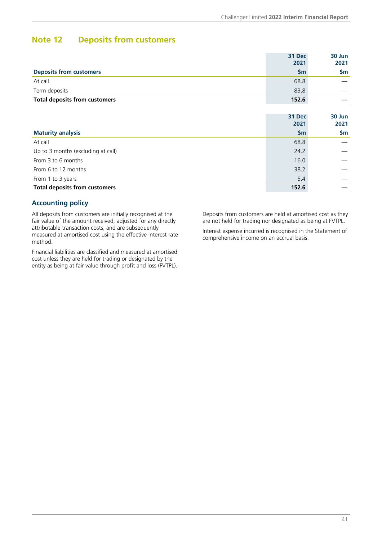### <span id="page-42-0"></span>**Note 12 Deposits from customers**

|                                      | 31 Dec<br>2021 | 30 Jun<br>2021 |
|--------------------------------------|----------------|----------------|
| <b>Deposits from customers</b>       | <b>Sm</b>      | Sm             |
| At call                              | 68.8           |                |
| Term deposits                        | 83.8           |                |
| <b>Total deposits from customers</b> | 152.6          |                |
|                                      |                |                |

|                                      | 31 Dec<br>2021 | 30 Jun<br>2021 |
|--------------------------------------|----------------|----------------|
| <b>Maturity analysis</b>             | \$m\$          | <b>Sm</b>      |
| At call                              | 68.8           |                |
| Up to 3 months (excluding at call)   | 24.2           |                |
| From 3 to 6 months                   | 16.0           |                |
| From 6 to 12 months                  | 38.2           |                |
| From 1 to 3 years                    | 5.4            |                |
| <b>Total deposits from customers</b> | 152.6          |                |

#### **Accounting policy**

All deposits from customers are initially recognised at the fair value of the amount received, adjusted for any directly attributable transaction costs, and are subsequently measured at amortised cost using the effective interest rate method.

Financial liabilities are classified and measured at amortised cost unless they are held for trading or designated by the entity as being at fair value through profit and loss (FVTPL).

Deposits from customers are held at amortised cost as they are not held for trading nor designated as being at FVTPL.

Interest expense incurred is recognised in the Statement of comprehensive income on an accrual basis.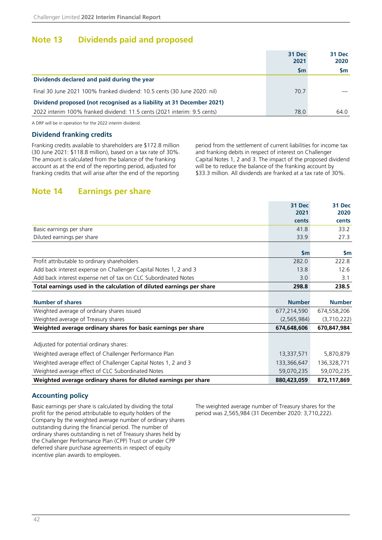### <span id="page-43-0"></span>**Note 13 Dividends paid and proposed**

|                                                                          | 31 Dec<br>2021 | 31 Dec<br>2020 |
|--------------------------------------------------------------------------|----------------|----------------|
|                                                                          | <b>Sm</b>      | <b>Sm</b>      |
| Dividends declared and paid during the year                              |                |                |
| Final 30 June 2021 100% franked dividend: 10.5 cents (30 June 2020: nil) | 70.7           |                |
| Dividend proposed (not recognised as a liability at 31 December 2021)    |                |                |
| 2022 interim 100% franked dividend: 11.5 cents (2021 interim: 9.5 cents) | 78.0           | 64.0           |

A DRP will be in operation for the 2022 interim dividend.

#### **Dividend franking credits**

Franking credits available to shareholders are \$172.8 million (30 June 2021: \$118.8 million), based on a tax rate of 30%. The amount is calculated from the balance of the franking account as at the end of the reporting period, adjusted for franking credits that will arise after the end of the reporting

period from the settlement of current liabilities for income tax and franking debits in respect of interest on Challenger Capital Notes 1, 2 and 3. The impact of the proposed dividend will be to reduce the balance of the franking account by \$33.3 million. All dividends are franked at a tax rate of 30%.

### **Note 14 Earnings per share**

|                                                                      | 31 Dec        | <b>31 Dec</b> |
|----------------------------------------------------------------------|---------------|---------------|
|                                                                      | 2021          | 2020          |
|                                                                      | cents         | cents         |
| Basic earnings per share                                             | 41.8          | 33.2          |
| Diluted earnings per share                                           | 33.9          | 27.3          |
|                                                                      |               |               |
|                                                                      | \$m\$         | $\mathsf{Sm}$ |
| Profit attributable to ordinary shareholders                         | 282.0         | 222.8         |
| Add back interest expense on Challenger Capital Notes 1, 2 and 3     | 13.8          | 12.6          |
| Add back interest expense net of tax on CLC Subordinated Notes       | 3.0           | 3.1           |
| Total earnings used in the calculation of diluted earnings per share | 298.8         | 238.5         |
|                                                                      |               |               |
| <b>Number of shares</b>                                              | <b>Number</b> | <b>Number</b> |
| Weighted average of ordinary shares issued                           | 677,214,590   | 674,558,206   |
| Weighted average of Treasury shares                                  | (2, 565, 984) | (3,710,222)   |
| Weighted average ordinary shares for basic earnings per share        | 674,648,606   | 670,847,984   |
|                                                                      |               |               |
| Adjusted for potential ordinary shares:                              |               |               |
| Weighted average effect of Challenger Performance Plan               | 13,337,571    | 5,870,879     |
| Weighted average effect of Challenger Capital Notes 1, 2 and 3       | 133,366,647   | 136,328,771   |
| Weighted average effect of CLC Subordinated Notes                    | 59,070,235    | 59,070,235    |
| Weighted average ordinary shares for diluted earnings per share      | 880,423,059   | 872,117,869   |

#### **Accounting policy**

Basic earnings per share is calculated by dividing the total profit for the period attributable to equity holders of the Company by the weighted average number of ordinary shares outstanding during the financial period. The number of ordinary shares outstanding is net of Treasury shares held by the Challenger Performance Plan (CPP) Trust or under CPP deferred share purchase agreements in respect of equity incentive plan awards to employees.

The weighted average number of Treasury shares for the period was 2,565,984 (31 December 2020: 3,710,222).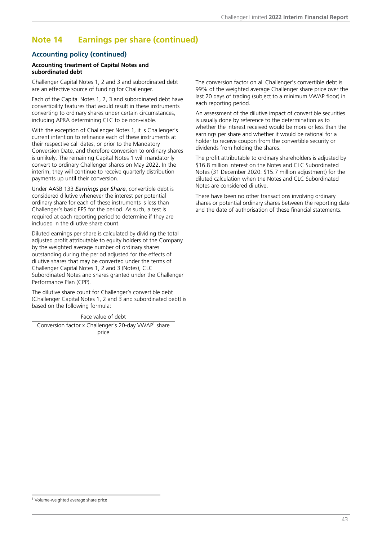### **Note 14 Earnings per share (continued)**

#### **Accounting policy (continued)**

#### **Accounting treatment of Capital Notes and subordinated debt**

Challenger Capital Notes 1, 2 and 3 and subordinated debt are an effective source of funding for Challenger.

Each of the Capital Notes 1, 2, 3 and subordinated debt have convertibility features that would result in these instruments converting to ordinary shares under certain circumstances, including APRA determining CLC to be non-viable.

With the exception of Challenger Notes 1, it is Challenger's current intention to refinance each of these instruments at their respective call dates, or prior to the Mandatory Conversion Date, and therefore conversion to ordinary shares is unlikely. The remaining Capital Notes 1 will mandatorily convert to ordinary Challenger shares on May 2022. In the interim, they will continue to receive quarterly distribution payments up until their conversion.

Under AASB 133 *Earnings per Share*, convertible debt is considered dilutive whenever the interest per potential ordinary share for each of these instruments is less than Challenger's basic EPS for the period. As such, a test is required at each reporting period to determine if they are included in the dilutive share count.

Diluted earnings per share is calculated by dividing the total adjusted profit attributable to equity holders of the Company by the weighted average number of ordinary shares outstanding during the period adjusted for the effects of dilutive shares that may be converted under the terms of Challenger Capital Notes 1, 2 and 3 (Notes), CLC Subordinated Notes and shares granted under the Challenger Performance Plan (CPP).

The dilutive share count for Challenger's convertible debt (Challenger Capital Notes 1, 2 and 3 and subordinated debt) is based on the following formula:

Face value of debt

Conversion factor x Challenger's 20-day VWAP<sup>1</sup> share price

The conversion factor on all Challenger's convertible debt is 99% of the weighted average Challenger share price over the last 20 days of trading (subject to a minimum VWAP floor) in each reporting period.

An assessment of the dilutive impact of convertible securities is usually done by reference to the determination as to whether the interest received would be more or less than the earnings per share and whether it would be rational for a holder to receive coupon from the convertible security or dividends from holding the shares.

The profit attributable to ordinary shareholders is adjusted by \$16.8 million interest on the Notes and CLC Subordinated Notes (31 December 2020: \$15.7 million adjustment) for the diluted calculation when the Notes and CLC Subordinated Notes are considered dilutive.

There have been no other transactions involving ordinary shares or potential ordinary shares between the reporting date and the date of authorisation of these financial statements.

<sup>&</sup>lt;sup>1</sup> Volume-weighted average share price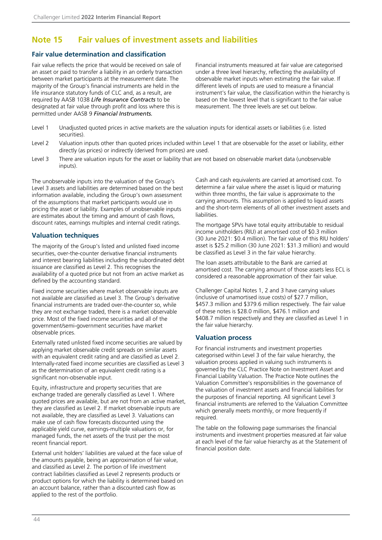### <span id="page-45-0"></span>**Note 15 Fair values of investment assets and liabilities**

#### **Fair value determination and classification**

Fair value reflects the price that would be received on sale of an asset or paid to transfer a liability in an orderly transaction between market participants at the measurement date. The majority of the Group's financial instruments are held in the life insurance statutory funds of CLC and, as a result, are required by AASB 1038 *Life Insurance Contracts* to be designated at fair value through profit and loss where this is permitted under AASB 9 *Financial Instruments.*

Financial instruments measured at fair value are categorised under a three level hierarchy, reflecting the availability of observable market inputs when estimating the fair value. If different levels of inputs are used to measure a financial instrument's fair value, the classification within the hierarchy is based on the lowest level that is significant to the fair value measurement. The three levels are set out below.

- Level 1 Unadjusted quoted prices in active markets are the valuation inputs for identical assets or liabilities (i.e. listed securities).
- Level 2 Valuation inputs other than quoted prices included within Level 1 that are observable for the asset or liability, either directly (as prices) or indirectly (derived from prices) are used.
- Level 3 There are valuation inputs for the asset or liability that are not based on observable market data (unobservable inputs).

The unobservable inputs into the valuation of the Group's Level 3 assets and liabilities are determined based on the best information available, including the Group's own assessment of the assumptions that market participants would use in pricing the asset or liability. Examples of unobservable inputs are estimates about the timing and amount of cash flows, discount rates, earnings multiples and internal credit ratings.

#### **Valuation techniques**

The majority of the Group's listed and unlisted fixed income securities, over-the-counter derivative financial instruments and interest bearing liabilities including the subordinated debt issuance are classified as Level 2. This recognises the availability of a quoted price but not from an active market as defined by the accounting standard.

Fixed income securities where market observable inputs are not available are classified as Level 3. The Group's derivative financial instruments are traded over-the-counter so, while they are not exchange traded, there is a market observable price. Most of the fixed income securities and all of the government/semi-government securities have market observable prices.

Externally rated unlisted fixed income securities are valued by applying market observable credit spreads on similar assets with an equivalent credit rating and are classified as Level 2. Internally-rated fixed income securities are classified as Level 3 as the determination of an equivalent credit rating is a significant non-observable input.

Equity, infrastructure and property securities that are exchange traded are generally classified as Level 1. Where quoted prices are available, but are not from an active market, they are classified as Level 2. If market observable inputs are not available, they are classified as Level 3. Valuations can make use of cash flow forecasts discounted using the applicable yield curve, earnings-multiple valuations or, for managed funds, the net assets of the trust per the most recent financial report.

External unit holders' liabilities are valued at the face value of the amounts payable, being an approximation of fair value, and classified as Level 2. The portion of life investment contract liabilities classified as Level 2 represents products or product options for which the liability is determined based on an account balance, rather than a discounted cash flow as applied to the rest of the portfolio.

Cash and cash equivalents are carried at amortised cost. To determine a fair value where the asset is liquid or maturing within three months, the fair value is approximate to the carrying amounts. This assumption is applied to liquid assets and the short-term elements of all other investment assets and liabilities.

The mortgage SPVs have total equity attributable to residual income unitholders (RIU) at amortised cost of \$0.3 million (30 June 2021: \$0.4 million). The fair value of this RIU holders' asset is \$25.2 million (30 June 2021: \$31.3 million) and would be classified as Level 3 in the fair value hierarchy.

The loan assets attributable to the Bank are carried at amortised cost. The carrying amount of those assets less ECL is considered a reasonable approximation of their fair value.

Challenger Capital Notes 1, 2 and 3 have carrying values (inclusive of unamortised issue costs) of \$27.7 million, \$457.3 million and \$379.6 million respectively. The fair value of these notes is \$28.0 million, \$476.1 million and \$408.7 million respectively and they are classified as Level 1 in the fair value hierarchy.

#### **Valuation process**

For financial instruments and investment properties categorised within Level 3 of the fair value hierarchy, the valuation process applied in valuing such instruments is governed by the CLC Practice Note on Investment Asset and Financial Liability Valuation. The Practice Note outlines the Valuation Committee's responsibilities in the governance of the valuation of investment assets and financial liabilities for the purposes of financial reporting. All significant Level 3 financial instruments are referred to the Valuation Committee which generally meets monthly, or more frequently if required.

The table on the following page summarises the financial instruments and investment properties measured at fair value at each level of the fair value hierarchy as at the Statement of financial position date.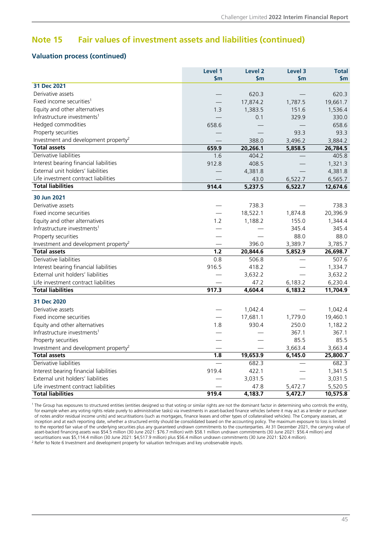### **Note 15 Fair values of investment assets and liabilities (continued)**

#### **Valuation process (continued)**

|                                                  | Level 1<br>\$m | Level <sub>2</sub><br>\$m | Level 3<br>$\mathsf{sm}$ | <b>Total</b><br>\$m |
|--------------------------------------------------|----------------|---------------------------|--------------------------|---------------------|
| 31 Dec 2021                                      |                |                           |                          |                     |
| Derivative assets                                |                | 620.3                     |                          | 620.3               |
| Fixed income securities <sup>1</sup>             |                | 17,874.2                  | 1,787.5                  | 19,661.7            |
| Equity and other alternatives                    | 1.3            | 1,383.5                   | 151.6                    | 1,536.4             |
| Infrastructure investments <sup>1</sup>          |                | 0.1                       | 329.9                    | 330.0               |
| Hedged commodities                               | 658.6          |                           |                          | 658.6               |
| Property securities                              |                |                           | 93.3                     | 93.3                |
| Investment and development property <sup>2</sup> |                | 388.0                     | 3,496.2                  | 3,884.2             |
| <b>Total assets</b>                              | 659.9          | 20,266.1                  | 5,858.5                  | 26,784.5            |
| Derivative liabilities                           | 1.6            | 404.2                     |                          | 405.8               |
| Interest bearing financial liabilities           | 912.8          | 408.5                     |                          | 1,321.3             |
| External unit holders' liabilities               |                | 4,381.8                   |                          | 4,381.8             |
| Life investment contract liabilities             |                | 43.0                      | 6,522.7                  | 6,565.7             |
| <b>Total liabilities</b>                         | 914.4          | 5,237.5                   | 6,522.7                  | 12,674.6            |
| 30 Jun 2021                                      |                |                           |                          |                     |
| Derivative assets                                |                | 738.3                     |                          | 738.3               |
| Fixed income securities                          |                | 18,522.1                  | 1,874.8                  | 20,396.9            |
| Equity and other alternatives                    | 1.2            | 1,188.2                   | 155.0                    | 1,344.4             |
| Infrastructure investments <sup>1</sup>          |                |                           | 345.4                    | 345.4               |
| Property securities                              |                |                           | 88.0                     | 88.0                |
| Investment and development property <sup>2</sup> |                | 396.0                     | 3,389.7                  | 3,785.7             |
| <b>Total assets</b>                              | 1.2            | 20,844.6                  | 5,852.9                  | 26,698.7            |
| Derivative liabilities                           | 0.8            | 506.8                     |                          | 507.6               |
| Interest bearing financial liabilities           | 916.5          | 418.2                     |                          | 1,334.7             |
| External unit holders' liabilities               |                | 3,632.2                   |                          | 3,632.2             |
| Life investment contract liabilities             |                | 47.2                      | 6,183.2                  | 6,230.4             |
| <b>Total liabilities</b>                         | 917.3          | 4,604.4                   | 6,183.2                  | 11,704.9            |
| 31 Dec 2020                                      |                |                           |                          |                     |
| Derivative assets                                |                | 1,042.4                   |                          | 1,042.4             |
| Fixed income securities                          |                | 17,681.1                  | 1,779.0                  | 19,460.1            |
| Equity and other alternatives                    | 1.8            | 930.4                     | 250.0                    | 1,182.2             |
| Infrastructure investments <sup>1</sup>          |                |                           | 367.1                    | 367.1               |
| Property securities                              |                |                           | 85.5                     | 85.5                |
| Investment and development property <sup>2</sup> |                |                           | 3,663.4                  | 3,663.4             |
| <b>Total assets</b>                              | 1.8            | 19,653.9                  | 6,145.0                  | 25,800.7            |
| Derivative liabilities                           |                | 682.3                     |                          | 682.3               |
| Interest bearing financial liabilities           | 919.4          | 422.1                     |                          | 1,341.5             |
| External unit holders' liabilities               |                | 3,031.5                   |                          | 3,031.5             |
| Life investment contract liabilities             |                | 47.8                      | 5,472.7                  | 5,520.5             |
| <b>Total liabilities</b>                         | 919.4          | 4,183.7                   | 5,472.7                  | 10,575.8            |

<sup>1</sup> The Group has exposures to structured entities (entities designed so that voting or similar rights are not the dominant factor in determining who controls the entity, for example when any voting rights relate purely to administrative tasks) via investments in asset-backed finance vehicles (where it may act as a lender or purchaser of notes and/or residual income units) and securitisations (such as mortgages, finance leases and other types of collateralised vehicles). The Company assesses, at inception and at each reporting date, whether a structured entity should be consolidated based on the accounting policy. The maximum exposure to loss is limited to the reported fair value of the underlying securities plus any guaranteed undrawn commitments to the counterparties. At 31 December 2021, the carrying value of asset-backed financing assets was \$54.5 million (30 June 2021: \$76.7 million) with \$58.1 million undrawn commitments (30 June 2021: \$56.4 million) and securitisations was \$5,114.4 million (30 June 2021: \$4,517.9 million) plus \$56.4 million undrawn commitments (30 June 2021: \$20.4 million).

 $2$  Refer to Note 6 Investment and development property for valuation techniques and key unobservable inputs.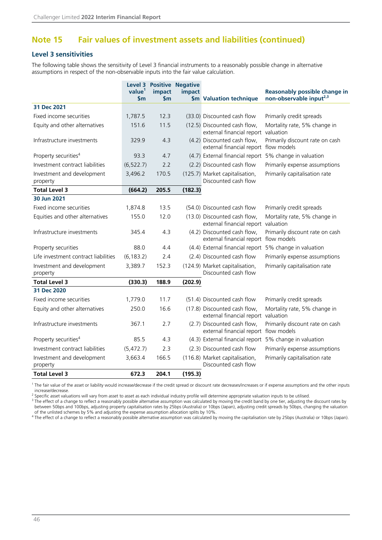### **Note 15 Fair values of investment assets and liabilities (continued)**

#### **Level 3 sensitivities**

The following table shows the sensitivity of Level 3 financial instruments to a reasonably possible change in alternative assumptions in respect of the non-observable inputs into the fair value calculation.

|                                        | value <sup>1</sup><br><b>Sm</b> | impact<br>$\mathsf{Sm}$ | <b>Level 3 Positive Negative</b><br>impact | \$m Valuation technique                                              | Reasonably possible change in<br>non-observable input <sup>2,3</sup> |
|----------------------------------------|---------------------------------|-------------------------|--------------------------------------------|----------------------------------------------------------------------|----------------------------------------------------------------------|
| 31 Dec 2021                            |                                 |                         |                                            |                                                                      |                                                                      |
| Fixed income securities                | 1,787.5                         | 12.3                    |                                            | (33.0) Discounted cash flow                                          | Primarily credit spreads                                             |
| Equity and other alternatives          | 151.6                           | 11.5                    |                                            | (12.5) Discounted cash flow,<br>external financial report valuation  | Mortality rate, 5% change in                                         |
| Infrastructure investments             | 329.9                           | 4.3                     |                                            | (4.2) Discounted cash flow,<br>external financial report flow models | Primarily discount rate on cash                                      |
| Property securities <sup>4</sup>       | 93.3                            | 4.7                     |                                            | (4.7) External financial report 5% change in valuation               |                                                                      |
| Investment contract liabilities        | (6, 522.7)                      | 2.2                     |                                            | (2.2) Discounted cash flow                                           | Primarily expense assumptions                                        |
| Investment and development<br>property | 3,496.2                         | 170.5                   |                                            | (125.7) Market capitalisation,<br>Discounted cash flow               | Primarily capitalisation rate                                        |
| <b>Total Level 3</b>                   | (664.2)                         | 205.5                   | (182.3)                                    |                                                                      |                                                                      |
| 30 Jun 2021                            |                                 |                         |                                            |                                                                      |                                                                      |
| Fixed income securities                | 1,874.8                         | 13.5                    |                                            | (54.0) Discounted cash flow                                          | Primarily credit spreads                                             |
| Equities and other alternatives        | 155.0                           | 12.0                    |                                            | (13.0) Discounted cash flow,<br>external financial report valuation  | Mortality rate, 5% change in                                         |
| Infrastructure investments             | 345.4                           | 4.3                     |                                            | (4.2) Discounted cash flow,<br>external financial report flow models | Primarily discount rate on cash                                      |
| Property securities                    | 88.0                            | 4.4                     |                                            | (4.4) External financial report 5% change in valuation               |                                                                      |
| Life investment contract liabilities   | (6, 183.2)                      | 2.4                     |                                            | (2.4) Discounted cash flow                                           | Primarily expense assumptions                                        |
| Investment and development<br>property | 3,389.7                         | 152.3                   |                                            | (124.9) Market capitalisation,<br>Discounted cash flow               | Primarily capitalisation rate                                        |
| <b>Total Level 3</b>                   | (330.3)                         | 188.9                   | (202.9)                                    |                                                                      |                                                                      |
| 31 Dec 2020                            |                                 |                         |                                            |                                                                      |                                                                      |
| Fixed income securities                | 1,779.0                         | 11.7                    |                                            | (51.4) Discounted cash flow                                          | Primarily credit spreads                                             |
| Equity and other alternatives          | 250.0                           | 16.6                    |                                            | (17.8) Discounted cash flow,<br>external financial report valuation  | Mortality rate, 5% change in                                         |
| Infrastructure investments             | 367.1                           | 2.7                     |                                            | (2.7) Discounted cash flow,<br>external financial report flow models | Primarily discount rate on cash                                      |
| Property securities <sup>4</sup>       | 85.5                            | 4.3                     |                                            | (4.3) External financial report 5% change in valuation               |                                                                      |
| Investment contract liabilities        | (5,472.7)                       | 2.3                     |                                            | (2.3) Discounted cash flow                                           | Primarily expense assumptions                                        |
| Investment and development<br>property | 3,663.4                         | 166.5                   |                                            | (116.8) Market capitalisation,<br>Discounted cash flow               | Primarily capitalisation rate                                        |
| <b>Total Level 3</b>                   | 672.3                           | 204.1                   | (195.3)                                    |                                                                      |                                                                      |

<sup>1</sup> The fair value of the asset or liability would increase/decrease if the credit spread or discount rate decreases/increases or if expense assumptions and the other inputs increase/decrease.

<sup>2</sup> Specific asset valuations will vary from asset to asset as each individual industry profile will determine appropriate valuation inputs to be utilised.

<sup>3</sup> The effect of a change to reflect a reasonably possible alternative assumption was calculated by moving the credit band by one tier, adjusting the discount rates by between 50bps and 100bps, adjusting property capitalisation rates by 25bps (Australia) or 10bps (Japan), adjusting credit spreads by 50bps, changing the valuation of the unlisted schemes by 5% and adjusting the expense assumption allocation splits by 10%.

4 The effect of a change to reflect a reasonably possible alternative assumption was calculated by moving the capitalisation rate by 25bps (Australia) or 10bps (Japan).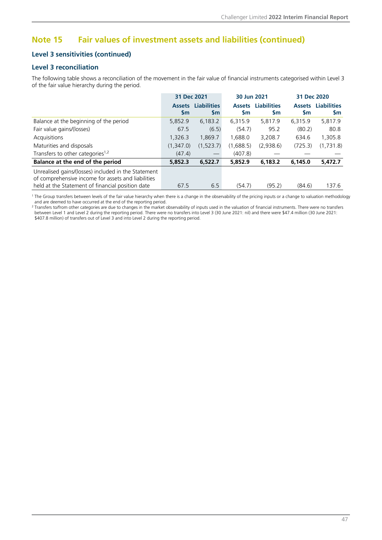### **Note 15 Fair values of investment assets and liabilities (continued)**

#### **Level 3 sensitivities (continued)**

#### **Level 3 reconciliation**

The following table shows a reconciliation of the movement in the fair value of financial instruments categorised within Level 3 of the fair value hierarchy during the period.

|                                                                                                                                                               | 31 Dec 2021         |                                  | 30 Jun 2021                |                                 | 31 Dec 2020         |                                 |
|---------------------------------------------------------------------------------------------------------------------------------------------------------------|---------------------|----------------------------------|----------------------------|---------------------------------|---------------------|---------------------------------|
|                                                                                                                                                               | <b>Assets</b><br>Sm | <b>Liabilities</b><br><b>Sm</b>  | <b>Assets</b><br><b>Sm</b> | <b>Liabilities</b><br><b>Sm</b> | <b>Assets</b><br>Sm | <b>Liabilities</b><br><b>Sm</b> |
| Balance at the beginning of the period                                                                                                                        | 5,852.9             | 6,183.2                          | 6,315.9                    | 5,817.9                         | 6,315.9             | 5,817.9                         |
| Fair value gains/(losses)                                                                                                                                     | 67.5                | (6.5)                            | (54.7)                     | 95.2                            | (80.2)              | 80.8                            |
| Acquisitions                                                                                                                                                  | 1.326.3             | 1.869.7                          | 1.688.0                    | 3.208.7                         | 634.6               | 1,305.8                         |
| Maturities and disposals                                                                                                                                      | (1.347.0)           | (1,523.7)                        | (1,688.5)                  | (2,938.6)                       | (725.3)             | (1,731.8)                       |
| Transfers to other categories <sup>1,2</sup>                                                                                                                  | (47.4)              | $\overbrace{\phantom{12322111}}$ | (407.8)                    |                                 |                     |                                 |
| Balance at the end of the period                                                                                                                              | 5,852.3             | 6,522.7                          | 5,852.9                    | 6,183.2                         | 6,145.0             | 5,472.7                         |
| Unrealised gains/(losses) included in the Statement<br>of comprehensive income for assets and liabilities<br>held at the Statement of financial position date | 67.5                | 6.5                              | (54.7)                     | (95.2)                          | (84.6)              | 137.6                           |

1 The Group transfers between levels of the fair value hierarchy when there is a change in the observability of the pricing inputs or a change to valuation methodology and are deemed to have occurred at the end of the reporting period. 2

Transfers to/from other categories are due to changes in the market observability of inputs used in the valuation of financial instruments. There were no transfers between Level 1 and Level 2 during the reporting period. There were no transfers into Level 3 (30 June 2021: nil) and there were \$47.4 million (30 June 2021: \$407.8 million) of transfers out of Level 3 and into Level 2 during the reporting period.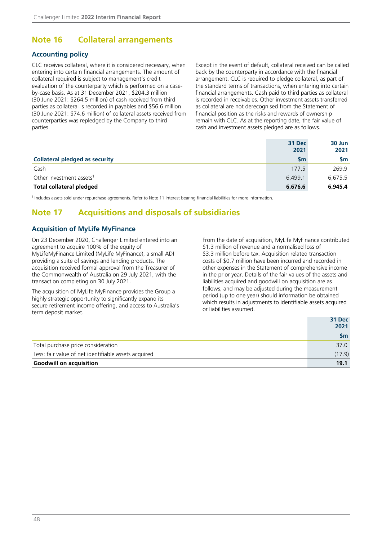### <span id="page-49-0"></span>**Note 16 Collateral arrangements**

#### **Accounting policy**

CLC receives collateral, where it is considered necessary, when entering into certain financial arrangements. The amount of collateral required is subject to management's credit evaluation of the counterparty which is performed on a caseby-case basis. As at 31 December 2021, \$204.3 million (30 June 2021: \$264.5 million) of cash received from third parties as collateral is recorded in payables and \$56.6 million (30 June 2021: \$74.6 million) of collateral assets received from counterparties was repledged by the Company to third parties.

Except in the event of default, collateral received can be called back by the counterparty in accordance with the financial arrangement. CLC is required to pledge collateral, as part of the standard terms of transactions, when entering into certain financial arrangements. Cash paid to third parties as collateral is recorded in receivables. Other investment assets transferred as collateral are not derecognised from the Statement of financial position as the risks and rewards of ownership remain with CLC. As at the reporting date, the fair value of cash and investment assets pledged are as follows.

|                                       | 31 Dec        | 30 Jun    |
|---------------------------------------|---------------|-----------|
|                                       | 2021          | 2021      |
| <b>Collateral pledged as security</b> | $\mathsf{Sm}$ | <b>Sm</b> |
| Cash                                  | 177.5         | 269.9     |
| Other investment assets <sup>1</sup>  | 6.499.1       | 6.675.5   |
| <b>Total collateral pledged</b>       | 6,676.6       | 6,945.4   |

<sup>1</sup> Includes assets sold under repurchase agreements. Refer to Note 11 Interest bearing financial liabilities for more information.

### **Note 17 Acquisitions and disposals of subsidiaries**

#### **Acquisition of MyLife MyFinance**

On 23 December 2020, Challenger Limited entered into an agreement to acquire 100% of the equity of MyLifeMyFinance Limited (MyLife MyFinance), a small ADI providing a suite of savings and lending products. The acquisition received formal approval from the Treasurer of the Commonwealth of Australia on 29 July 2021, with the transaction completing on 30 July 2021.

The acquisition of MyLife MyFinance provides the Group a highly strategic opportunity to significantly expand its secure retirement income offering, and access to Australia's term deposit market.

From the date of acquisition, MyLife MyFinance contributed \$1.3 million of revenue and a normalised loss of \$3.3 million before tax. Acquisition related transaction costs of \$0.7 million have been incurred and recorded in other expenses in the Statement of comprehensive income in the prior year. Details of the fair values of the assets and liabilities acquired and goodwill on acquisition are as follows, and may be adjusted during the measurement period (up to one year) should information be obtained which results in adjustments to identifiable assets acquired or liabilities assumed.

|                                                      | 31 Dec<br>2021 |
|------------------------------------------------------|----------------|
|                                                      | <b>Sm</b>      |
| Total purchase price consideration                   | 37.0           |
| Less: fair value of net identifiable assets acquired | (17.9)         |
| <b>Goodwill on acquisition</b>                       | 19.1           |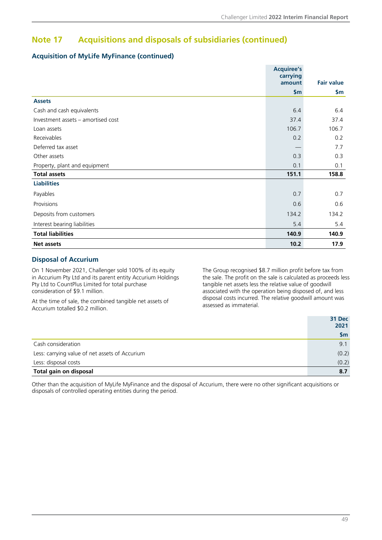### **Note 17 Acquisitions and disposals of subsidiaries (continued)**

#### **Acquisition of MyLife MyFinance (continued)**

|                                    | <b>Acquiree's</b><br>carrying |                   |
|------------------------------------|-------------------------------|-------------------|
|                                    | amount                        | <b>Fair value</b> |
|                                    | \$m\$                         | \$m               |
| <b>Assets</b>                      |                               |                   |
| Cash and cash equivalents          | 6.4                           | 6.4               |
| Investment assets – amortised cost | 37.4                          | 37.4              |
| Loan assets                        | 106.7                         | 106.7             |
| Receivables                        | 0.2                           | 0.2               |
| Deferred tax asset                 |                               | 7.7               |
| Other assets                       | 0.3                           | 0.3               |
| Property, plant and equipment      | 0.1                           | 0.1               |
| <b>Total assets</b>                | 151.1                         | 158.8             |
| <b>Liabilities</b>                 |                               |                   |
| Payables                           | 0.7                           | 0.7               |
| Provisions                         | 0.6                           | 0.6               |
| Deposits from customers            | 134.2                         | 134.2             |
| Interest bearing liabilities       | 5.4                           | 5.4               |
| <b>Total liabilities</b>           | 140.9                         | 140.9             |
| <b>Net assets</b>                  | 10.2                          | 17.9              |

#### **Disposal of Accurium**

On 1 November 2021, Challenger sold 100% of its equity in Accurium Pty Ltd and its parent entity Accurium Holdings Pty Ltd to CountPlus Limited for total purchase consideration of \$9.1 million.

At the time of sale, the combined tangible net assets of Accurium totalled \$0.2 million.

The Group recognised \$8.7 million profit before tax from the sale. The profit on the sale is calculated as proceeds less tangible net assets less the relative value of goodwill associated with the operation being disposed of, and less disposal costs incurred. The relative goodwill amount was assessed as immaterial.

|                                                | 31 Dec<br>2021 |
|------------------------------------------------|----------------|
|                                                | <b>Sm</b>      |
| Cash consideration                             | 9.1            |
| Less: carrying value of net assets of Accurium | (0.2)          |
| Less: disposal costs                           | (0.2)          |
| Total gain on disposal                         | 8.7            |

Other than the acquisition of MyLife MyFinance and the disposal of Accurium, there were no other significant acquisitions or disposals of controlled operating entities during the period.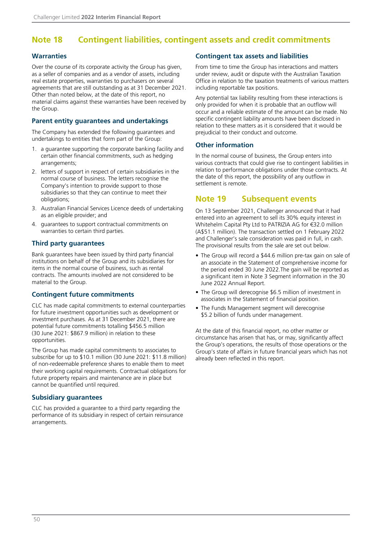### <span id="page-51-0"></span>**Note 18 Contingent liabilities, contingent assets and credit commitments**

#### **Warranties**

Over the course of its corporate activity the Group has given, as a seller of companies and as a vendor of assets, including real estate properties, warranties to purchasers on several agreements that are still outstanding as at 31 December 2021. Other than noted below, at the date of this report, no material claims against these warranties have been received by the Group.

#### **Parent entity guarantees and undertakings**

The Company has extended the following guarantees and undertakings to entities that form part of the Group:

- 1. a guarantee supporting the corporate banking facility and certain other financial commitments, such as hedging arrangements;
- 2. letters of support in respect of certain subsidiaries in the normal course of business. The letters recognise the Company's intention to provide support to those subsidiaries so that they can continue to meet their obligations;
- 3. Australian Financial Services Licence deeds of undertaking as an eligible provider; and
- 4. guarantees to support contractual commitments on warranties to certain third parties.

#### **Third party guarantees**

Bank guarantees have been issued by third party financial institutions on behalf of the Group and its subsidiaries for items in the normal course of business, such as rental contracts. The amounts involved are not considered to be material to the Group.

#### **Contingent future commitments**

CLC has made capital commitments to external counterparties for future investment opportunities such as development or investment purchases. As at 31 December 2021, there are potential future commitments totalling \$456.5 million (30 June 2021: \$867.9 million) in relation to these opportunities.

The Group has made capital commitments to associates to subscribe for up to \$10.1 million (30 June 2021: \$11.8 million) of non-redeemable preference shares to enable them to meet their working capital requirements. Contractual obligations for future property repairs and maintenance are in place but cannot be quantified until required.

#### **Subsidiary guarantees**

CLC has provided a guarantee to a third party regarding the performance of its subsidiary in respect of certain reinsurance arrangements.

#### **Contingent tax assets and liabilities**

From time to time the Group has interactions and matters under review, audit or dispute with the Australian Taxation Office in relation to the taxation treatments of various matters including reportable tax positions.

Any potential tax liability resulting from these interactions is only provided for when it is probable that an outflow will occur and a reliable estimate of the amount can be made. No specific contingent liability amounts have been disclosed in relation to these matters as it is considered that it would be prejudicial to their conduct and outcome.

#### **Other information**

In the normal course of business, the Group enters into various contracts that could give rise to contingent liabilities in relation to performance obligations under those contracts. At the date of this report, the possibility of any outflow in settlement is remote.

### **Note 19 Subsequent events**

On 13 September 2021, Challenger announced that it had entered into an agreement to sell its 30% equity interest in Whitehelm Capital Pty Ltd to PATRIZIA AG for €32.0 million (A\$51.1 million). The transaction settled on 1 February 2022 and Challenger's sale consideration was paid in full, in cash. The provisional results from the sale are set out below.

- The Group will record a \$44.6 million pre-tax gain on sale of an associate in the Statement of comprehensive income for the period ended 30 June 2022.The gain will be reported as a significant item in Note 3 Segment information in the 30 June 2022 Annual Report.
- The Group will derecognise \$6.5 million of investment in associates in the Statement of financial position.
- The Funds Management segment will derecognise \$5.2 billion of funds under management.

At the date of this financial report, no other matter or circumstance has arisen that has, or may, significantly affect the Group's operations, the results of those operations or the Group's state of affairs in future financial years which has not already been reflected in this report.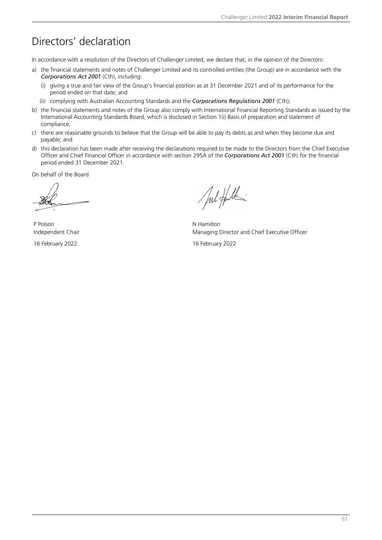# <span id="page-52-0"></span>Directors' declaration

In accordance with a resolution of the Directors of Challenger Limited, we declare that, in the opinion of the Directors:

- a) the financial statements and notes of Challenger Limited and its controlled entities (the Group) are in accordance with the *Corporations Act 2001* (Cth), including:
	- (i) giving a true and fair view of the Group's financial position as at 31 December 2021 and of its performance for the period ended on that date; and
	- (ii) complying with Australian Accounting Standards and the *Corporations Regulations 2001* (Cth);
- b) the financial statements and notes of the Group also comply with International Financial Reporting Standards as issued by the International Accounting Standards Board, which is disclosed in Section 1(i) Basis of preparation and statement of compliance;
- c) there are reasonable grounds to believe that the Group will be able to pay its debts as and when they become due and payable; and
- d) this declaration has been made after receiving the declarations required to be made to the Directors from the Chief Executive Officer and Chief Financial Officer in accordance with section 295A of the *Corporations Act 2001* (Cth) for the financial period ended 31 December 2021.

On behalf of the Board

P Polson N Hamilton

Jul Hull

Independent Chair **Managing Director and Chief Executive Officer** Independent Chair

16 February 2022 16 February 2022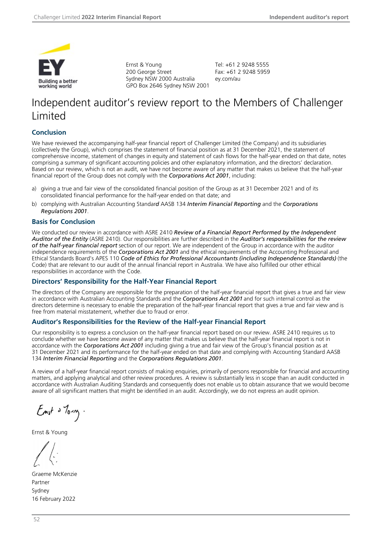<span id="page-53-0"></span>

Ernst & Young 200 George Street Sydney NSW 2000 Australia GPO Box 2646 Sydney NSW 2001 Tel: +61 2 9248 5555 Fax: +61 2 9248 5959 ey.com/au

# Independent auditor's review report to the Members of Challenger Limited

#### **Conclusion**

We have reviewed the accompanying half-year financial report of Challenger Limited (the Company) and its subsidiaries (collectively the Group), which comprises the statement of financial position as at 31 December 2021, the statement of comprehensive income, statement of changes in equity and statement of cash flows for the half-year ended on that date, notes comprising a summary of significant accounting policies and other explanatory information, and the directors' declaration. Based on our review, which is not an audit, we have not become aware of any matter that makes us believe that the half-year financial report of the Group does not comply with the *Corporations Act 2001*, including:

- a) giving a true and fair view of the consolidated financial position of the Group as at 31 December 2021 and of its consolidated financial performance for the half-year ended on that date; and
- b) complying with Australian Accounting Standar*d* AASB 134 *Interim Financial Reporting* and the *Corporations Regulations 2001*.

#### **Basis for Conclusion**

We conducted our review in accordance with ASRE 2410 *Review of a Financial Report Performed by the Independent Auditor of the Entity* (ASRE 2410). Our responsibilities are further described in the *Auditor's responsibilities for the review of the half-year financial report* section of our report. We are independent of the Group in accordance with the auditor independence requirements of the *Corporations Act 2001* and the ethical requirements of the Accounting Professional and Ethical Standards Board's APES 110 *Code of Ethics for Professional Accountants (including Independence Standards)* (the Code) that are relevant to our audit of the annual financial report in Australia. We have also fulfilled our other ethical responsibilities in accordance with the Code.

#### **Directors' Responsibility for the Half-Year Financial Report**

The directors of the Company are responsible for the preparation of the half-year financial report that gives a true and fair view in accordance with Australian Accounting Standards and the *Corporations Act 2001* and for such internal control as the directors determine is necessary to enable the preparation of the half-year financial report that gives a true and fair view and is free from material misstatement, whether due to fraud or error.

#### **Auditor's Responsibilities for the Review of the Half-year Financial Report**

Our responsibility is to express a conclusion on the half-year financial report based on our review. ASRE 2410 requires us to conclude whether we have become aware of any matter that makes us believe that the half-year financial report is not in accordance with the *Corporations Act 2001* including giving a true and fair view of the Group's financial position as at 31 December 2021 and its performance for the half-year ended on that date and complying with Accounting Standard AASB 134 *Interim Financial Reporting* and the *Corporations Regulations 2001*.

A review of a half-year financial report consists of making enquiries, primarily of persons responsible for financial and accounting matters, and applying analytical and other review procedures. A review is substantially less in scope than an audit conducted in accordance with Australian Auditing Standards and consequently does not enable us to obtain assurance that we would become aware of all significant matters that might be identified in an audit. Accordingly, we do not express an audit opinion.

 $E_{m}$  of  $\delta$   $\sim$   $\sim$ 

Ernst & Young

Graeme McKenzie Partner Sydney 16 February 2022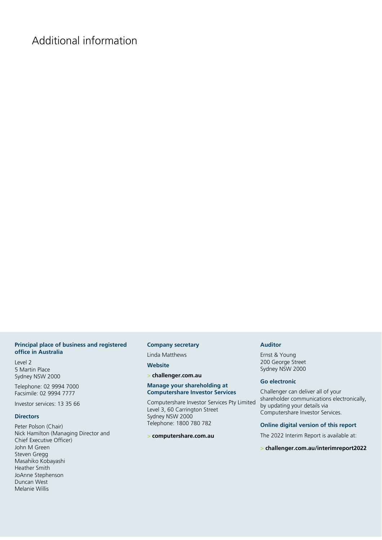# <span id="page-54-0"></span>Additional information

#### **Principal place of business and registered office in Australia**

Level 2 5 Martin Place Sydney NSW 2000

Telephone: 02 9994 7000 Facsimile: 02 9994 7777

Investor services: 13 35 66

#### **Directors**

Peter Polson (Chair) Nick Hamilton (Managing Director and Chief Executive Officer) John M Green Steven Gregg Masahiko Kobayashi Heather Smith JoAnne Stephenson Duncan West Melanie Willis

#### **Company secretary**

Linda Matthews

**Website**

> **challenger.com.au** 

#### **Manage your shareholding at Computershare Investor Services**

Computershare Investor Services Pty Limited Level 3, 60 Carrington Street Sydney NSW 2000 Telephone: 1800 780 782

#### > **computershare.com.au**

#### **Auditor**

Ernst & Young 200 George Street Sydney NSW 2000

#### **Go electronic**

Challenger can deliver all of your shareholder communications electronically, by updating your details via Computershare Investor Services.

#### **Online digital version of this report**

The 2022 Interim Report is available at:

#### > **challenger.com.au/interimreport2022**